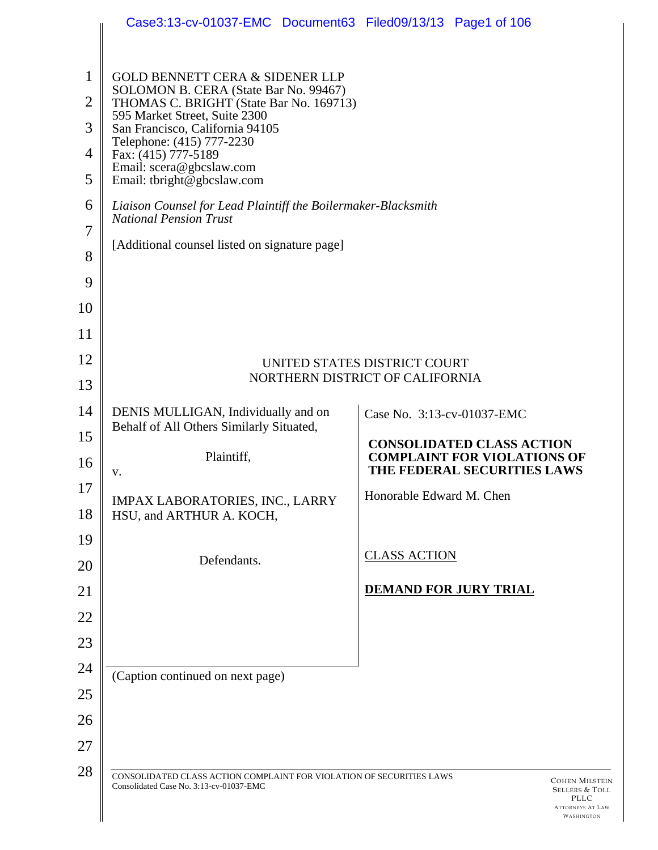|                | Case3:13-cv-01037-EMC Document63 Filed09/13/13 Page1 of 106                                                     |                                                                        |                                                                                          |
|----------------|-----------------------------------------------------------------------------------------------------------------|------------------------------------------------------------------------|------------------------------------------------------------------------------------------|
| $\mathbf{1}$   | <b>GOLD BENNETT CERA &amp; SIDENER LLP</b>                                                                      |                                                                        |                                                                                          |
| $\overline{2}$ | SOLOMON B. CERA (State Bar No. 99467)<br>THOMAS C. BRIGHT (State Bar No. 169713)                                |                                                                        |                                                                                          |
| 3              | 595 Market Street, Suite 2300<br>San Francisco, California 94105                                                |                                                                        |                                                                                          |
| $\overline{4}$ | Telephone: (415) 777-2230<br>Fax: (415) 777-5189<br>Email: scera@gbcslaw.com                                    |                                                                        |                                                                                          |
| 5              | Email: tbright@gbcslaw.com                                                                                      |                                                                        |                                                                                          |
| 6              | Liaison Counsel for Lead Plaintiff the Boilermaker-Blacksmith<br><b>National Pension Trust</b>                  |                                                                        |                                                                                          |
| $\overline{7}$ | [Additional counsel listed on signature page]                                                                   |                                                                        |                                                                                          |
| 8              |                                                                                                                 |                                                                        |                                                                                          |
| 9              |                                                                                                                 |                                                                        |                                                                                          |
| 10             |                                                                                                                 |                                                                        |                                                                                          |
| 11             |                                                                                                                 |                                                                        |                                                                                          |
| 12             | UNITED STATES DISTRICT COURT<br>NORTHERN DISTRICT OF CALIFORNIA                                                 |                                                                        |                                                                                          |
| 13             |                                                                                                                 |                                                                        |                                                                                          |
| 14             | DENIS MULLIGAN, Individually and on<br>Behalf of All Others Similarly Situated,                                 | Case No. 3:13-cv-01037-EMC                                             |                                                                                          |
| 15<br>16       | Plaintiff,                                                                                                      | <b>CONSOLIDATED CLASS ACTION</b><br><b>COMPLAINT FOR VIOLATIONS OF</b> |                                                                                          |
|                | V.                                                                                                              | THE FEDERAL SECURITIES LAWS                                            |                                                                                          |
| 17<br>18       | IMPAX LABORATORIES, INC., LARRY<br>HSU, and ARTHUR A. KOCH,                                                     | Honorable Edward M. Chen                                               |                                                                                          |
| 19             |                                                                                                                 |                                                                        |                                                                                          |
| 20             | Defendants.                                                                                                     | <b>CLASS ACTION</b>                                                    |                                                                                          |
| 21             |                                                                                                                 | <b>DEMAND FOR JURY TRIAL</b>                                           |                                                                                          |
| 22             |                                                                                                                 |                                                                        |                                                                                          |
| 23             |                                                                                                                 |                                                                        |                                                                                          |
| 24             | (Caption continued on next page)                                                                                |                                                                        |                                                                                          |
| 25             |                                                                                                                 |                                                                        |                                                                                          |
| 26             |                                                                                                                 |                                                                        |                                                                                          |
| 27             |                                                                                                                 |                                                                        |                                                                                          |
| 28             | CONSOLIDATED CLASS ACTION COMPLAINT FOR VIOLATION OF SECURITIES LAWS<br>Consolidated Case No. 3:13-cv-01037-EMC |                                                                        | <b>COHEN MILSTEIN</b><br>SELLERS & TOLL<br>PLLC<br><b>ATTORNEYS AT LAW</b><br>WASHINGTON |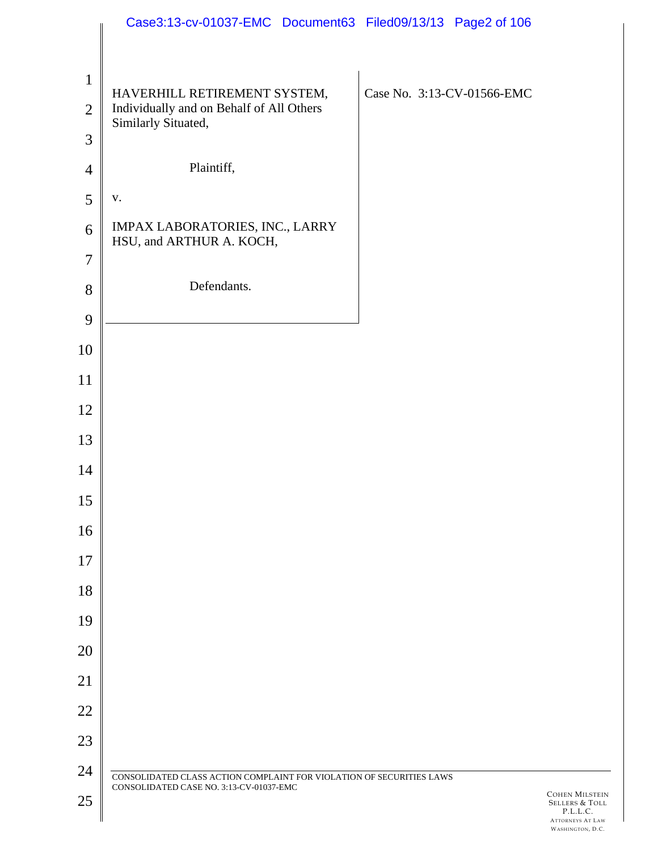|                | Case3:13-cv-01037-EMC Document63 Filed09/13/13 Page2 of 106          |                                                                         |
|----------------|----------------------------------------------------------------------|-------------------------------------------------------------------------|
|                |                                                                      |                                                                         |
| $\mathbf{1}$   | HAVERHILL RETIREMENT SYSTEM,                                         | Case No. 3:13-CV-01566-EMC                                              |
| $\overline{2}$ | Individually and on Behalf of All Others<br>Similarly Situated,      |                                                                         |
| 3              |                                                                      |                                                                         |
| $\overline{4}$ | Plaintiff,                                                           |                                                                         |
| 5              | ${\bf V}$ .                                                          |                                                                         |
| 6              | IMPAX LABORATORIES, INC., LARRY<br>HSU, and ARTHUR A. KOCH,          |                                                                         |
| $\overline{7}$ |                                                                      |                                                                         |
| 8              | Defendants.                                                          |                                                                         |
| 9              |                                                                      |                                                                         |
| 10             |                                                                      |                                                                         |
| 11             |                                                                      |                                                                         |
| 12             |                                                                      |                                                                         |
| 13             |                                                                      |                                                                         |
| 14             |                                                                      |                                                                         |
| 15             |                                                                      |                                                                         |
| 16             |                                                                      |                                                                         |
| 17             |                                                                      |                                                                         |
| 18             |                                                                      |                                                                         |
| 19             |                                                                      |                                                                         |
| 20             |                                                                      |                                                                         |
| 21             |                                                                      |                                                                         |
| 22             |                                                                      |                                                                         |
| 23             |                                                                      |                                                                         |
| 24             | CONSOLIDATED CLASS ACTION COMPLAINT FOR VIOLATION OF SECURITIES LAWS |                                                                         |
| 25             | CONSOLIDATED CASE NO. 3:13-CV-01037-EMC                              | <b>COHEN MILSTEIN</b><br>SELLERS & TOLL<br>P.L.L.C.<br>ATTORNEYS AT LAW |

WASHINGTON, D.C.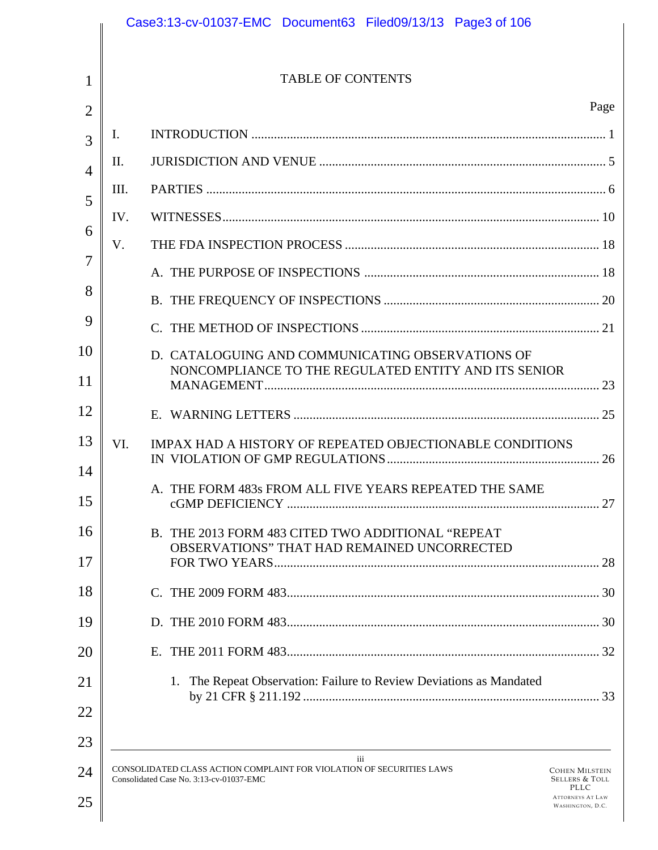|     | <b>TABLE OF CONTENTS</b>                                                                                                       |                                                    |
|-----|--------------------------------------------------------------------------------------------------------------------------------|----------------------------------------------------|
|     |                                                                                                                                | Page                                               |
| Ι.  |                                                                                                                                |                                                    |
| П.  |                                                                                                                                |                                                    |
| Ш.  |                                                                                                                                |                                                    |
| IV. |                                                                                                                                |                                                    |
| V.  |                                                                                                                                |                                                    |
|     |                                                                                                                                |                                                    |
|     |                                                                                                                                |                                                    |
|     |                                                                                                                                |                                                    |
|     | D. CATALOGUING AND COMMUNICATING OBSERVATIONS OF<br>NONCOMPLIANCE TO THE REGULATED ENTITY AND ITS SENIOR                       |                                                    |
|     |                                                                                                                                |                                                    |
| VI. | IMPAX HAD A HISTORY OF REPEATED OBJECTIONABLE CONDITIONS                                                                       |                                                    |
|     | A. THE FORM 483s FROM ALL FIVE YEARS REPEATED THE SAME                                                                         |                                                    |
|     | B. THE 2013 FORM 483 CITED TWO ADDITIONAL "REPEAT<br>OBSERVATIONS" THAT HAD REMAINED UNCORRECTED                               |                                                    |
|     |                                                                                                                                |                                                    |
|     |                                                                                                                                |                                                    |
|     |                                                                                                                                |                                                    |
|     | 1. The Repeat Observation: Failure to Review Deviations as Mandated                                                            |                                                    |
|     | iii<br>CONSOLIDATED CLASS ACTION COMPLAINT FOR VIOLATION OF SECURITIES LAWS<br>Consolidated Case No. 3:13-cv-01037-EMC<br>PLLC | <b>COHEN MILSTEIN</b><br><b>SELLERS &amp; TOLL</b> |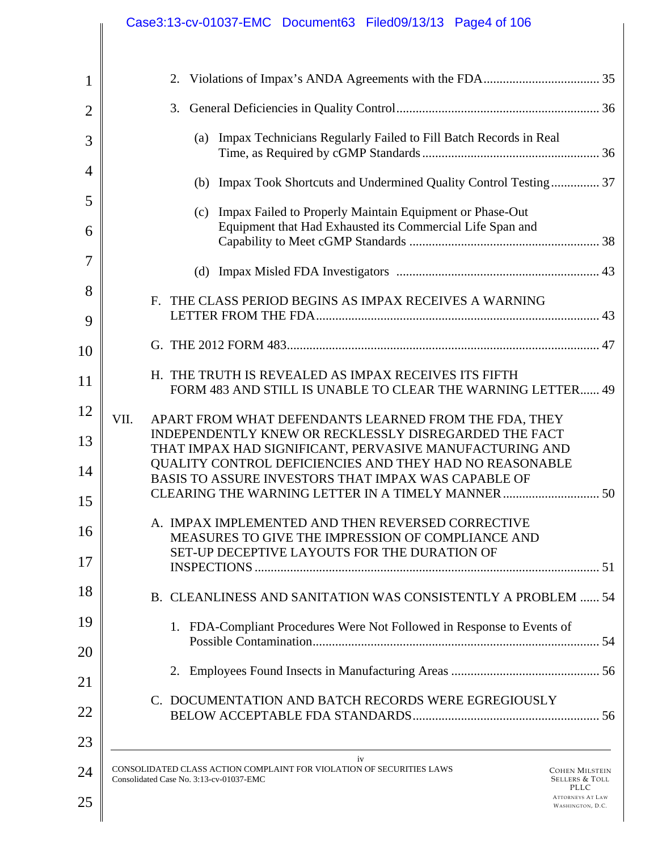|                | Case3:13-cv-01037-EMC Document63 Filed09/13/13 Page4 of 106                                                                                                                 |
|----------------|-----------------------------------------------------------------------------------------------------------------------------------------------------------------------------|
|                |                                                                                                                                                                             |
| 1              |                                                                                                                                                                             |
| $\overline{2}$ |                                                                                                                                                                             |
| 3              | (a) Impax Technicians Regularly Failed to Fill Batch Records in Real                                                                                                        |
| $\overline{4}$ | (b) Impax Took Shortcuts and Undermined Quality Control Testing 37                                                                                                          |
| 5              | Impax Failed to Properly Maintain Equipment or Phase-Out<br>(c)                                                                                                             |
| 6              | Equipment that Had Exhausted its Commercial Life Span and                                                                                                                   |
| 7              |                                                                                                                                                                             |
| 8              | F. THE CLASS PERIOD BEGINS AS IMPAX RECEIVES A WARNING                                                                                                                      |
| 9              |                                                                                                                                                                             |
| 10             |                                                                                                                                                                             |
| 11             | H. THE TRUTH IS REVEALED AS IMPAX RECEIVES ITS FIFTH<br>FORM 483 AND STILL IS UNABLE TO CLEAR THE WARNING LETTER 49                                                         |
| 12             | VII.<br>APART FROM WHAT DEFENDANTS LEARNED FROM THE FDA, THEY                                                                                                               |
| 13             | INDEPENDENTLY KNEW OR RECKLESSLY DISREGARDED THE FACT<br>THAT IMPAX HAD SIGNIFICANT, PERVASIVE MANUFACTURING AND                                                            |
| 14             | QUALITY CONTROL DEFICIENCIES AND THEY HAD NO REASONABLE<br>BASIS TO ASSURE INVESTORS THAT IMPAX WAS CAPABLE OF                                                              |
| 15             | CLEARING THE WARNING LETTER IN A TIMELY MANNER<br>50                                                                                                                        |
| 16             | A. IMPAX IMPLEMENTED AND THEN REVERSED CORRECTIVE                                                                                                                           |
| 17             | MEASURES TO GIVE THE IMPRESSION OF COMPLIANCE AND<br>SET-UP DECEPTIVE LAYOUTS FOR THE DURATION OF                                                                           |
| 18             |                                                                                                                                                                             |
|                | B. CLEANLINESS AND SANITATION WAS CONSISTENTLY A PROBLEM  54                                                                                                                |
| 19             | 1. FDA-Compliant Procedures Were Not Followed in Response to Events of                                                                                                      |
| 20             |                                                                                                                                                                             |
| 21             | C. DOCUMENTATION AND BATCH RECORDS WERE EGREGIOUSLY                                                                                                                         |
| 22             |                                                                                                                                                                             |
| 23             |                                                                                                                                                                             |
| 24             | iv<br>CONSOLIDATED CLASS ACTION COMPLAINT FOR VIOLATION OF SECURITIES LAWS<br><b>COHEN MILSTEIN</b><br>Consolidated Case No. 3:13-cv-01037-EMC<br><b>SELLERS &amp; TOLL</b> |
| 25             | PLLC<br><b>ATTORNEYS AT LAW</b><br>WASHINGTON, D.C.                                                                                                                         |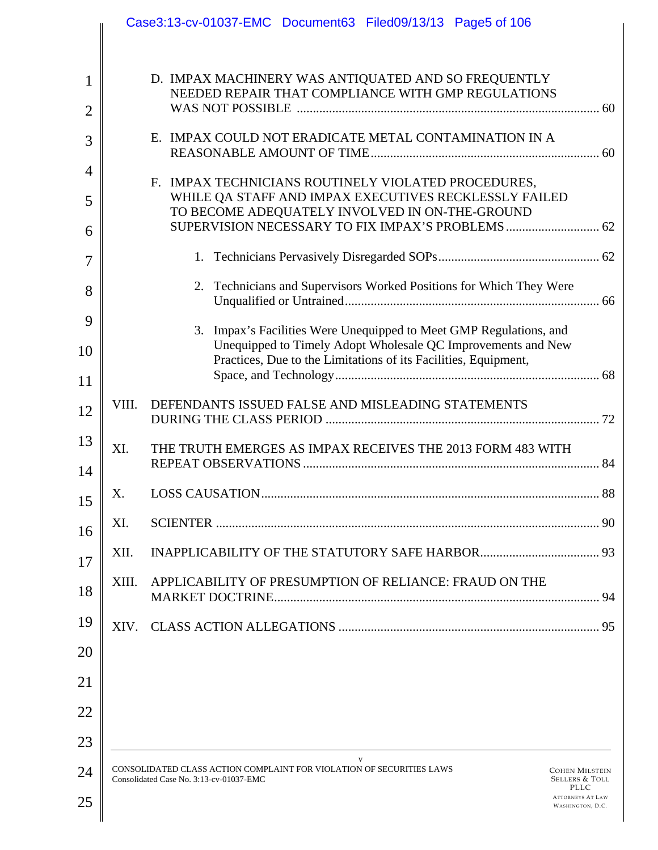|                                |       | Case3:13-cv-01037-EMC Document63 Filed09/13/13 Page5 of 106                                                                                                                                                                       |    |
|--------------------------------|-------|-----------------------------------------------------------------------------------------------------------------------------------------------------------------------------------------------------------------------------------|----|
| $\mathbf{1}$<br>$\overline{2}$ |       | D. IMPAX MACHINERY WAS ANTIQUATED AND SO FREQUENTLY<br>NEEDED REPAIR THAT COMPLIANCE WITH GMP REGULATIONS                                                                                                                         |    |
| 3                              |       | E. IMPAX COULD NOT ERADICATE METAL CONTAMINATION IN A                                                                                                                                                                             |    |
| $\overline{4}$                 |       | F. IMPAX TECHNICIANS ROUTINELY VIOLATED PROCEDURES,                                                                                                                                                                               |    |
| 5<br>6                         |       | WHILE QA STAFF AND IMPAX EXECUTIVES RECKLESSLY FAILED<br>TO BECOME ADEQUATELY INVOLVED IN ON-THE-GROUND                                                                                                                           |    |
| 7                              |       |                                                                                                                                                                                                                                   |    |
| 8                              |       | 2. Technicians and Supervisors Worked Positions for Which They Were                                                                                                                                                               |    |
| 9                              |       | Impax's Facilities Were Unequipped to Meet GMP Regulations, and<br>3.                                                                                                                                                             |    |
| 10                             |       | Unequipped to Timely Adopt Wholesale QC Improvements and New<br>Practices, Due to the Limitations of its Facilities, Equipment,                                                                                                   |    |
| 11                             |       |                                                                                                                                                                                                                                   |    |
| 12                             | VIII. | DEFENDANTS ISSUED FALSE AND MISLEADING STATEMENTS                                                                                                                                                                                 |    |
| 13                             | XI.   | THE TRUTH EMERGES AS IMPAX RECEIVES THE 2013 FORM 483 WITH                                                                                                                                                                        |    |
| 14<br>15                       | Х.    | LOSS CAUSATION                                                                                                                                                                                                                    | 88 |
| 16                             | XI.   |                                                                                                                                                                                                                                   |    |
| 17                             | XII.  |                                                                                                                                                                                                                                   |    |
| 18                             | XIII. | APPLICABILITY OF PRESUMPTION OF RELIANCE: FRAUD ON THE                                                                                                                                                                            |    |
| 19                             | XIV.  |                                                                                                                                                                                                                                   |    |
| 20                             |       |                                                                                                                                                                                                                                   |    |
| 21                             |       |                                                                                                                                                                                                                                   |    |
| 22                             |       |                                                                                                                                                                                                                                   |    |
| 23                             |       |                                                                                                                                                                                                                                   |    |
| 24<br>25                       |       | V<br>CONSOLIDATED CLASS ACTION COMPLAINT FOR VIOLATION OF SECURITIES LAWS<br><b>COHEN MILSTEIN</b><br>Consolidated Case No. 3:13-cv-01037-EMC<br><b>SELLERS &amp; TOLL</b><br>PLLC<br><b>ATTORNEYS AT LAW</b><br>WASHINGTON, D.C. |    |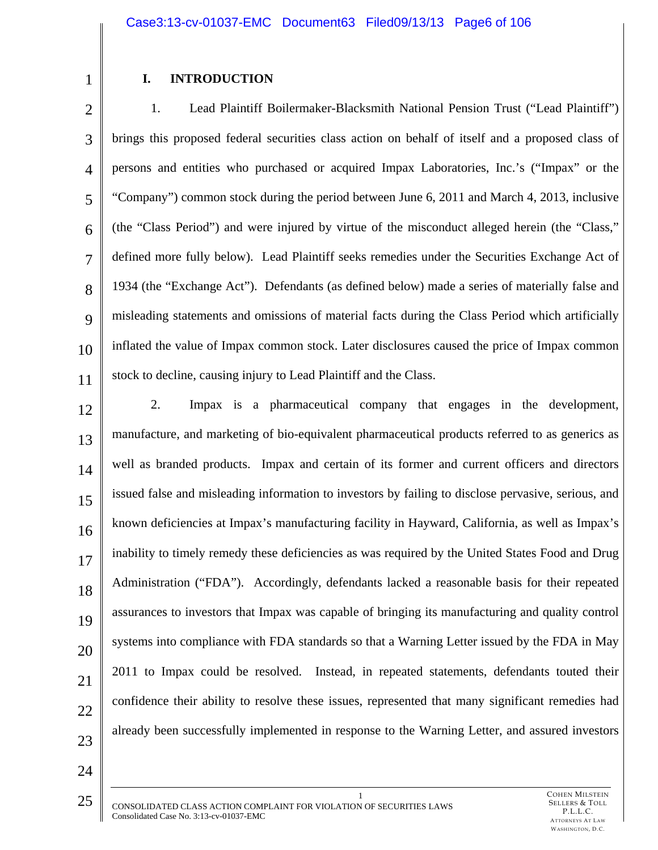1

# **I. INTRODUCTION**

2 3 4 5 6 7 8 9 10 11 1. Lead Plaintiff Boilermaker-Blacksmith National Pension Trust ("Lead Plaintiff") brings this proposed federal securities class action on behalf of itself and a proposed class of persons and entities who purchased or acquired Impax Laboratories, Inc.'s ("Impax" or the "Company") common stock during the period between June 6, 2011 and March 4, 2013, inclusive (the "Class Period") and were injured by virtue of the misconduct alleged herein (the "Class," defined more fully below). Lead Plaintiff seeks remedies under the Securities Exchange Act of 1934 (the "Exchange Act"). Defendants (as defined below) made a series of materially false and misleading statements and omissions of material facts during the Class Period which artificially inflated the value of Impax common stock. Later disclosures caused the price of Impax common stock to decline, causing injury to Lead Plaintiff and the Class.

12

13 14 15 16 17 18 19 20 21 22 23 2. Impax is a pharmaceutical company that engages in the development, manufacture, and marketing of bio-equivalent pharmaceutical products referred to as generics as well as branded products. Impax and certain of its former and current officers and directors issued false and misleading information to investors by failing to disclose pervasive, serious, and known deficiencies at Impax's manufacturing facility in Hayward, California, as well as Impax's inability to timely remedy these deficiencies as was required by the United States Food and Drug Administration ("FDA"). Accordingly, defendants lacked a reasonable basis for their repeated assurances to investors that Impax was capable of bringing its manufacturing and quality control systems into compliance with FDA standards so that a Warning Letter issued by the FDA in May 2011 to Impax could be resolved. Instead, in repeated statements, defendants touted their confidence their ability to resolve these issues, represented that many significant remedies had already been successfully implemented in response to the Warning Letter, and assured investors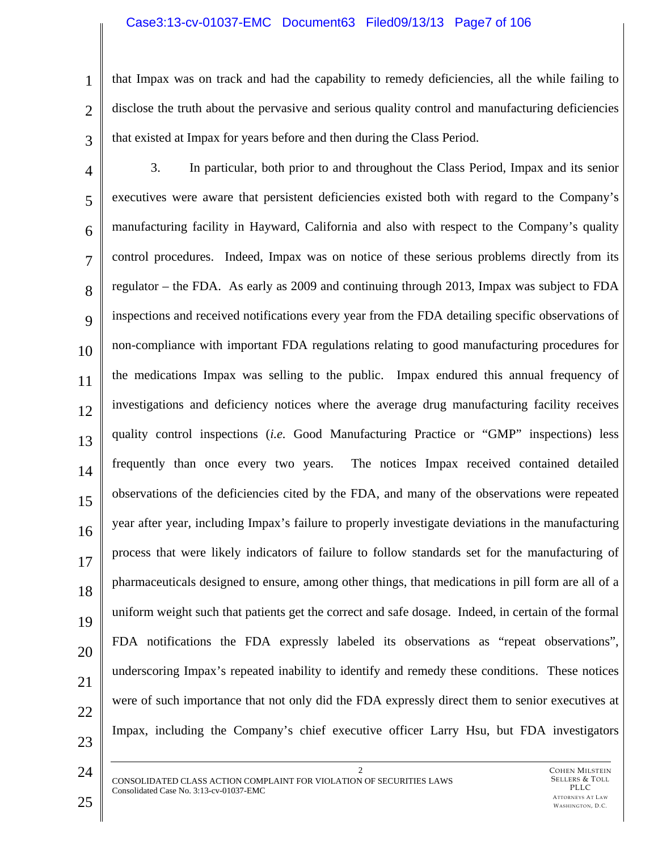### Case3:13-cv-01037-EMC Document63 Filed09/13/13 Page7 of 106

that Impax was on track and had the capability to remedy deficiencies, all the while failing to disclose the truth about the pervasive and serious quality control and manufacturing deficiencies that existed at Impax for years before and then during the Class Period.

4 5 6 7 8  $\mathbf Q$ 10 11 12 13 14 15 16 17 18 19 20 21 22 23 3. In particular, both prior to and throughout the Class Period, Impax and its senior executives were aware that persistent deficiencies existed both with regard to the Company's manufacturing facility in Hayward, California and also with respect to the Company's quality control procedures. Indeed, Impax was on notice of these serious problems directly from its regulator – the FDA. As early as 2009 and continuing through 2013, Impax was subject to FDA inspections and received notifications every year from the FDA detailing specific observations of non-compliance with important FDA regulations relating to good manufacturing procedures for the medications Impax was selling to the public. Impax endured this annual frequency of investigations and deficiency notices where the average drug manufacturing facility receives quality control inspections (*i.e.* Good Manufacturing Practice or "GMP" inspections) less frequently than once every two years. The notices Impax received contained detailed observations of the deficiencies cited by the FDA, and many of the observations were repeated year after year, including Impax's failure to properly investigate deviations in the manufacturing process that were likely indicators of failure to follow standards set for the manufacturing of pharmaceuticals designed to ensure, among other things, that medications in pill form are all of a uniform weight such that patients get the correct and safe dosage. Indeed, in certain of the formal FDA notifications the FDA expressly labeled its observations as "repeat observations", underscoring Impax's repeated inability to identify and remedy these conditions. These notices were of such importance that not only did the FDA expressly direct them to senior executives at Impax, including the Company's chief executive officer Larry Hsu, but FDA investigators

24

1

2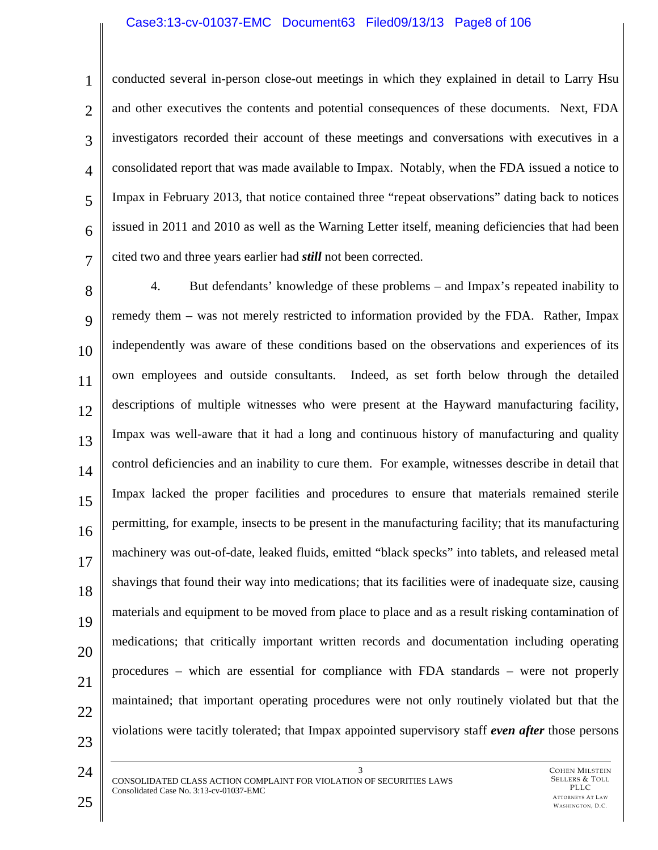#### Case3:13-cv-01037-EMC Document63 Filed09/13/13 Page8 of 106

5

6

7

1

4 conducted several in-person close-out meetings in which they explained in detail to Larry Hsu and other executives the contents and potential consequences of these documents. Next, FDA investigators recorded their account of these meetings and conversations with executives in a consolidated report that was made available to Impax. Notably, when the FDA issued a notice to Impax in February 2013, that notice contained three "repeat observations" dating back to notices issued in 2011 and 2010 as well as the Warning Letter itself, meaning deficiencies that had been cited two and three years earlier had *still* not been corrected.

8 9 10 11 12 13 14 15 16 17 18 19 20 21 22 23 4. But defendants' knowledge of these problems – and Impax's repeated inability to remedy them – was not merely restricted to information provided by the FDA. Rather, Impax independently was aware of these conditions based on the observations and experiences of its own employees and outside consultants. Indeed, as set forth below through the detailed descriptions of multiple witnesses who were present at the Hayward manufacturing facility, Impax was well-aware that it had a long and continuous history of manufacturing and quality control deficiencies and an inability to cure them. For example, witnesses describe in detail that Impax lacked the proper facilities and procedures to ensure that materials remained sterile permitting, for example, insects to be present in the manufacturing facility; that its manufacturing machinery was out-of-date, leaked fluids, emitted "black specks" into tablets, and released metal shavings that found their way into medications; that its facilities were of inadequate size, causing materials and equipment to be moved from place to place and as a result risking contamination of medications; that critically important written records and documentation including operating procedures – which are essential for compliance with FDA standards – were not properly maintained; that important operating procedures were not only routinely violated but that the violations were tacitly tolerated; that Impax appointed supervisory staff *even after* those persons

3 CONSOLIDATED CLASS ACTION COMPLAINT FOR VIOLATION OF SECURITIES LAWS Consolidated Case No. 3:13-cv-01037-EMC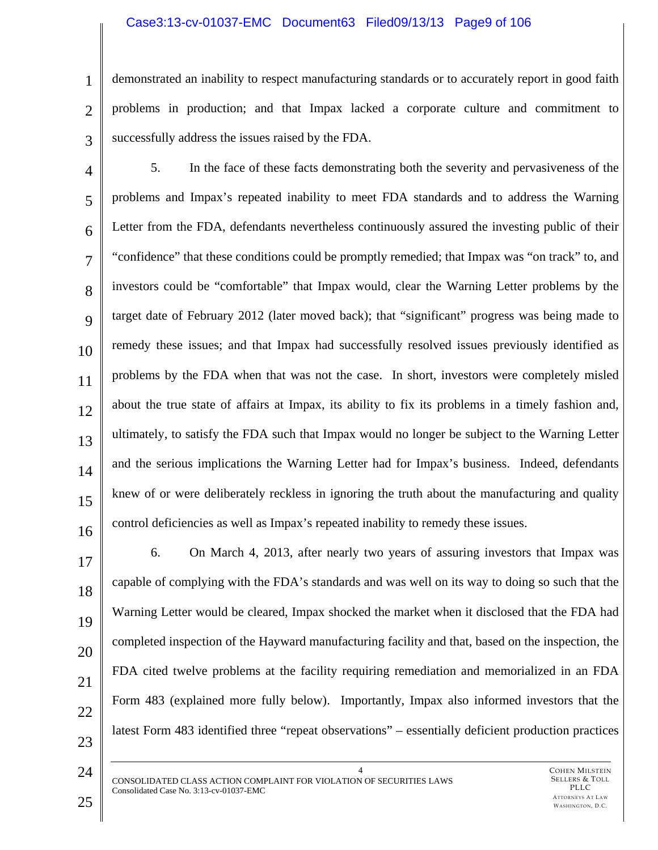### Case3:13-cv-01037-EMC Document63 Filed09/13/13 Page9 of 106

2

3

1

demonstrated an inability to respect manufacturing standards or to accurately report in good faith problems in production; and that Impax lacked a corporate culture and commitment to successfully address the issues raised by the FDA.

4 5 6 7 8 9 10 11 12 13 14 15 16 5. In the face of these facts demonstrating both the severity and pervasiveness of the problems and Impax's repeated inability to meet FDA standards and to address the Warning Letter from the FDA, defendants nevertheless continuously assured the investing public of their "confidence" that these conditions could be promptly remedied; that Impax was "on track" to, and investors could be "comfortable" that Impax would, clear the Warning Letter problems by the target date of February 2012 (later moved back); that "significant" progress was being made to remedy these issues; and that Impax had successfully resolved issues previously identified as problems by the FDA when that was not the case. In short, investors were completely misled about the true state of affairs at Impax, its ability to fix its problems in a timely fashion and, ultimately, to satisfy the FDA such that Impax would no longer be subject to the Warning Letter and the serious implications the Warning Letter had for Impax's business. Indeed, defendants knew of or were deliberately reckless in ignoring the truth about the manufacturing and quality control deficiencies as well as Impax's repeated inability to remedy these issues.

17 18 19 20 21 22 23 6. On March 4, 2013, after nearly two years of assuring investors that Impax was capable of complying with the FDA's standards and was well on its way to doing so such that the Warning Letter would be cleared, Impax shocked the market when it disclosed that the FDA had completed inspection of the Hayward manufacturing facility and that, based on the inspection, the FDA cited twelve problems at the facility requiring remediation and memorialized in an FDA Form 483 (explained more fully below). Importantly, Impax also informed investors that the latest Form 483 identified three "repeat observations" – essentially deficient production practices

4 CONSOLIDATED CLASS ACTION COMPLAINT FOR VIOLATION OF SECURITIES LAWS Consolidated Case No. 3:13-cv-01037-EMC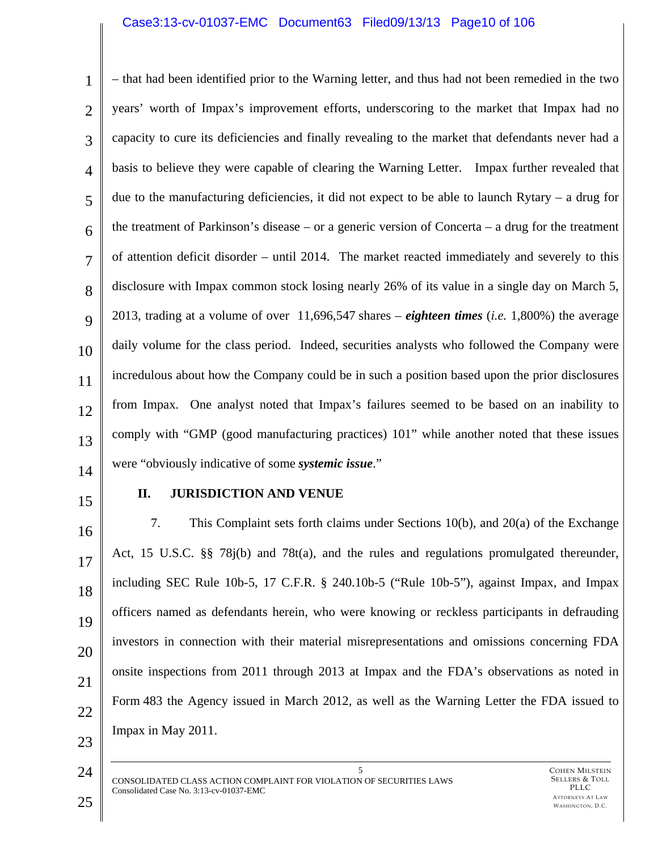### Case3:13-cv-01037-EMC Document63 Filed09/13/13 Page10 of 106

1 2 3 4 5 6 7 8  $\mathbf Q$ 10 11 12 13 – that had been identified prior to the Warning letter, and thus had not been remedied in the two years' worth of Impax's improvement efforts, underscoring to the market that Impax had no capacity to cure its deficiencies and finally revealing to the market that defendants never had a basis to believe they were capable of clearing the Warning Letter. Impax further revealed that due to the manufacturing deficiencies, it did not expect to be able to launch Rytary – a drug for the treatment of Parkinson's disease – or a generic version of Concerta – a drug for the treatment of attention deficit disorder – until 2014. The market reacted immediately and severely to this disclosure with Impax common stock losing nearly 26% of its value in a single day on March 5, 2013, trading at a volume of over 11,696,547 shares – *eighteen times* (*i.e.* 1,800%) the average daily volume for the class period. Indeed, securities analysts who followed the Company were incredulous about how the Company could be in such a position based upon the prior disclosures from Impax. One analyst noted that Impax's failures seemed to be based on an inability to comply with "GMP (good manufacturing practices) 101" while another noted that these issues were "obviously indicative of some *systemic issue*."

14

# 15

### **II. JURISDICTION AND VENUE**

16 17 18 19 20 21 22 23 7. This Complaint sets forth claims under Sections 10(b), and 20(a) of the Exchange Act, 15 U.S.C. §§ 78j(b) and 78t(a), and the rules and regulations promulgated thereunder, including SEC Rule 10b-5, 17 C.F.R. § 240.10b-5 ("Rule 10b-5"), against Impax, and Impax officers named as defendants herein, who were knowing or reckless participants in defrauding investors in connection with their material misrepresentations and omissions concerning FDA onsite inspections from 2011 through 2013 at Impax and the FDA's observations as noted in Form 483 the Agency issued in March 2012, as well as the Warning Letter the FDA issued to Impax in May 2011.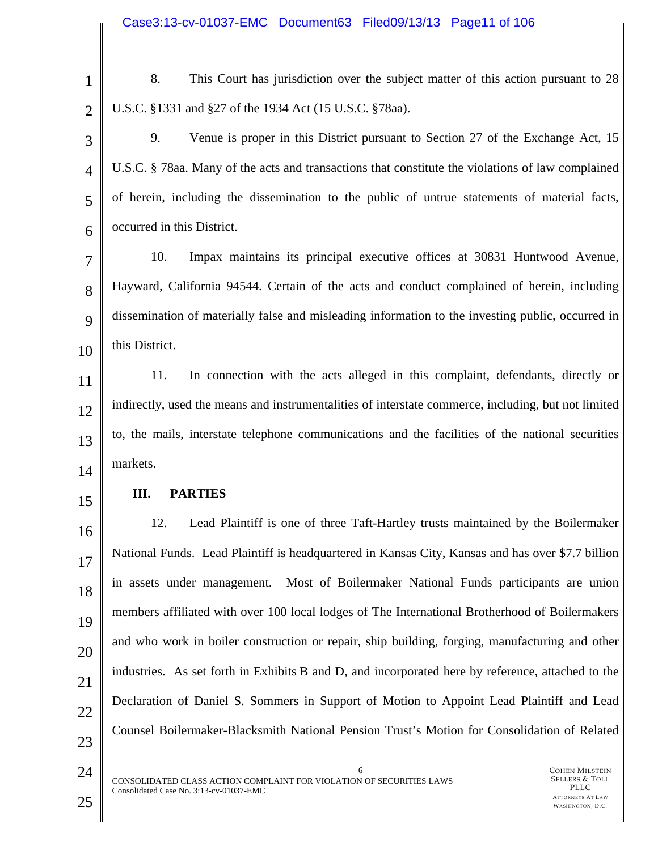2

1

8. This Court has jurisdiction over the subject matter of this action pursuant to 28 U.S.C. §1331 and §27 of the 1934 Act (15 U.S.C. §78aa).

3 4 5 6 9. Venue is proper in this District pursuant to Section 27 of the Exchange Act, 15 U.S.C. § 78aa. Many of the acts and transactions that constitute the violations of law complained of herein, including the dissemination to the public of untrue statements of material facts, occurred in this District.

7 8 9 10 10. Impax maintains its principal executive offices at 30831 Huntwood Avenue, Hayward, California 94544. Certain of the acts and conduct complained of herein, including dissemination of materially false and misleading information to the investing public, occurred in this District.

11 12 13 14 11. In connection with the acts alleged in this complaint, defendants, directly or indirectly, used the means and instrumentalities of interstate commerce, including, but not limited to, the mails, interstate telephone communications and the facilities of the national securities markets.

15

# **III. PARTIES**

16 17 18 19 20 21 22 23 12. Lead Plaintiff is one of three Taft-Hartley trusts maintained by the Boilermaker National Funds. Lead Plaintiff is headquartered in Kansas City, Kansas and has over \$7.7 billion in assets under management. Most of Boilermaker National Funds participants are union members affiliated with over 100 local lodges of The International Brotherhood of Boilermakers and who work in boiler construction or repair, ship building, forging, manufacturing and other industries. As set forth in Exhibits B and D, and incorporated here by reference, attached to the Declaration of Daniel S. Sommers in Support of Motion to Appoint Lead Plaintiff and Lead Counsel Boilermaker-Blacksmith National Pension Trust's Motion for Consolidation of Related

6

CONSOLIDATED CLASS ACTION COMPLAINT FOR VIOLATION OF SECURITIES LAWS Consolidated Case No. 3:13-cv-01037-EMC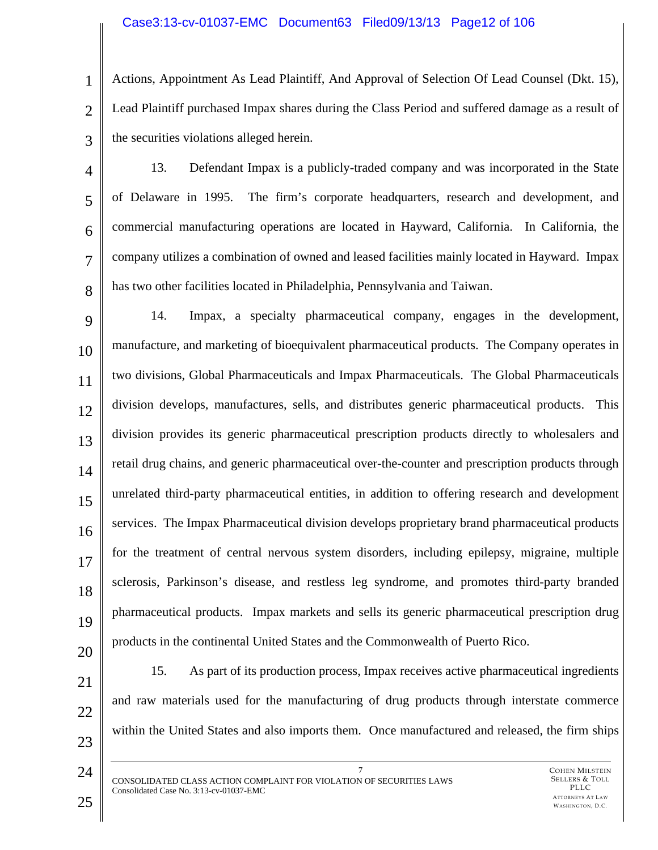### Case3:13-cv-01037-EMC Document63 Filed09/13/13 Page12 of 106

1 2 3 Actions, Appointment As Lead Plaintiff, And Approval of Selection Of Lead Counsel (Dkt. 15), Lead Plaintiff purchased Impax shares during the Class Period and suffered damage as a result of the securities violations alleged herein.

4 5 6 7 8 13. Defendant Impax is a publicly-traded company and was incorporated in the State of Delaware in 1995. The firm's corporate headquarters, research and development, and commercial manufacturing operations are located in Hayward, California. In California, the company utilizes a combination of owned and leased facilities mainly located in Hayward. Impax has two other facilities located in Philadelphia, Pennsylvania and Taiwan.

9 10 11 12 13 14 15 16 17 18 19 14. Impax, a specialty pharmaceutical company, engages in the development, manufacture, and marketing of bioequivalent pharmaceutical products. The Company operates in two divisions, Global Pharmaceuticals and Impax Pharmaceuticals. The Global Pharmaceuticals division develops, manufactures, sells, and distributes generic pharmaceutical products. This division provides its generic pharmaceutical prescription products directly to wholesalers and retail drug chains, and generic pharmaceutical over-the-counter and prescription products through unrelated third-party pharmaceutical entities, in addition to offering research and development services. The Impax Pharmaceutical division develops proprietary brand pharmaceutical products for the treatment of central nervous system disorders, including epilepsy, migraine, multiple sclerosis, Parkinson's disease, and restless leg syndrome, and promotes third-party branded pharmaceutical products. Impax markets and sells its generic pharmaceutical prescription drug products in the continental United States and the Commonwealth of Puerto Rico.

- 20 21
- 22

23

24

15. As part of its production process, Impax receives active pharmaceutical ingredients and raw materials used for the manufacturing of drug products through interstate commerce within the United States and also imports them. Once manufactured and released, the firm ships

7 CONSOLIDATED CLASS ACTION COMPLAINT FOR VIOLATION OF SECURITIES LAWS Consolidated Case No. 3:13-cv-01037-EMC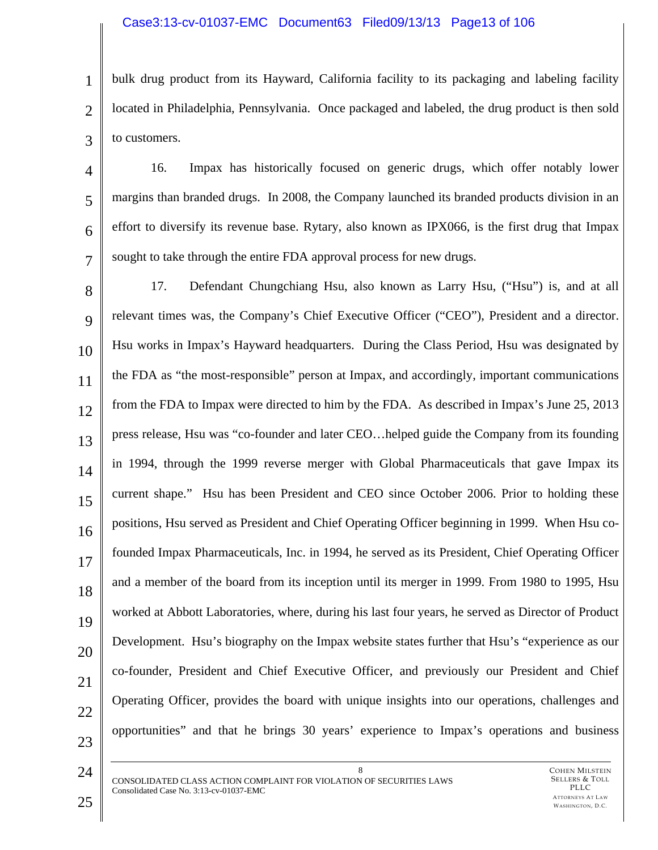### Case3:13-cv-01037-EMC Document63 Filed09/13/13 Page13 of 106

1 2 3 bulk drug product from its Hayward, California facility to its packaging and labeling facility located in Philadelphia, Pennsylvania. Once packaged and labeled, the drug product is then sold to customers.

4 5 6 7 16. Impax has historically focused on generic drugs, which offer notably lower margins than branded drugs. In 2008, the Company launched its branded products division in an effort to diversify its revenue base. Rytary, also known as IPX066, is the first drug that Impax sought to take through the entire FDA approval process for new drugs.

8 9 10 11 12 13 14 15 16 17 18 19 20 21 22 23 17. Defendant Chungchiang Hsu, also known as Larry Hsu, ("Hsu") is, and at all relevant times was, the Company's Chief Executive Officer ("CEO"), President and a director. Hsu works in Impax's Hayward headquarters. During the Class Period, Hsu was designated by the FDA as "the most-responsible" person at Impax, and accordingly, important communications from the FDA to Impax were directed to him by the FDA. As described in Impax's June 25, 2013 press release, Hsu was "co-founder and later CEO…helped guide the Company from its founding in 1994, through the 1999 reverse merger with Global Pharmaceuticals that gave Impax its current shape." Hsu has been President and CEO since October 2006. Prior to holding these positions, Hsu served as President and Chief Operating Officer beginning in 1999. When Hsu cofounded Impax Pharmaceuticals, Inc. in 1994, he served as its President, Chief Operating Officer and a member of the board from its inception until its merger in 1999. From 1980 to 1995, Hsu worked at Abbott Laboratories, where, during his last four years, he served as Director of Product Development. Hsu's biography on the Impax website states further that Hsu's "experience as our co-founder, President and Chief Executive Officer, and previously our President and Chief Operating Officer, provides the board with unique insights into our operations, challenges and opportunities" and that he brings 30 years' experience to Impax's operations and business

8 CONSOLIDATED CLASS ACTION COMPLAINT FOR VIOLATION OF SECURITIES LAWS Consolidated Case No. 3:13-cv-01037-EMC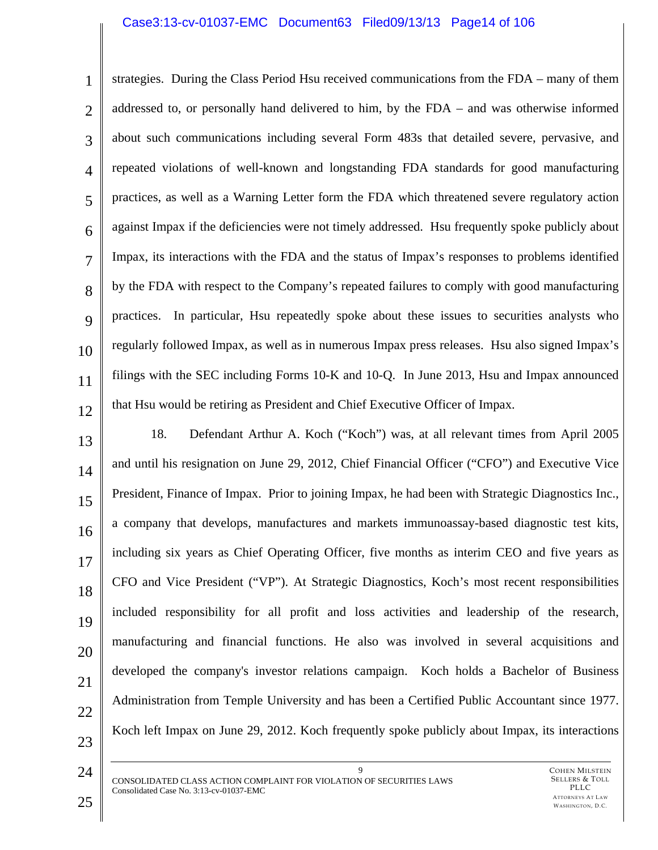### Case3:13-cv-01037-EMC Document63 Filed09/13/13 Page14 of 106

1 2 3 4 5 6 7 8 9 10 11 12 strategies. During the Class Period Hsu received communications from the FDA – many of them addressed to, or personally hand delivered to him, by the FDA – and was otherwise informed about such communications including several Form 483s that detailed severe, pervasive, and repeated violations of well-known and longstanding FDA standards for good manufacturing practices, as well as a Warning Letter form the FDA which threatened severe regulatory action against Impax if the deficiencies were not timely addressed. Hsu frequently spoke publicly about Impax, its interactions with the FDA and the status of Impax's responses to problems identified by the FDA with respect to the Company's repeated failures to comply with good manufacturing practices. In particular, Hsu repeatedly spoke about these issues to securities analysts who regularly followed Impax, as well as in numerous Impax press releases. Hsu also signed Impax's filings with the SEC including Forms 10-K and 10-Q. In June 2013, Hsu and Impax announced that Hsu would be retiring as President and Chief Executive Officer of Impax.

13 14 15 16 17 18 19 20 21 22 23 18. Defendant Arthur A. Koch ("Koch") was, at all relevant times from April 2005 and until his resignation on June 29, 2012, Chief Financial Officer ("CFO") and Executive Vice President, Finance of Impax. Prior to joining Impax, he had been with Strategic Diagnostics Inc., a company that develops, manufactures and markets immunoassay-based diagnostic test kits, including six years as Chief Operating Officer, five months as interim CEO and five years as CFO and Vice President ("VP"). At Strategic Diagnostics, Koch's most recent responsibilities included responsibility for all profit and loss activities and leadership of the research, manufacturing and financial functions. He also was involved in several acquisitions and developed the company's investor relations campaign. Koch holds a Bachelor of Business Administration from Temple University and has been a Certified Public Accountant since 1977. Koch left Impax on June 29, 2012. Koch frequently spoke publicly about Impax, its interactions

9 CONSOLIDATED CLASS ACTION COMPLAINT FOR VIOLATION OF SECURITIES LAWS Consolidated Case No. 3:13-cv-01037-EMC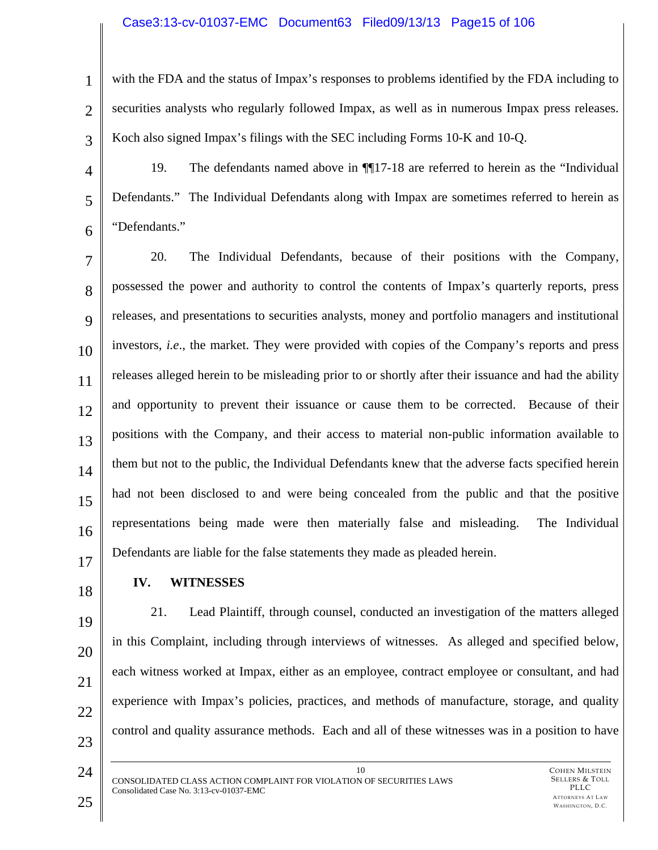### Case3:13-cv-01037-EMC Document63 Filed09/13/13 Page15 of 106

2 3

4

5

6

1

with the FDA and the status of Impax's responses to problems identified by the FDA including to securities analysts who regularly followed Impax, as well as in numerous Impax press releases. Koch also signed Impax's filings with the SEC including Forms 10-K and 10-Q.

19. The defendants named above in ¶¶17-18 are referred to herein as the "Individual Defendants." The Individual Defendants along with Impax are sometimes referred to herein as "Defendants."

7 8  $\mathbf Q$ 10 11 12 13 14 15 16 17 20. The Individual Defendants, because of their positions with the Company, possessed the power and authority to control the contents of Impax's quarterly reports, press releases, and presentations to securities analysts, money and portfolio managers and institutional investors, *i.e*., the market. They were provided with copies of the Company's reports and press releases alleged herein to be misleading prior to or shortly after their issuance and had the ability and opportunity to prevent their issuance or cause them to be corrected. Because of their positions with the Company, and their access to material non-public information available to them but not to the public, the Individual Defendants knew that the adverse facts specified herein had not been disclosed to and were being concealed from the public and that the positive representations being made were then materially false and misleading. The Individual Defendants are liable for the false statements they made as pleaded herein.

18

# **IV. WITNESSES**

19 20

- 21
- 22
- 23

24

21. Lead Plaintiff, through counsel, conducted an investigation of the matters alleged in this Complaint, including through interviews of witnesses. As alleged and specified below, each witness worked at Impax, either as an employee, contract employee or consultant, and had experience with Impax's policies, practices, and methods of manufacture, storage, and quality control and quality assurance methods. Each and all of these witnesses was in a position to have

10

CONSOLIDATED CLASS ACTION COMPLAINT FOR VIOLATION OF SECURITIES LAWS Consolidated Case No. 3:13-cv-01037-EMC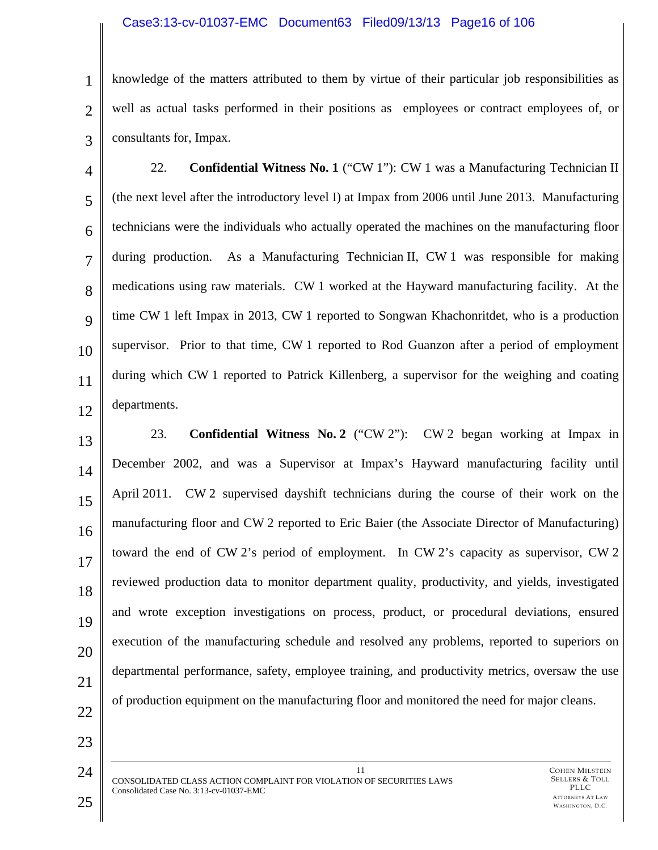### Case3:13-cv-01037-EMC Document63 Filed09/13/13 Page16 of 106

1 2 3 knowledge of the matters attributed to them by virtue of their particular job responsibilities as well as actual tasks performed in their positions as employees or contract employees of, or consultants for, Impax.

4 5 6 7 8  $\mathbf Q$ 10 11 12 22. **Confidential Witness No. 1** ("CW 1"): CW 1 was a Manufacturing Technician II (the next level after the introductory level I) at Impax from 2006 until June 2013. Manufacturing technicians were the individuals who actually operated the machines on the manufacturing floor during production. As a Manufacturing Technician II, CW 1 was responsible for making medications using raw materials. CW 1 worked at the Hayward manufacturing facility. At the time CW 1 left Impax in 2013, CW 1 reported to Songwan Khachonritdet, who is a production supervisor. Prior to that time, CW 1 reported to Rod Guanzon after a period of employment during which CW 1 reported to Patrick Killenberg, a supervisor for the weighing and coating departments.

13 14 15 16 17 18 19 20 21 23. **Confidential Witness No. 2** ("CW 2"): CW 2 began working at Impax in December 2002, and was a Supervisor at Impax's Hayward manufacturing facility until April 2011. CW 2 supervised dayshift technicians during the course of their work on the manufacturing floor and CW 2 reported to Eric Baier (the Associate Director of Manufacturing) toward the end of CW 2's period of employment. In CW 2's capacity as supervisor, CW 2 reviewed production data to monitor department quality, productivity, and yields, investigated and wrote exception investigations on process, product, or procedural deviations, ensured execution of the manufacturing schedule and resolved any problems, reported to superiors on departmental performance, safety, employee training, and productivity metrics, oversaw the use of production equipment on the manufacturing floor and monitored the need for major cleans.

22

23

24

11 CONSOLIDATED CLASS ACTION COMPLAINT FOR VIOLATION OF SECURITIES LAWS Consolidated Case No. 3:13-cv-01037-EMC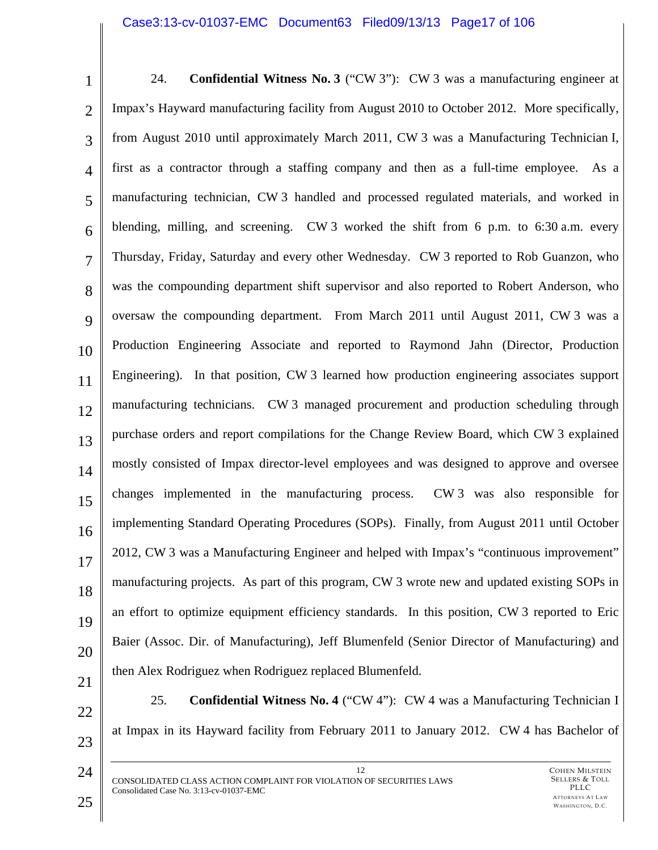### Case3:13-cv-01037-EMC Document63 Filed09/13/13 Page17 of 106

| $\mathbf{1}$   | 24.<br><b>Confidential Witness No. 3</b> ("CW 3"): CW 3 was a manufacturing engineer at       |
|----------------|-----------------------------------------------------------------------------------------------|
| $\overline{2}$ | Impax's Hayward manufacturing facility from August 2010 to October 2012. More specifically,   |
| 3              | from August 2010 until approximately March 2011, CW 3 was a Manufacturing Technician I,       |
| $\overline{4}$ | first as a contractor through a staffing company and then as a full-time employee. As a       |
| 5              | manufacturing technician, CW 3 handled and processed regulated materials, and worked in       |
| 6              | blending, milling, and screening. CW 3 worked the shift from 6 p.m. to 6:30 a.m. every        |
| $\overline{7}$ | Thursday, Friday, Saturday and every other Wednesday. CW 3 reported to Rob Guanzon, who       |
| 8              | was the compounding department shift supervisor and also reported to Robert Anderson, who     |
| 9              | oversaw the compounding department. From March 2011 until August 2011, CW 3 was a             |
| 10             | Production Engineering Associate and reported to Raymond Jahn (Director, Production           |
| 11             | Engineering). In that position, CW 3 learned how production engineering associates support    |
| 12             | manufacturing technicians. CW 3 managed procurement and production scheduling through         |
| 13             | purchase orders and report compilations for the Change Review Board, which CW 3 explained     |
| 14             | mostly consisted of Impax director-level employees and was designed to approve and oversee    |
| 15             | changes implemented in the manufacturing process.<br>CW 3 was also responsible for            |
| 16             | implementing Standard Operating Procedures (SOPs). Finally, from August 2011 until October    |
| 17             | 2012, CW 3 was a Manufacturing Engineer and helped with Impax's "continuous improvement"      |
| 18             | manufacturing projects. As part of this program, CW 3 wrote new and updated existing SOPs in  |
| 19             | an effort to optimize equipment efficiency standards. In this position, CW 3 reported to Eric |
| 20             | Baier (Assoc. Dir. of Manufacturing), Jeff Blumenfeld (Senior Director of Manufacturing) and  |
| 21             | then Alex Rodriguez when Rodriguez replaced Blumenfeld.                                       |
|                | 25.<br><b>Confidential Witness No. 4</b> ("CW 4"): CW 4 was a Manufacturing Technician I      |

22

23

24

at Impax in its Hayward facility from February 2011 to January 2012. CW 4 has Bachelor of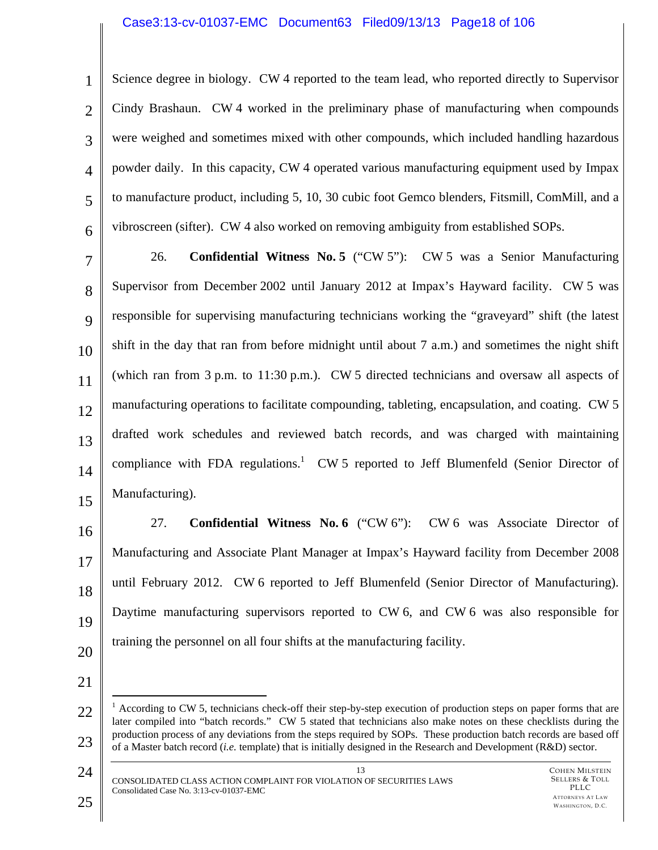### Case3:13-cv-01037-EMC Document63 Filed09/13/13 Page18 of 106

1 2 3 4 5 6 Science degree in biology. CW 4 reported to the team lead, who reported directly to Supervisor Cindy Brashaun. CW 4 worked in the preliminary phase of manufacturing when compounds were weighed and sometimes mixed with other compounds, which included handling hazardous powder daily. In this capacity, CW 4 operated various manufacturing equipment used by Impax to manufacture product, including 5, 10, 30 cubic foot Gemco blenders, Fitsmill, ComMill, and a vibroscreen (sifter). CW 4 also worked on removing ambiguity from established SOPs.

7 8 9 10 11 12 13 14 15 26. **Confidential Witness No. 5** ("CW 5"): CW 5 was a Senior Manufacturing Supervisor from December 2002 until January 2012 at Impax's Hayward facility. CW 5 was responsible for supervising manufacturing technicians working the "graveyard" shift (the latest shift in the day that ran from before midnight until about 7 a.m.) and sometimes the night shift (which ran from 3 p.m. to 11:30 p.m.). CW 5 directed technicians and oversaw all aspects of manufacturing operations to facilitate compounding, tableting, encapsulation, and coating. CW 5 drafted work schedules and reviewed batch records, and was charged with maintaining compliance with FDA regulations.<sup>1</sup> CW 5 reported to Jeff Blumenfeld (Senior Director of Manufacturing).

27. **Confidential Witness No. 6** ("CW 6"): CW 6 was Associate Director of Manufacturing and Associate Plant Manager at Impax's Hayward facility from December 2008 until February 2012. CW 6 reported to Jeff Blumenfeld (Senior Director of Manufacturing). Daytime manufacturing supervisors reported to CW 6, and CW 6 was also responsible for training the personnel on all four shifts at the manufacturing facility.

21

16

17

18

19

20

13 CONSOLIDATED CLASS ACTION COMPLAINT FOR VIOLATION OF SECURITIES LAWS Consolidated Case No. 3:13-cv-01037-EMC

<sup>22</sup>  23  $\overline{a}$  $1$  According to CW 5, technicians check-off their step-by-step execution of production steps on paper forms that are later compiled into "batch records." CW 5 stated that technicians also make notes on these checklists during the production process of any deviations from the steps required by SOPs. These production batch records are based off of a Master batch record (*i.e.* template) that is initially designed in the Research and Development (R&D) sector.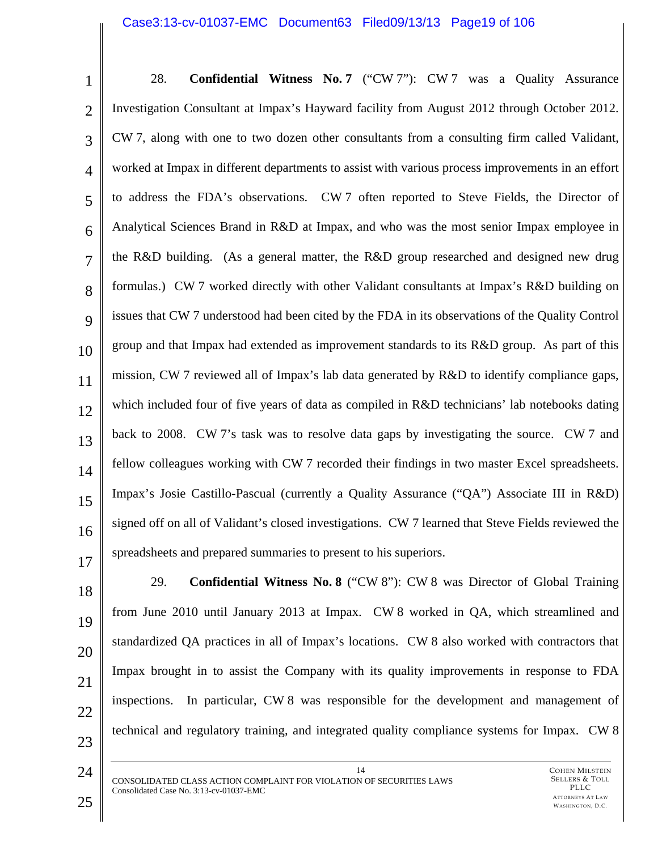### Case3:13-cv-01037-EMC Document63 Filed09/13/13 Page19 of 106

| $\mathbf{1}$   | 28.<br><b>Confidential Witness No. 7</b> ("CW 7"): CW 7 was a Quality Assurance                    |
|----------------|----------------------------------------------------------------------------------------------------|
| $\overline{2}$ | Investigation Consultant at Impax's Hayward facility from August 2012 through October 2012.        |
| 3              | CW 7, along with one to two dozen other consultants from a consulting firm called Validant,        |
| $\overline{4}$ | worked at Impax in different departments to assist with various process improvements in an effort  |
| 5              | to address the FDA's observations. CW 7 often reported to Steve Fields, the Director of            |
| 6              | Analytical Sciences Brand in R&D at Impax, and who was the most senior Impax employee in           |
| $\overline{7}$ | the R&D building. (As a general matter, the R&D group researched and designed new drug             |
| 8              | formulas.) CW 7 worked directly with other Validant consultants at Impax's R&D building on         |
| 9              | issues that CW 7 understood had been cited by the FDA in its observations of the Quality Control   |
| 10             | group and that Impax had extended as improvement standards to its R&D group. As part of this       |
| 11             | mission, CW 7 reviewed all of Impax's lab data generated by R&D to identify compliance gaps,       |
| 12             | which included four of five years of data as compiled in R&D technicians' lab notebooks dating     |
| 13             | back to 2008. CW 7's task was to resolve data gaps by investigating the source. CW 7 and           |
| 14             | fellow colleagues working with CW 7 recorded their findings in two master Excel spreadsheets.      |
| 15             | Impax's Josie Castillo-Pascual (currently a Quality Assurance ("QA") Associate III in R&D)         |
| 16             | signed off on all of Validant's closed investigations. CW 7 learned that Steve Fields reviewed the |
| 17             | spreadsheets and prepared summaries to present to his superiors.                                   |

18 19 20

21

22 23 from June 2010 until January 2013 at Impax. CW 8 worked in QA, which streamlined and standardized QA practices in all of Impax's locations. CW 8 also worked with contractors that Impax brought in to assist the Company with its quality improvements in response to FDA inspections. In particular, CW 8 was responsible for the development and management of technical and regulatory training, and integrated quality compliance systems for Impax. CW 8

29. **Confidential Witness No. 8** ("CW 8"): CW 8 was Director of Global Training

14 CONSOLIDATED CLASS ACTION COMPLAINT FOR VIOLATION OF SECURITIES LAWS Consolidated Case No. 3:13-cv-01037-EMC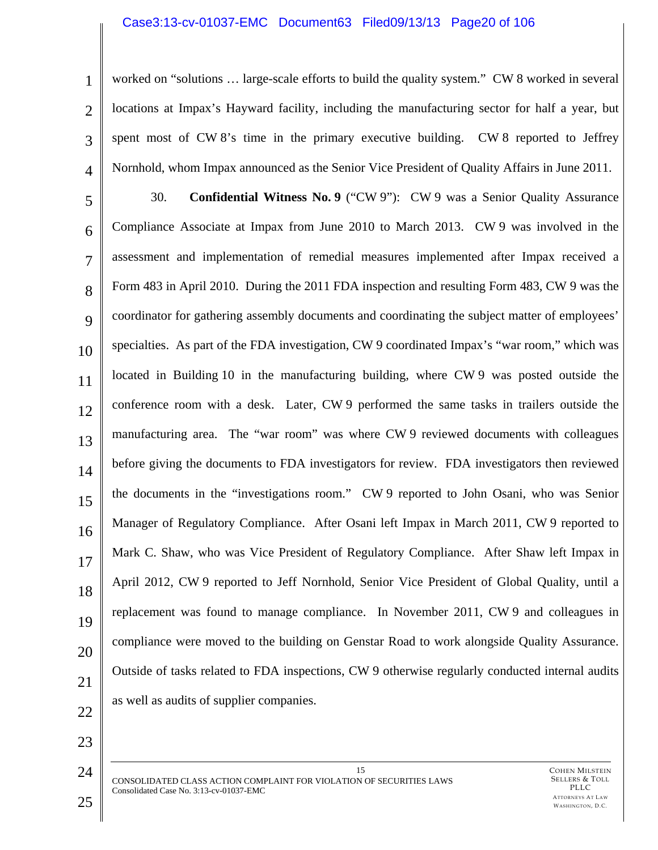### Case3:13-cv-01037-EMC Document63 Filed09/13/13 Page20 of 106

1 2 3 4 worked on "solutions … large-scale efforts to build the quality system." CW 8 worked in several locations at Impax's Hayward facility, including the manufacturing sector for half a year, but spent most of CW 8's time in the primary executive building. CW 8 reported to Jeffrey Nornhold, whom Impax announced as the Senior Vice President of Quality Affairs in June 2011.

5 6 7 8  $\mathbf Q$ 10 11 12 13 14 15 16 17 18 19 20 21 30. **Confidential Witness No. 9** ("CW 9"): CW 9 was a Senior Quality Assurance Compliance Associate at Impax from June 2010 to March 2013. CW 9 was involved in the assessment and implementation of remedial measures implemented after Impax received a Form 483 in April 2010. During the 2011 FDA inspection and resulting Form 483, CW 9 was the coordinator for gathering assembly documents and coordinating the subject matter of employees' specialties. As part of the FDA investigation, CW 9 coordinated Impax's "war room," which was located in Building 10 in the manufacturing building, where CW 9 was posted outside the conference room with a desk. Later, CW 9 performed the same tasks in trailers outside the manufacturing area. The "war room" was where CW 9 reviewed documents with colleagues before giving the documents to FDA investigators for review. FDA investigators then reviewed the documents in the "investigations room." CW 9 reported to John Osani, who was Senior Manager of Regulatory Compliance. After Osani left Impax in March 2011, CW 9 reported to Mark C. Shaw, who was Vice President of Regulatory Compliance. After Shaw left Impax in April 2012, CW 9 reported to Jeff Nornhold, Senior Vice President of Global Quality, until a replacement was found to manage compliance. In November 2011, CW 9 and colleagues in compliance were moved to the building on Genstar Road to work alongside Quality Assurance. Outside of tasks related to FDA inspections, CW 9 otherwise regularly conducted internal audits as well as audits of supplier companies.

22

23

24 CONSOLIDATED CLASS ACTION COMPLAINT FOR VIOLATION OF SECURITIES LAWS Consolidated Case No. 3:13-cv-01037-EMC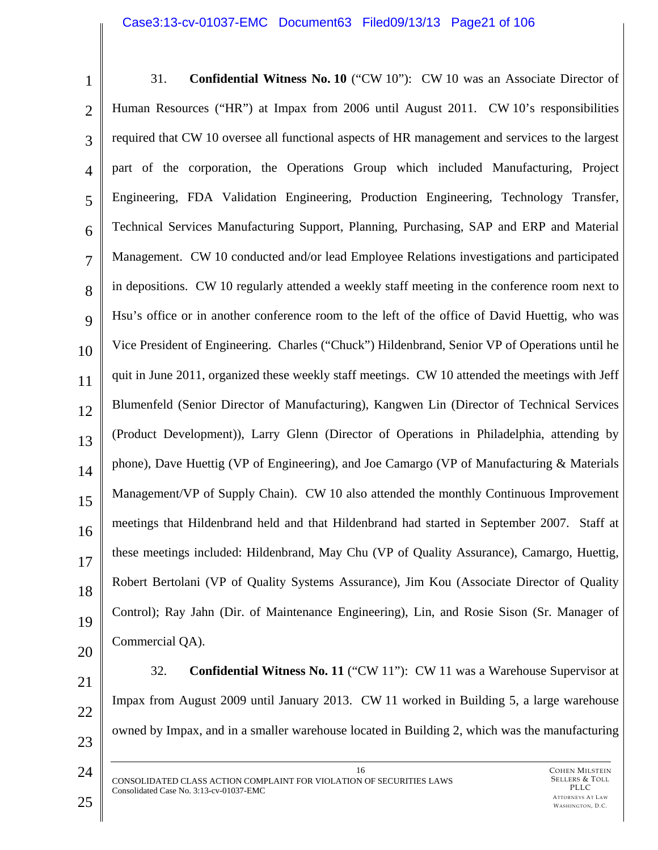### Case3:13-cv-01037-EMC Document63 Filed09/13/13 Page21 of 106

| $\mathbf{1}$   | <b>Confidential Witness No. 10</b> ("CW 10"): CW 10 was an Associate Director of<br>31.         |
|----------------|-------------------------------------------------------------------------------------------------|
| $\overline{2}$ | Human Resources ("HR") at Impax from 2006 until August 2011. CW 10's responsibilities           |
| 3              | required that CW 10 oversee all functional aspects of HR management and services to the largest |
| $\overline{4}$ | part of the corporation, the Operations Group which included Manufacturing, Project             |
| 5              | Engineering, FDA Validation Engineering, Production Engineering, Technology Transfer,           |
| 6              | Technical Services Manufacturing Support, Planning, Purchasing, SAP and ERP and Material        |
| $\overline{7}$ | Management. CW 10 conducted and/or lead Employee Relations investigations and participated      |
| 8              | in depositions. CW 10 regularly attended a weekly staff meeting in the conference room next to  |
| 9              | Hsu's office or in another conference room to the left of the office of David Huettig, who was  |
| 10             | Vice President of Engineering. Charles ("Chuck") Hildenbrand, Senior VP of Operations until he  |
| 11             | quit in June 2011, organized these weekly staff meetings. CW 10 attended the meetings with Jeff |
| 12             | Blumenfeld (Senior Director of Manufacturing), Kangwen Lin (Director of Technical Services      |
| 13             | (Product Development)), Larry Glenn (Director of Operations in Philadelphia, attending by       |
| 14             | phone), Dave Huettig (VP of Engineering), and Joe Camargo (VP of Manufacturing & Materials      |
| 15             | Management/VP of Supply Chain). CW 10 also attended the monthly Continuous Improvement          |
| 16             | meetings that Hildenbrand held and that Hildenbrand had started in September 2007. Staff at     |
| 17             | these meetings included: Hildenbrand, May Chu (VP of Quality Assurance), Camargo, Huettig,      |
| 18             | Robert Bertolani (VP of Quality Systems Assurance), Jim Kou (Associate Director of Quality      |
| 19             | Control); Ray Jahn (Dir. of Maintenance Engineering), Lin, and Rosie Sison (Sr. Manager of      |
| 20             | Commercial QA).                                                                                 |
|                |                                                                                                 |

- 21 22 23 32. **Confidential Witness No. 11** ("CW 11"): CW 11 was a Warehouse Supervisor at Impax from August 2009 until January 2013. CW 11 worked in Building 5, a large warehouse owned by Impax, and in a smaller warehouse located in Building 2, which was the manufacturing
	- 16 CONSOLIDATED CLASS ACTION COMPLAINT FOR VIOLATION OF SECURITIES LAWS Consolidated Case No. 3:13-cv-01037-EMC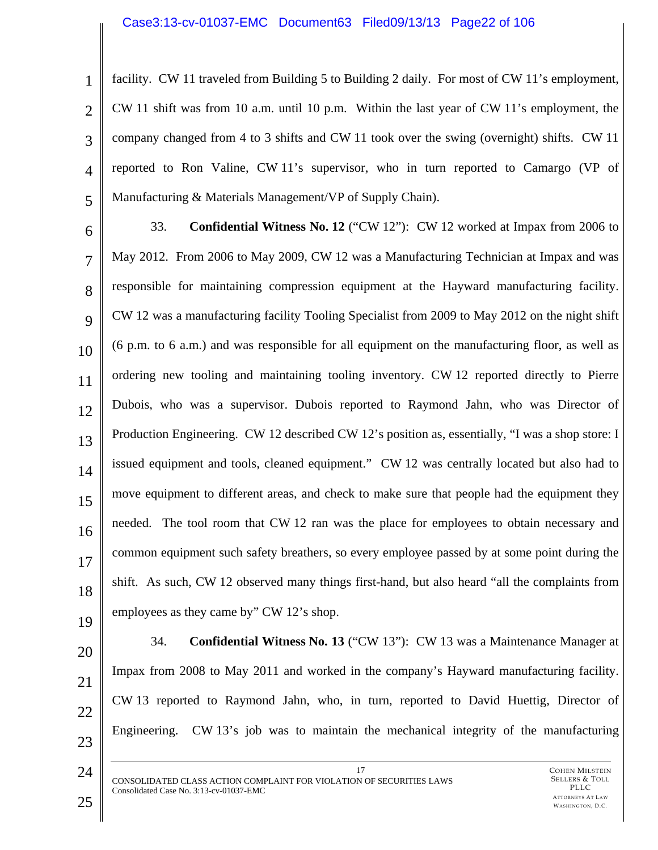#### Case3:13-cv-01037-EMC Document63 Filed09/13/13 Page22 of 106

1 2 3 4 5 facility. CW 11 traveled from Building 5 to Building 2 daily. For most of CW 11's employment, CW 11 shift was from 10 a.m. until 10 p.m. Within the last year of CW 11's employment, the company changed from 4 to 3 shifts and CW 11 took over the swing (overnight) shifts. CW 11 reported to Ron Valine, CW 11's supervisor, who in turn reported to Camargo (VP of Manufacturing & Materials Management/VP of Supply Chain).

6

7 8  $\mathbf Q$ 10 11 12 13 14 15 16 17 18 19 33. **Confidential Witness No. 12** ("CW 12"): CW 12 worked at Impax from 2006 to May 2012. From 2006 to May 2009, CW 12 was a Manufacturing Technician at Impax and was responsible for maintaining compression equipment at the Hayward manufacturing facility. CW 12 was a manufacturing facility Tooling Specialist from 2009 to May 2012 on the night shift (6 p.m. to 6 a.m.) and was responsible for all equipment on the manufacturing floor, as well as ordering new tooling and maintaining tooling inventory. CW 12 reported directly to Pierre Dubois, who was a supervisor. Dubois reported to Raymond Jahn, who was Director of Production Engineering. CW 12 described CW 12's position as, essentially, "I was a shop store: I issued equipment and tools, cleaned equipment." CW 12 was centrally located but also had to move equipment to different areas, and check to make sure that people had the equipment they needed. The tool room that CW 12 ran was the place for employees to obtain necessary and common equipment such safety breathers, so every employee passed by at some point during the shift. As such, CW 12 observed many things first-hand, but also heard "all the complaints from employees as they came by" CW 12's shop.

20

21

22

34. **Confidential Witness No. 13** ("CW 13"): CW 13 was a Maintenance Manager at Impax from 2008 to May 2011 and worked in the company's Hayward manufacturing facility. CW 13 reported to Raymond Jahn, who, in turn, reported to David Huettig, Director of Engineering. CW 13's job was to maintain the mechanical integrity of the manufacturing

17

24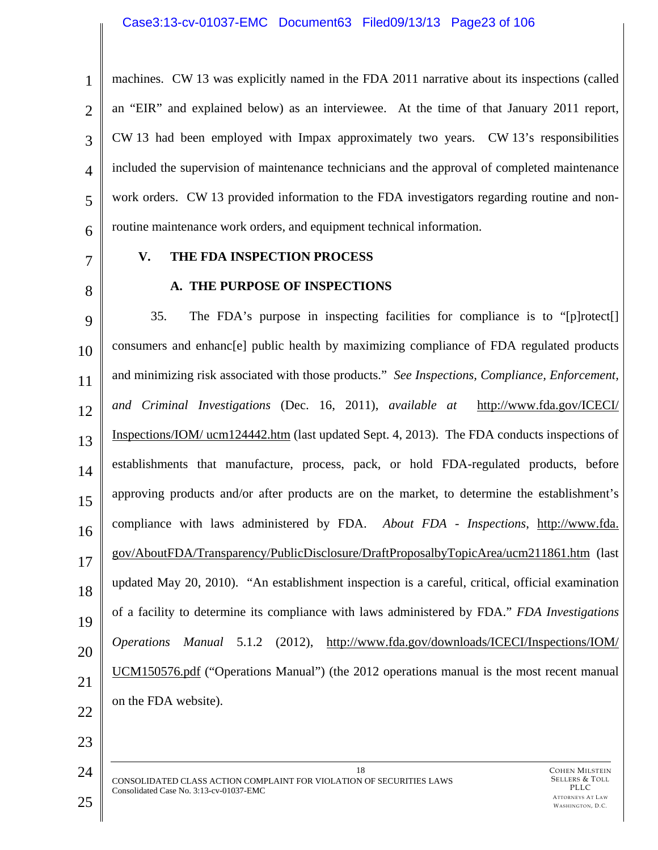#### Case3:13-cv-01037-EMC Document63 Filed09/13/13 Page23 of 106

1 2 3 4 5 6 machines. CW 13 was explicitly named in the FDA 2011 narrative about its inspections (called an "EIR" and explained below) as an interviewee. At the time of that January 2011 report, CW 13 had been employed with Impax approximately two years. CW 13's responsibilities included the supervision of maintenance technicians and the approval of completed maintenance work orders. CW 13 provided information to the FDA investigators regarding routine and nonroutine maintenance work orders, and equipment technical information.

7

8

### **V. THE FDA INSPECTION PROCESS**

### **A. THE PURPOSE OF INSPECTIONS**

9 10 11 12 13 14 15 16 17 18 19 20 21 22 35. The FDA's purpose in inspecting facilities for compliance is to "[p]rotect[] consumers and enhanc[e] public health by maximizing compliance of FDA regulated products and minimizing risk associated with those products." *See Inspections, Compliance, Enforcement, and Criminal Investigations* (Dec. 16, 2011), *available at* http://www.fda.gov/ICECI/ Inspections/IOM/ ucm124442.htm (last updated Sept. 4, 2013). The FDA conducts inspections of establishments that manufacture, process, pack, or hold FDA-regulated products, before approving products and/or after products are on the market, to determine the establishment's compliance with laws administered by FDA. *About FDA - Inspections*, http://www.fda. gov/AboutFDA/Transparency/PublicDisclosure/DraftProposalbyTopicArea/ucm211861.htm (last updated May 20, 2010). "An establishment inspection is a careful, critical, official examination of a facility to determine its compliance with laws administered by FDA." *FDA Investigations Operations Manual* 5.1.2 (2012), http://www.fda.gov/downloads/ICECI/Inspections/IOM/ UCM150576.pdf ("Operations Manual") (the 2012 operations manual is the most recent manual on the FDA website).

24 18 CONSOLIDATED CLASS ACTION COMPLAINT FOR VIOLATION OF SECURITIES LAWS Consolidated Case No. 3:13-cv-01037-EMC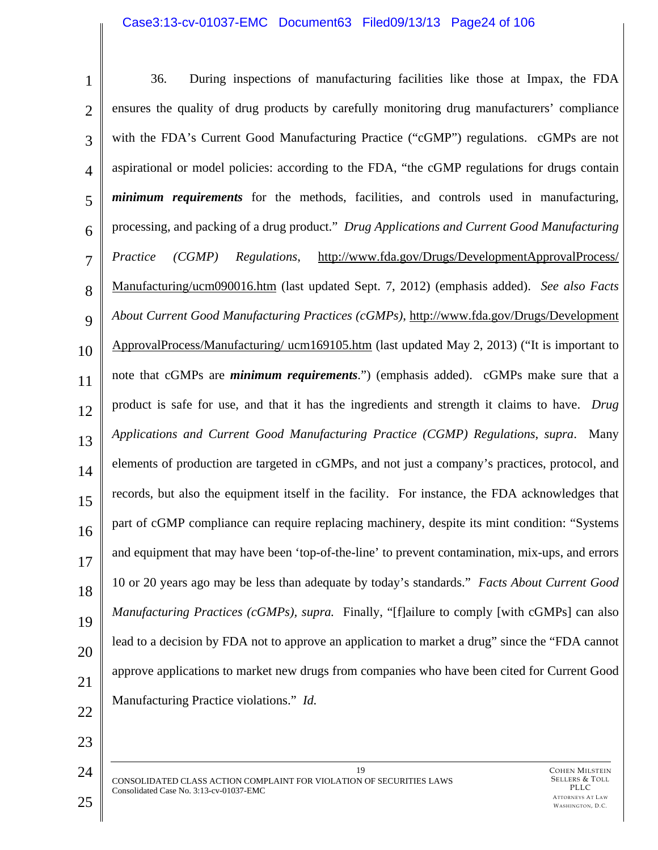# Case3:13-cv-01037-EMC Document63 Filed09/13/13 Page24 of 106

| $\mathbf{1}$   | During inspections of manufacturing facilities like those at Impax, the FDA<br>36.                 |
|----------------|----------------------------------------------------------------------------------------------------|
| $\overline{2}$ | ensures the quality of drug products by carefully monitoring drug manufacturers' compliance        |
| 3              | with the FDA's Current Good Manufacturing Practice ("cGMP") regulations. cGMPs are not             |
| $\overline{4}$ | aspirational or model policies: according to the FDA, "the cGMP regulations for drugs contain      |
| 5              | <i>minimum requirements</i> for the methods, facilities, and controls used in manufacturing,       |
| 6              | processing, and packing of a drug product." Drug Applications and Current Good Manufacturing       |
| $\overline{7}$ | http://www.fda.gov/Drugs/DevelopmentApprovalProcess/<br>(CGMP)<br>Regulations,<br>Practice         |
| 8              | Manufacturing/ucm090016.htm (last updated Sept. 7, 2012) (emphasis added). See also Facts          |
| 9              | About Current Good Manufacturing Practices (cGMPs), http://www.fda.gov/Drugs/Development           |
| 10             | ApprovalProcess/Manufacturing/ ucm169105.htm (last updated May 2, 2013) ("It is important to       |
| 11             | note that cGMPs are <i>minimum requirements</i> .") (emphasis added). cGMPs make sure that a       |
| 12             | product is safe for use, and that it has the ingredients and strength it claims to have. Drug      |
| 13             | Applications and Current Good Manufacturing Practice (CGMP) Regulations, supra.<br>Many            |
| 14             | elements of production are targeted in cGMPs, and not just a company's practices, protocol, and    |
| 15             | records, but also the equipment itself in the facility. For instance, the FDA acknowledges that    |
| 16             | part of cGMP compliance can require replacing machinery, despite its mint condition: "Systems"     |
| 17             | and equipment that may have been 'top-of-the-line' to prevent contamination, mix-ups, and errors   |
| 18             | 10 or 20 years ago may be less than adequate by today's standards." Facts About Current Good       |
| 19             | <i>Manufacturing Practices (cGMPs), supra.</i> Finally, "[f]ailure to comply [with cGMPs] can also |
| 20             | lead to a decision by FDA not to approve an application to market a drug" since the "FDA cannot    |
| 21             | approve applications to market new drugs from companies who have been cited for Current Good       |
| 22             | Manufacturing Practice violations." Id.                                                            |
| 23             |                                                                                                    |
| 24             | 19<br><b>COHEN MILSTEIN</b>                                                                        |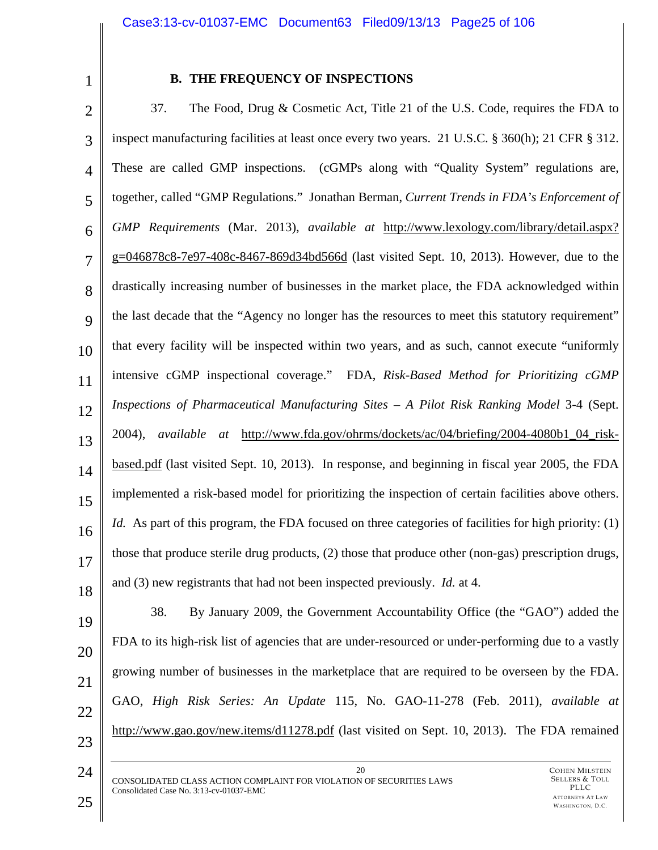1

### **B. THE FREQUENCY OF INSPECTIONS**

2 3 4 5 6 7 8  $\mathbf Q$ 10 11 12 13 14 15 16 17 18 37. The Food, Drug & Cosmetic Act, Title 21 of the U.S. Code, requires the FDA to inspect manufacturing facilities at least once every two years. 21 U.S.C. § 360(h); 21 CFR § 312. These are called GMP inspections. (cGMPs along with "Quality System" regulations are, together, called "GMP Regulations." Jonathan Berman, *Current Trends in FDA's Enforcement of GMP Requirements* (Mar. 2013), *available at* http://www.lexology.com/library/detail.aspx? g=046878c8-7e97-408c-8467-869d34bd566d (last visited Sept. 10, 2013). However, due to the drastically increasing number of businesses in the market place, the FDA acknowledged within the last decade that the "Agency no longer has the resources to meet this statutory requirement" that every facility will be inspected within two years, and as such, cannot execute "uniformly intensive cGMP inspectional coverage." FDA, *Risk-Based Method for Prioritizing cGMP*  Inspections of Pharmaceutical Manufacturing Sites – A Pilot Risk Ranking Model 3-4 (Sept. 2004), *available at* http://www.fda.gov/ohrms/dockets/ac/04/briefing/2004-4080b1\_04\_riskbased.pdf (last visited Sept. 10, 2013). In response, and beginning in fiscal year 2005, the FDA implemented a risk-based model for prioritizing the inspection of certain facilities above others. *Id.* As part of this program, the FDA focused on three categories of facilities for high priority: (1) those that produce sterile drug products, (2) those that produce other (non-gas) prescription drugs, and (3) new registrants that had not been inspected previously. *Id.* at 4.

19 20 21 22 23 38. By January 2009, the Government Accountability Office (the "GAO") added the FDA to its high-risk list of agencies that are under-resourced or under-performing due to a vastly growing number of businesses in the marketplace that are required to be overseen by the FDA. GAO, *High Risk Series: An Update* 115, No. GAO-11-278 (Feb. 2011), *available at* http://www.gao.gov/new.items/d11278.pdf (last visited on Sept. 10, 2013). The FDA remained

20 CONSOLIDATED CLASS ACTION COMPLAINT FOR VIOLATION OF SECURITIES LAWS Consolidated Case No. 3:13-cv-01037-EMC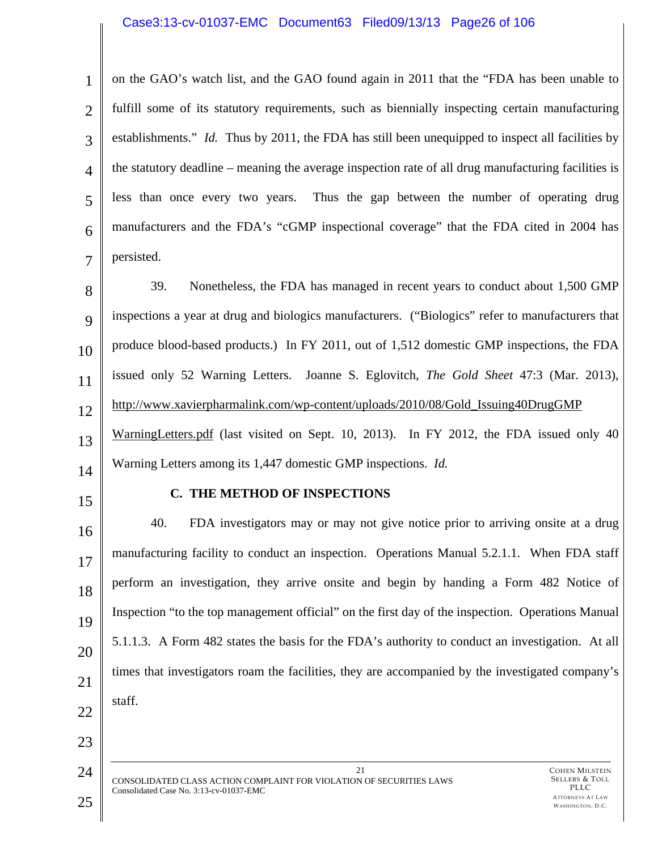#### Case3:13-cv-01037-EMC Document63 Filed09/13/13 Page26 of 106

1 2 3 4 5 6 7 on the GAO's watch list, and the GAO found again in 2011 that the "FDA has been unable to fulfill some of its statutory requirements, such as biennially inspecting certain manufacturing establishments." *Id.* Thus by 2011, the FDA has still been unequipped to inspect all facilities by the statutory deadline – meaning the average inspection rate of all drug manufacturing facilities is less than once every two years. Thus the gap between the number of operating drug manufacturers and the FDA's "cGMP inspectional coverage" that the FDA cited in 2004 has persisted.

8 9 10 11 12 13 39. Nonetheless, the FDA has managed in recent years to conduct about 1,500 GMP inspections a year at drug and biologics manufacturers. ("Biologics" refer to manufacturers that produce blood-based products.) In FY 2011, out of 1,512 domestic GMP inspections, the FDA issued only 52 Warning Letters. Joanne S. Eglovitch, *The Gold Sheet* 47:3 (Mar. 2013), http://www.xavierpharmalink.com/wp-content/uploads/2010/08/Gold\_Issuing40DrugGMP WarningLetters.pdf (last visited on Sept. 10, 2013). In FY 2012, the FDA issued only 40 Warning Letters among its 1,447 domestic GMP inspections. *Id.* 

- 14
- 15

### **C. THE METHOD OF INSPECTIONS**

16 17 18 19 20 21 22 40. FDA investigators may or may not give notice prior to arriving onsite at a drug manufacturing facility to conduct an inspection. Operations Manual 5.2.1.1. When FDA staff perform an investigation, they arrive onsite and begin by handing a Form 482 Notice of Inspection "to the top management official" on the first day of the inspection. Operations Manual 5.1.1.3. A Form 482 states the basis for the FDA's authority to conduct an investigation. At all times that investigators roam the facilities, they are accompanied by the investigated company's staff.

21

24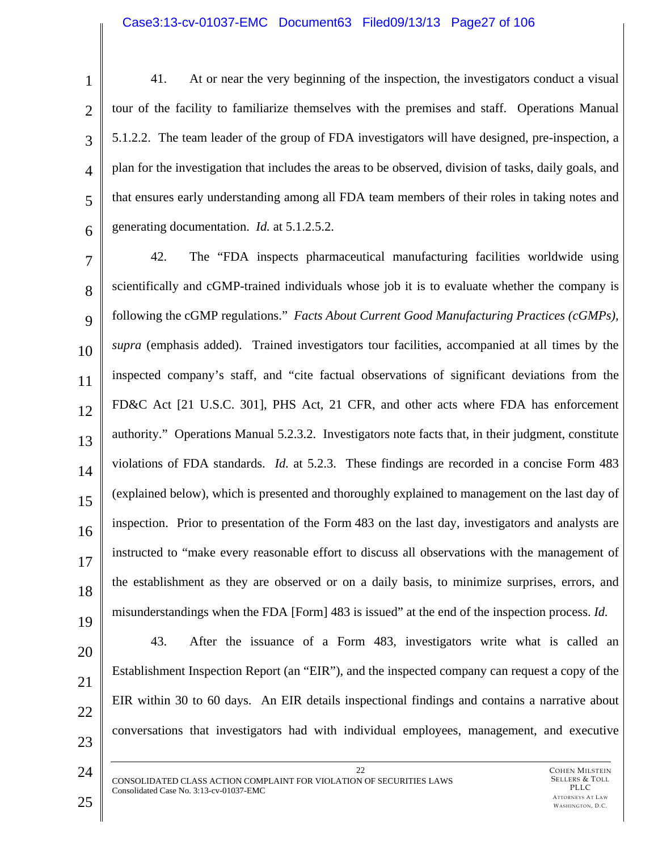1 2 3 4 5 6 41. At or near the very beginning of the inspection, the investigators conduct a visual tour of the facility to familiarize themselves with the premises and staff. Operations Manual 5.1.2.2. The team leader of the group of FDA investigators will have designed, pre-inspection, a plan for the investigation that includes the areas to be observed, division of tasks, daily goals, and that ensures early understanding among all FDA team members of their roles in taking notes and generating documentation. *Id.* at 5.1.2.5.2.

7 8  $\mathbf Q$ 10 11 12 13 14 15 16 17 18 19 42. The "FDA inspects pharmaceutical manufacturing facilities worldwide using scientifically and cGMP-trained individuals whose job it is to evaluate whether the company is following the cGMP regulations." *Facts About Current Good Manufacturing Practices (cGMPs), supra* (emphasis added). Trained investigators tour facilities, accompanied at all times by the inspected company's staff, and "cite factual observations of significant deviations from the FD&C Act [21 U.S.C. 301], PHS Act, 21 CFR, and other acts where FDA has enforcement authority." Operations Manual 5.2.3.2. Investigators note facts that, in their judgment, constitute violations of FDA standards. *Id.* at 5.2.3. These findings are recorded in a concise Form 483 (explained below), which is presented and thoroughly explained to management on the last day of inspection. Prior to presentation of the Form 483 on the last day, investigators and analysts are instructed to "make every reasonable effort to discuss all observations with the management of the establishment as they are observed or on a daily basis, to minimize surprises, errors, and misunderstandings when the FDA [Form] 483 is issued" at the end of the inspection process. *Id.*

20 21

22

23

24

43. After the issuance of a Form 483, investigators write what is called an Establishment Inspection Report (an "EIR"), and the inspected company can request a copy of the EIR within 30 to 60 days. An EIR details inspectional findings and contains a narrative about conversations that investigators had with individual employees, management, and executive

22 CONSOLIDATED CLASS ACTION COMPLAINT FOR VIOLATION OF SECURITIES LAWS Consolidated Case No. 3:13-cv-01037-EMC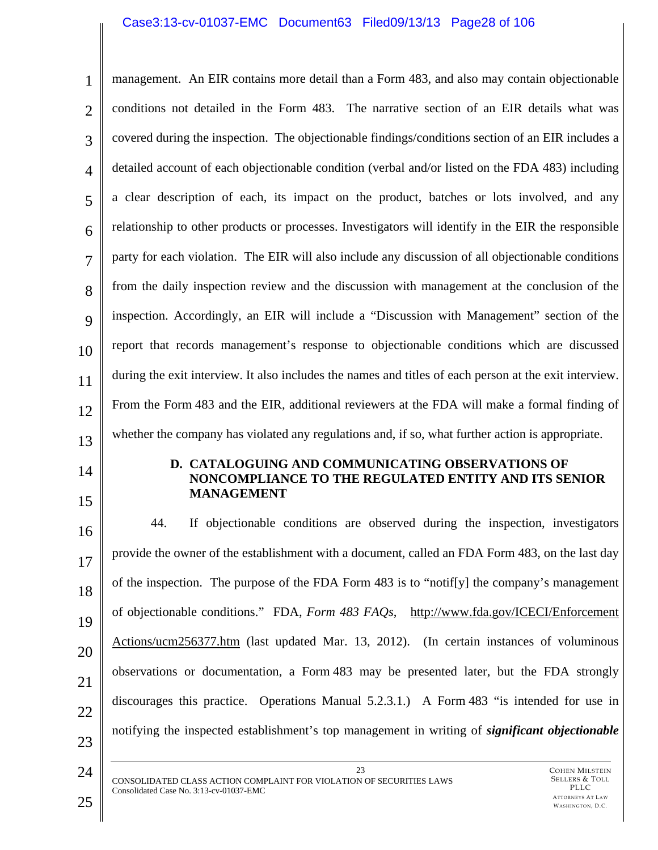### Case3:13-cv-01037-EMC Document63 Filed09/13/13 Page28 of 106

1 2 3 4 5 6 7 8  $\mathbf Q$ 10 11 12 13 management. An EIR contains more detail than a Form 483, and also may contain objectionable conditions not detailed in the Form 483. The narrative section of an EIR details what was covered during the inspection. The objectionable findings/conditions section of an EIR includes a detailed account of each objectionable condition (verbal and/or listed on the FDA 483) including a clear description of each, its impact on the product, batches or lots involved, and any relationship to other products or processes. Investigators will identify in the EIR the responsible party for each violation. The EIR will also include any discussion of all objectionable conditions from the daily inspection review and the discussion with management at the conclusion of the inspection. Accordingly, an EIR will include a "Discussion with Management" section of the report that records management's response to objectionable conditions which are discussed during the exit interview. It also includes the names and titles of each person at the exit interview. From the Form 483 and the EIR, additional reviewers at the FDA will make a formal finding of whether the company has violated any regulations and, if so, what further action is appropriate.

- 14
- 15

#### **D. CATALOGUING AND COMMUNICATING OBSERVATIONS OF NONCOMPLIANCE TO THE REGULATED ENTITY AND ITS SENIOR MANAGEMENT**

16 17 18 19 20 21 22 23 44. If objectionable conditions are observed during the inspection, investigators provide the owner of the establishment with a document, called an FDA Form 483, on the last day of the inspection. The purpose of the FDA Form 483 is to "notif[y] the company's management of objectionable conditions." FDA, *Form 483 FAQs*, http://www.fda.gov/ICECI/Enforcement Actions/ucm256377.htm (last updated Mar. 13, 2012). (In certain instances of voluminous observations or documentation, a Form 483 may be presented later, but the FDA strongly discourages this practice. Operations Manual 5.2.3.1.) A Form 483 "is intended for use in notifying the inspected establishment's top management in writing of *significant objectionable* 

23 CONSOLIDATED CLASS ACTION COMPLAINT FOR VIOLATION OF SECURITIES LAWS Consolidated Case No. 3:13-cv-01037-EMC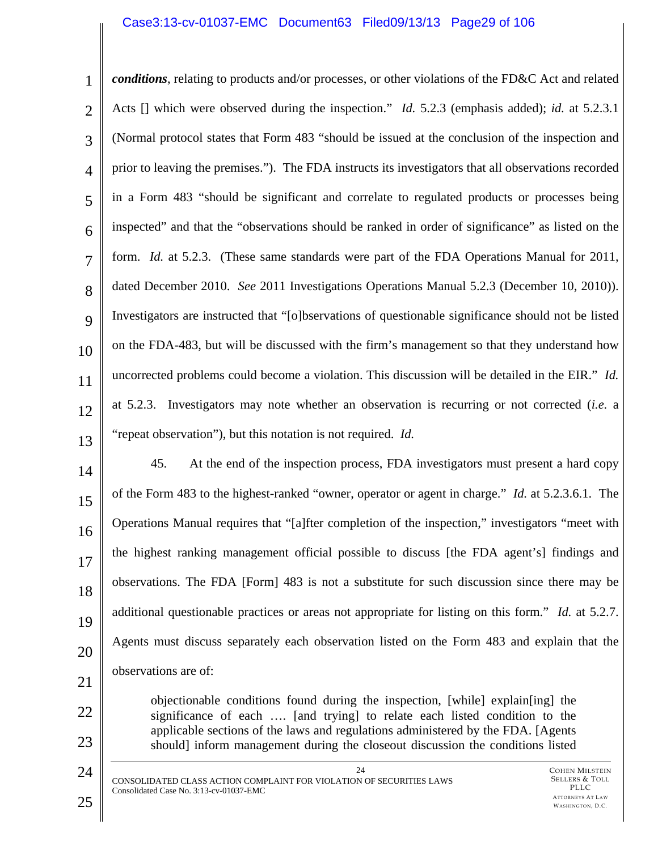### Case3:13-cv-01037-EMC Document63 Filed09/13/13 Page29 of 106

| 1              | conditions, relating to products and/or processes, or other violations of the FD&C Act and related           |
|----------------|--------------------------------------------------------------------------------------------------------------|
| $\overline{2}$ | Acts [] which were observed during the inspection." <i>Id.</i> 5.2.3 (emphasis added); <i>id.</i> at 5.2.3.1 |
| 3              | (Normal protocol states that Form 483 "should be issued at the conclusion of the inspection and              |
| $\overline{4}$ | prior to leaving the premises."). The FDA instructs its investigators that all observations recorded         |
| 5              | in a Form 483 "should be significant and correlate to regulated products or processes being                  |
| 6              | inspected" and that the "observations should be ranked in order of significance" as listed on the            |
| $\overline{7}$ | form. <i>Id.</i> at 5.2.3. (These same standards were part of the FDA Operations Manual for 2011,            |
| 8              | dated December 2010. See 2011 Investigations Operations Manual 5.2.3 (December 10, 2010)).                   |
| 9              | Investigators are instructed that "[o]bservations of questionable significance should not be listed          |
| 10             | on the FDA-483, but will be discussed with the firm's management so that they understand how                 |
| 11             | uncorrected problems could become a violation. This discussion will be detailed in the EIR." Id.             |
| 12             | at 5.2.3. Investigators may note whether an observation is recurring or not corrected <i>(i.e.</i> a         |
| 13             | "repeat observation"), but this notation is not required. Id.                                                |

14 15 16 17 18 19 20 21 45. At the end of the inspection process, FDA investigators must present a hard copy of the Form 483 to the highest-ranked "owner, operator or agent in charge." *Id.* at 5.2.3.6.1. The Operations Manual requires that "[a]fter completion of the inspection," investigators "meet with the highest ranking management official possible to discuss [the FDA agent's] findings and observations. The FDA [Form] 483 is not a substitute for such discussion since there may be additional questionable practices or areas not appropriate for listing on this form." *Id.* at 5.2.7. Agents must discuss separately each observation listed on the Form 483 and explain that the observations are of:

> objectionable conditions found during the inspection, [while] explain[ing] the significance of each …. [and trying] to relate each listed condition to the applicable sections of the laws and regulations administered by the FDA. [Agents should] inform management during the closeout discussion the conditions listed

22

23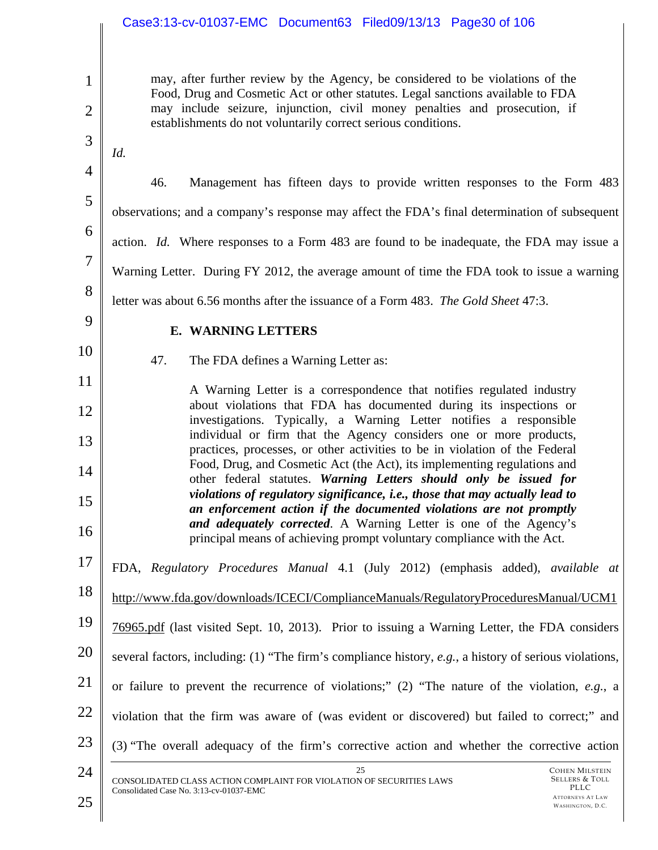# Case3:13-cv-01037-EMC Document63 Filed09/13/13 Page30 of 106

COHEN MILSTEIN SELLERS & TOLL 1 2 3 4 5 6 7 8 9 10 11 12 13 14 15 16 17 18 19 20 21 22 23 24 25 CONSOLIDATED CLASS ACTION COMPLAINT FOR VIOLATION OF SECURITIES LAWS Consolidated Case No. 3:13-cv-01037-EMC may, after further review by the Agency, be considered to be violations of the Food, Drug and Cosmetic Act or other statutes. Legal sanctions available to FDA may include seizure, injunction, civil money penalties and prosecution, if establishments do not voluntarily correct serious conditions. *Id.*  46. Management has fifteen days to provide written responses to the Form 483 observations; and a company's response may affect the FDA's final determination of subsequent action. *Id.* Where responses to a Form 483 are found to be inadequate, the FDA may issue a Warning Letter. During FY 2012, the average amount of time the FDA took to issue a warning letter was about 6.56 months after the issuance of a Form 483. *The Gold Sheet* 47:3. **E. WARNING LETTERS**  47. The FDA defines a Warning Letter as: A Warning Letter is a correspondence that notifies regulated industry about violations that FDA has documented during its inspections or investigations. Typically, a Warning Letter notifies a responsible individual or firm that the Agency considers one or more products, practices, processes, or other activities to be in violation of the Federal Food, Drug, and Cosmetic Act (the Act), its implementing regulations and other federal statutes. *Warning Letters should only be issued for violations of regulatory significance, i.e., those that may actually lead to an enforcement action if the documented violations are not promptly and adequately corrected*. A Warning Letter is one of the Agency's principal means of achieving prompt voluntary compliance with the Act. FDA, *Regulatory Procedures Manual* 4.1 (July 2012) (emphasis added), *available at*  http://www.fda.gov/downloads/ICECI/ComplianceManuals/RegulatoryProceduresManual/UCM1 76965.pdf (last visited Sept. 10, 2013). Prior to issuing a Warning Letter, the FDA considers several factors, including: (1) "The firm's compliance history, *e.g.*, a history of serious violations, or failure to prevent the recurrence of violations;" (2) "The nature of the violation, *e.g.*, a violation that the firm was aware of (was evident or discovered) but failed to correct;" and (3) "The overall adequacy of the firm's corrective action and whether the corrective action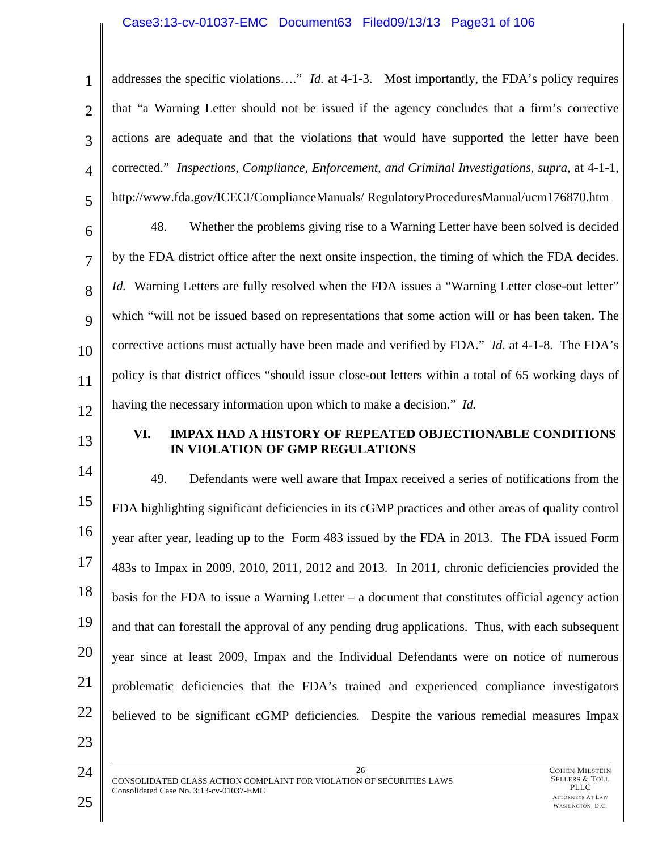### Case3:13-cv-01037-EMC Document63 Filed09/13/13 Page31 of 106

1 2 3 4 5 6 addresses the specific violations…." *Id.* at 4-1-3. Most importantly, the FDA's policy requires that "a Warning Letter should not be issued if the agency concludes that a firm's corrective actions are adequate and that the violations that would have supported the letter have been corrected." *Inspections, Compliance, Enforcement, and Criminal Investigations, supra*, at 4-1-1, http://www.fda.gov/ICECI/ComplianceManuals/ RegulatoryProceduresManual/ucm176870.htm 48. Whether the problems giving rise to a Warning Letter have been solved is decided

7 8 9 10 11 12 by the FDA district office after the next onsite inspection, the timing of which the FDA decides. *Id.* Warning Letters are fully resolved when the FDA issues a "Warning Letter close-out letter" which "will not be issued based on representations that some action will or has been taken. The corrective actions must actually have been made and verified by FDA." *Id.* at 4-1-8. The FDA's policy is that district offices "should issue close-out letters within a total of 65 working days of having the necessary information upon which to make a decision." *Id.*

13

### **VI. IMPAX HAD A HISTORY OF REPEATED OBJECTIONABLE CONDITIONS IN VIOLATION OF GMP REGULATIONS**

14 15 16 17 18 19 20 21 22 49. Defendants were well aware that Impax received a series of notifications from the FDA highlighting significant deficiencies in its cGMP practices and other areas of quality control year after year, leading up to the Form 483 issued by the FDA in 2013. The FDA issued Form 483s to Impax in 2009, 2010, 2011, 2012 and 2013. In 2011, chronic deficiencies provided the basis for the FDA to issue a Warning Letter – a document that constitutes official agency action and that can forestall the approval of any pending drug applications. Thus, with each subsequent year since at least 2009, Impax and the Individual Defendants were on notice of numerous problematic deficiencies that the FDA's trained and experienced compliance investigators believed to be significant cGMP deficiencies. Despite the various remedial measures Impax

24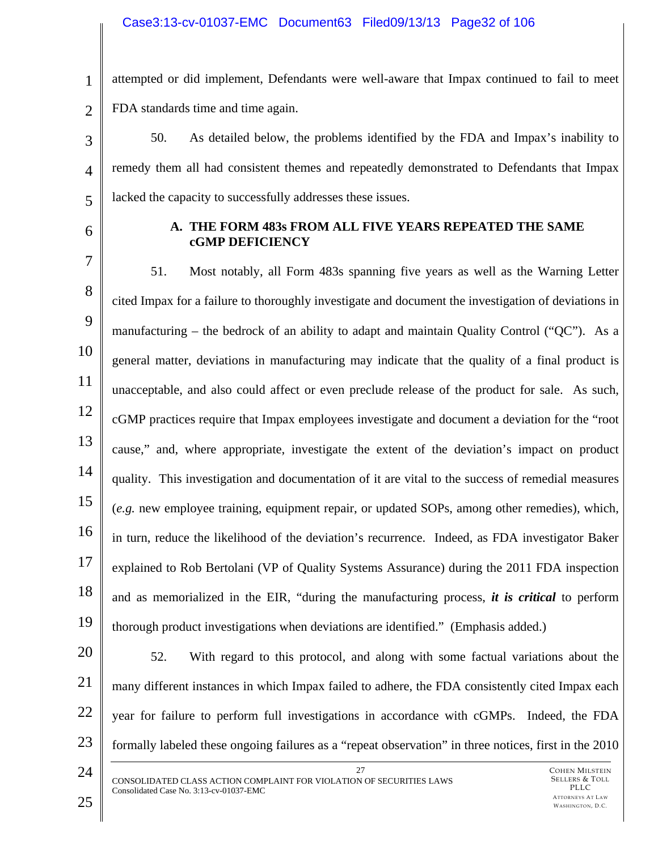### Case3:13-cv-01037-EMC Document63 Filed09/13/13 Page32 of 106

1 2 attempted or did implement, Defendants were well-aware that Impax continued to fail to meet FDA standards time and time again.

3 4 5 50. As detailed below, the problems identified by the FDA and Impax's inability to remedy them all had consistent themes and repeatedly demonstrated to Defendants that Impax lacked the capacity to successfully addresses these issues.

6

### **A. THE FORM 483s FROM ALL FIVE YEARS REPEATED THE SAME cGMP DEFICIENCY**

7 8 9 10 11 12 13 14 15 16 17 18 19 51. Most notably, all Form 483s spanning five years as well as the Warning Letter cited Impax for a failure to thoroughly investigate and document the investigation of deviations in manufacturing – the bedrock of an ability to adapt and maintain Quality Control ("QC"). As a general matter, deviations in manufacturing may indicate that the quality of a final product is unacceptable, and also could affect or even preclude release of the product for sale. As such, cGMP practices require that Impax employees investigate and document a deviation for the "root cause," and, where appropriate, investigate the extent of the deviation's impact on product quality. This investigation and documentation of it are vital to the success of remedial measures (*e.g.* new employee training, equipment repair, or updated SOPs, among other remedies), which, in turn, reduce the likelihood of the deviation's recurrence. Indeed, as FDA investigator Baker explained to Rob Bertolani (VP of Quality Systems Assurance) during the 2011 FDA inspection and as memorialized in the EIR, "during the manufacturing process, *it is critical* to perform thorough product investigations when deviations are identified." (Emphasis added.)

- 20 21 22 23 52. With regard to this protocol, and along with some factual variations about the many different instances in which Impax failed to adhere, the FDA consistently cited Impax each year for failure to perform full investigations in accordance with cGMPs. Indeed, the FDA formally labeled these ongoing failures as a "repeat observation" in three notices, first in the 2010
- 24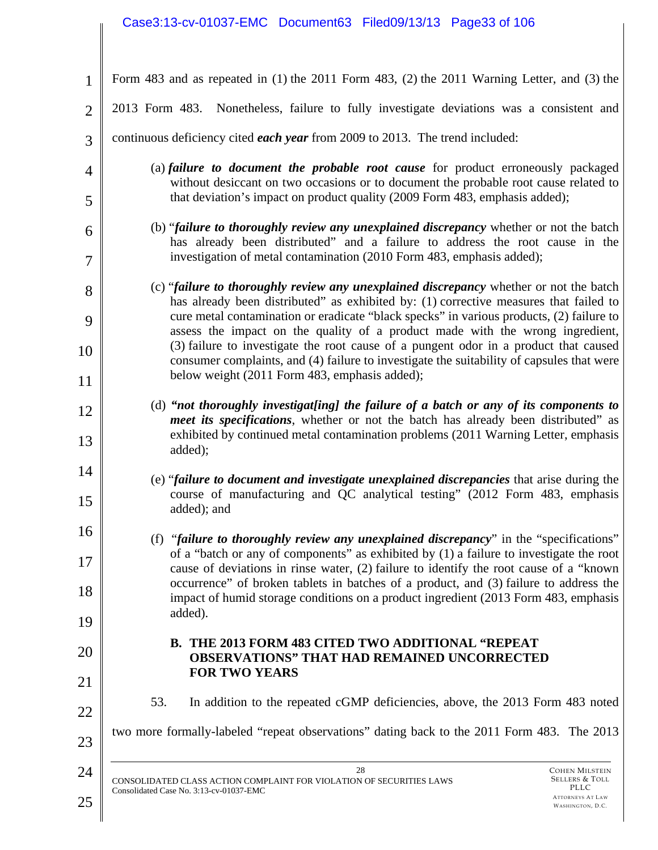# Case3:13-cv-01037-EMC Document63 Filed09/13/13 Page33 of 106

| 1              | Form 483 and as repeated in (1) the 2011 Form 483, (2) the 2011 Warning Letter, and (3) the                                                                                                                                                                                 |
|----------------|-----------------------------------------------------------------------------------------------------------------------------------------------------------------------------------------------------------------------------------------------------------------------------|
| $\overline{2}$ | 2013 Form 483. Nonetheless, failure to fully investigate deviations was a consistent and                                                                                                                                                                                    |
| 3              | continuous deficiency cited <i>each year</i> from 2009 to 2013. The trend included:                                                                                                                                                                                         |
| 4              | (a) failure to document the probable root cause for product erroneously packaged<br>without desiccant on two occasions or to document the probable root cause related to                                                                                                    |
| 5              | that deviation's impact on product quality (2009 Form 483, emphasis added);                                                                                                                                                                                                 |
| 6<br>7         | (b) "failure to thoroughly review any unexplained discrepancy whether or not the batch<br>has already been distributed" and a failure to address the root cause in the<br>investigation of metal contamination (2010 Form 483, emphasis added);                             |
| 8<br>9         | (c) "failure to thoroughly review any unexplained discrepancy whether or not the batch<br>has already been distributed" as exhibited by: (1) corrective measures that failed to<br>cure metal contamination or eradicate "black specks" in various products, (2) failure to |
| 10             | assess the impact on the quality of a product made with the wrong ingredient,<br>(3) failure to investigate the root cause of a pungent odor in a product that caused<br>consumer complaints, and (4) failure to investigate the suitability of capsules that were          |
| 11             | below weight (2011 Form 483, emphasis added);                                                                                                                                                                                                                               |
| 12             | (d) "not thoroughly investigat[ing] the failure of a batch or any of its components to<br>meet its specifications, whether or not the batch has already been distributed" as                                                                                                |
| 13             | exhibited by continued metal contamination problems (2011 Warning Letter, emphasis<br>added);                                                                                                                                                                               |
| 14<br>15       | (e) "failure to document and investigate unexplained discrepancies that arise during the<br>course of manufacturing and QC analytical testing" (2012 Form 483, emphasis<br>added); and                                                                                      |
| 16             | (f) "failure to thoroughly review any unexplained discrepancy" in the "specifications"                                                                                                                                                                                      |
| 17             | of a "batch or any of components" as exhibited by (1) a failure to investigate the root<br>cause of deviations in rinse water, (2) failure to identify the root cause of a "known"                                                                                          |
| 18             | occurrence" of broken tablets in batches of a product, and (3) failure to address the<br>impact of humid storage conditions on a product ingredient (2013 Form 483, emphasis<br>added).                                                                                     |
| 19             |                                                                                                                                                                                                                                                                             |
| 20             | <b>B. THE 2013 FORM 483 CITED TWO ADDITIONAL "REPEAT</b><br><b>OBSERVATIONS" THAT HAD REMAINED UNCORRECTED</b><br><b>FOR TWO YEARS</b>                                                                                                                                      |
| 21             |                                                                                                                                                                                                                                                                             |
| 22             | 53.<br>In addition to the repeated cGMP deficiencies, above, the 2013 Form 483 noted                                                                                                                                                                                        |
| 23             | two more formally-labeled "repeat observations" dating back to the 2011 Form 483. The 2013                                                                                                                                                                                  |
| 24             | 28<br><b>COHEN MILSTEIN</b><br>SELLERS & TOLL<br>CONSOLIDATED CLASS ACTION COMPLAINT FOR VIOLATION OF SECURITIES LAWS<br>PLLC                                                                                                                                               |
| 25             | Consolidated Case No. 3:13-cv-01037-EMC<br><b>ATTORNEYS AT LAW</b><br>WASHINGTON, D.C.                                                                                                                                                                                      |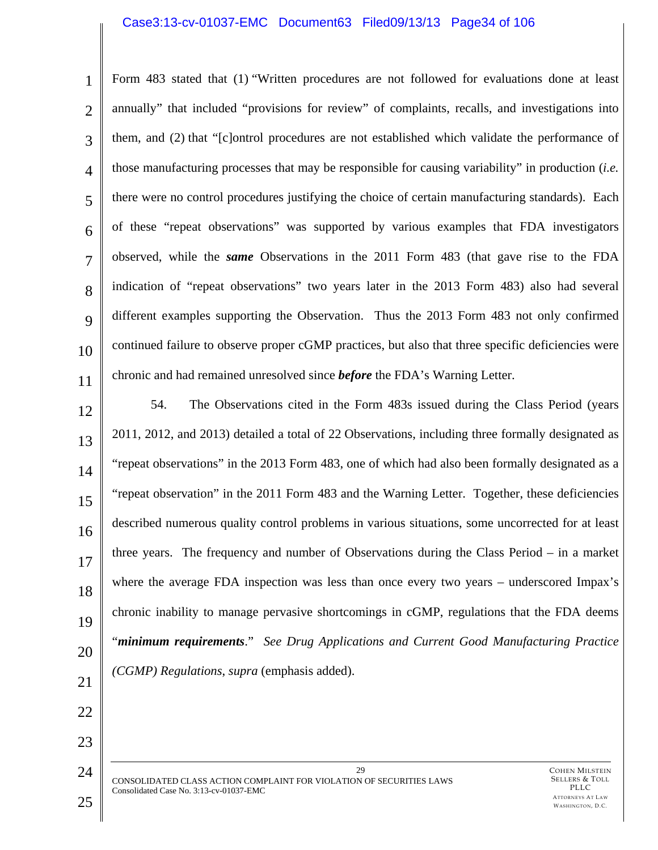#### Case3:13-cv-01037-EMC Document63 Filed09/13/13 Page34 of 106

1 2 3 4 5 6 7 8  $\mathbf Q$ 10 11 Form 483 stated that (1) "Written procedures are not followed for evaluations done at least annually" that included "provisions for review" of complaints, recalls, and investigations into them, and (2) that "[c]ontrol procedures are not established which validate the performance of those manufacturing processes that may be responsible for causing variability" in production (*i.e.*  there were no control procedures justifying the choice of certain manufacturing standards). Each of these "repeat observations" was supported by various examples that FDA investigators observed, while the *same* Observations in the 2011 Form 483 (that gave rise to the FDA indication of "repeat observations" two years later in the 2013 Form 483) also had several different examples supporting the Observation. Thus the 2013 Form 483 not only confirmed continued failure to observe proper cGMP practices, but also that three specific deficiencies were chronic and had remained unresolved since *before* the FDA's Warning Letter.

12 13 14 15 16 17 18 19 20 21 54. The Observations cited in the Form 483s issued during the Class Period (years 2011, 2012, and 2013) detailed a total of 22 Observations, including three formally designated as "repeat observations" in the 2013 Form 483, one of which had also been formally designated as a "repeat observation" in the 2011 Form 483 and the Warning Letter. Together, these deficiencies described numerous quality control problems in various situations, some uncorrected for at least three years. The frequency and number of Observations during the Class Period – in a market where the average FDA inspection was less than once every two years – underscored Impax's chronic inability to manage pervasive shortcomings in cGMP, regulations that the FDA deems "*minimum requirements*." *See Drug Applications and Current Good Manufacturing Practice (CGMP) Regulations*, *supra* (emphasis added).

29 CONSOLIDATED CLASS ACTION COMPLAINT FOR VIOLATION OF SECURITIES LAWS Consolidated Case No. 3:13-cv-01037-EMC

22

23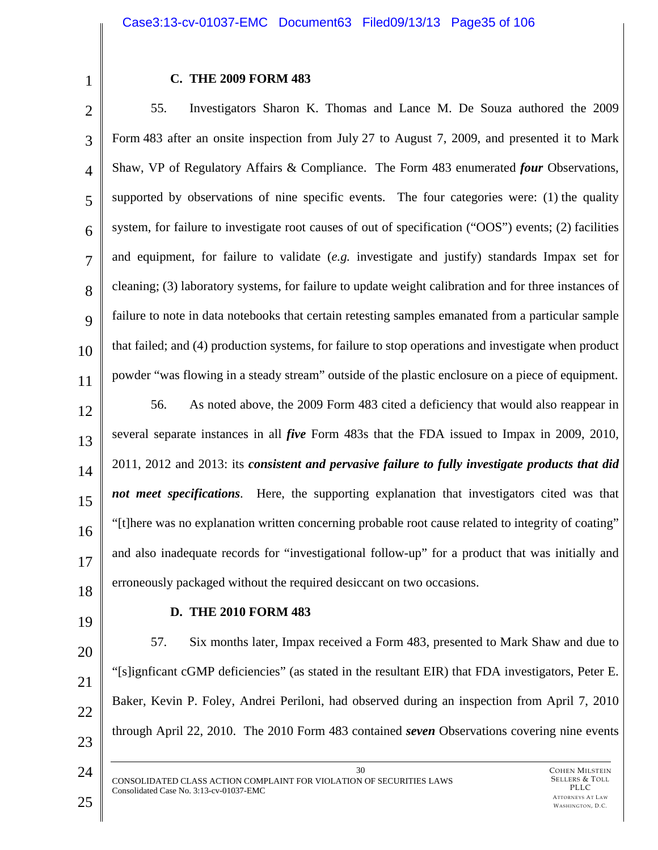1

### **C. THE 2009 FORM 483**

2 3 4 5 6 7 8  $\mathbf Q$ 10 11 12 13 14 55. Investigators Sharon K. Thomas and Lance M. De Souza authored the 2009 Form 483 after an onsite inspection from July 27 to August 7, 2009, and presented it to Mark Shaw, VP of Regulatory Affairs & Compliance. The Form 483 enumerated *four* Observations, supported by observations of nine specific events. The four categories were: (1) the quality system, for failure to investigate root causes of out of specification ("OOS") events; (2) facilities and equipment, for failure to validate (*e.g.* investigate and justify) standards Impax set for cleaning; (3) laboratory systems, for failure to update weight calibration and for three instances of failure to note in data notebooks that certain retesting samples emanated from a particular sample that failed; and (4) production systems, for failure to stop operations and investigate when product powder "was flowing in a steady stream" outside of the plastic enclosure on a piece of equipment. 56. As noted above, the 2009 Form 483 cited a deficiency that would also reappear in several separate instances in all *five* Form 483s that the FDA issued to Impax in 2009, 2010, 2011, 2012 and 2013: its *consistent and pervasive failure to fully investigate products that did* 

15 16 17 18 *not meet specifications*. Here, the supporting explanation that investigators cited was that "[t]here was no explanation written concerning probable root cause related to integrity of coating" and also inadequate records for "investigational follow-up" for a product that was initially and erroneously packaged without the required desiccant on two occasions.

19

# **D. THE 2010 FORM 483**

20 21 22 23 57. Six months later, Impax received a Form 483, presented to Mark Shaw and due to "[s]ignficant cGMP deficiencies" (as stated in the resultant EIR) that FDA investigators, Peter E. Baker, Kevin P. Foley, Andrei Periloni, had observed during an inspection from April 7, 2010 through April 22, 2010. The 2010 Form 483 contained *seven* Observations covering nine events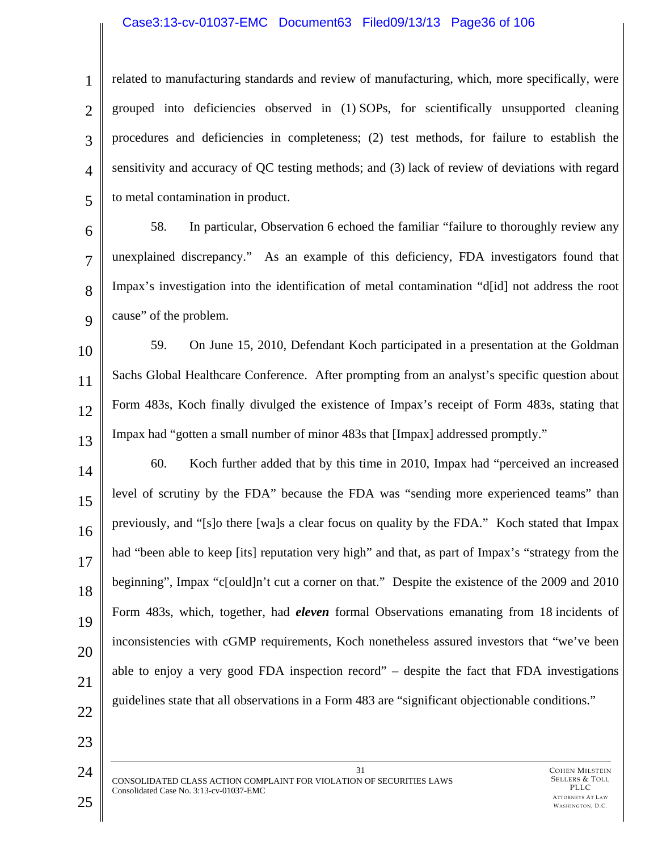### Case3:13-cv-01037-EMC Document63 Filed09/13/13 Page36 of 106

1 2 3 4 5 related to manufacturing standards and review of manufacturing, which, more specifically, were grouped into deficiencies observed in (1) SOPs, for scientifically unsupported cleaning procedures and deficiencies in completeness; (2) test methods, for failure to establish the sensitivity and accuracy of QC testing methods; and (3) lack of review of deviations with regard to metal contamination in product.

6 7 8  $\mathbf Q$ 58. In particular, Observation 6 echoed the familiar "failure to thoroughly review any unexplained discrepancy." As an example of this deficiency, FDA investigators found that Impax's investigation into the identification of metal contamination "d[id] not address the root cause" of the problem.

10 11 12 13 59. On June 15, 2010, Defendant Koch participated in a presentation at the Goldman Sachs Global Healthcare Conference. After prompting from an analyst's specific question about Form 483s, Koch finally divulged the existence of Impax's receipt of Form 483s, stating that Impax had "gotten a small number of minor 483s that [Impax] addressed promptly."

14 15 16 17 18 19 20 21 60. Koch further added that by this time in 2010, Impax had "perceived an increased level of scrutiny by the FDA" because the FDA was "sending more experienced teams" than previously, and "[s]o there [wa]s a clear focus on quality by the FDA." Koch stated that Impax had "been able to keep [its] reputation very high" and that, as part of Impax's "strategy from the beginning", Impax "c[ould]n't cut a corner on that." Despite the existence of the 2009 and 2010 Form 483s, which, together, had *eleven* formal Observations emanating from 18 incidents of inconsistencies with cGMP requirements, Koch nonetheless assured investors that "we've been able to enjoy a very good FDA inspection record" – despite the fact that FDA investigations guidelines state that all observations in a Form 483 are "significant objectionable conditions."

22

23

24

31 CONSOLIDATED CLASS ACTION COMPLAINT FOR VIOLATION OF SECURITIES LAWS Consolidated Case No. 3:13-cv-01037-EMC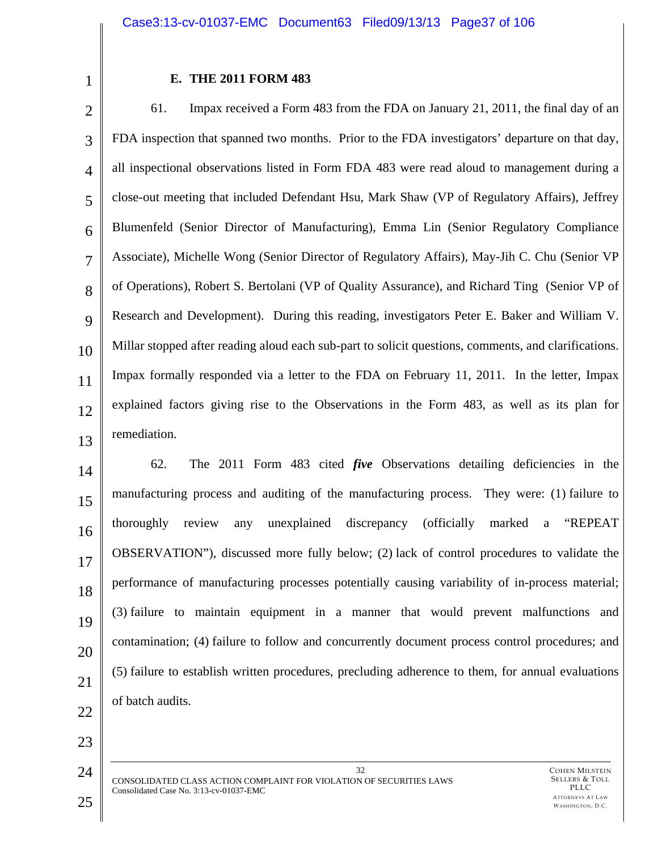1

# **E. THE 2011 FORM 483**

2 3 4 5 6 7 8 9 10 11 12 13 61. Impax received a Form 483 from the FDA on January 21, 2011, the final day of an FDA inspection that spanned two months. Prior to the FDA investigators' departure on that day, all inspectional observations listed in Form FDA 483 were read aloud to management during a close-out meeting that included Defendant Hsu, Mark Shaw (VP of Regulatory Affairs), Jeffrey Blumenfeld (Senior Director of Manufacturing), Emma Lin (Senior Regulatory Compliance Associate), Michelle Wong (Senior Director of Regulatory Affairs), May-Jih C. Chu (Senior VP of Operations), Robert S. Bertolani (VP of Quality Assurance), and Richard Ting (Senior VP of Research and Development). During this reading, investigators Peter E. Baker and William V. Millar stopped after reading aloud each sub-part to solicit questions, comments, and clarifications. Impax formally responded via a letter to the FDA on February 11, 2011. In the letter, Impax explained factors giving rise to the Observations in the Form 483, as well as its plan for remediation.

14 15 16 17 18 19 20 21 22 62. The 2011 Form 483 cited *five* Observations detailing deficiencies in the manufacturing process and auditing of the manufacturing process. They were: (1) failure to thoroughly review any unexplained discrepancy (officially marked a "REPEAT OBSERVATION"), discussed more fully below; (2) lack of control procedures to validate the performance of manufacturing processes potentially causing variability of in-process material; (3) failure to maintain equipment in a manner that would prevent malfunctions and contamination; (4) failure to follow and concurrently document process control procedures; and (5) failure to establish written procedures, precluding adherence to them, for annual evaluations of batch audits.

32 CONSOLIDATED CLASS ACTION COMPLAINT FOR VIOLATION OF SECURITIES LAWS Consolidated Case No. 3:13-cv-01037-EMC

23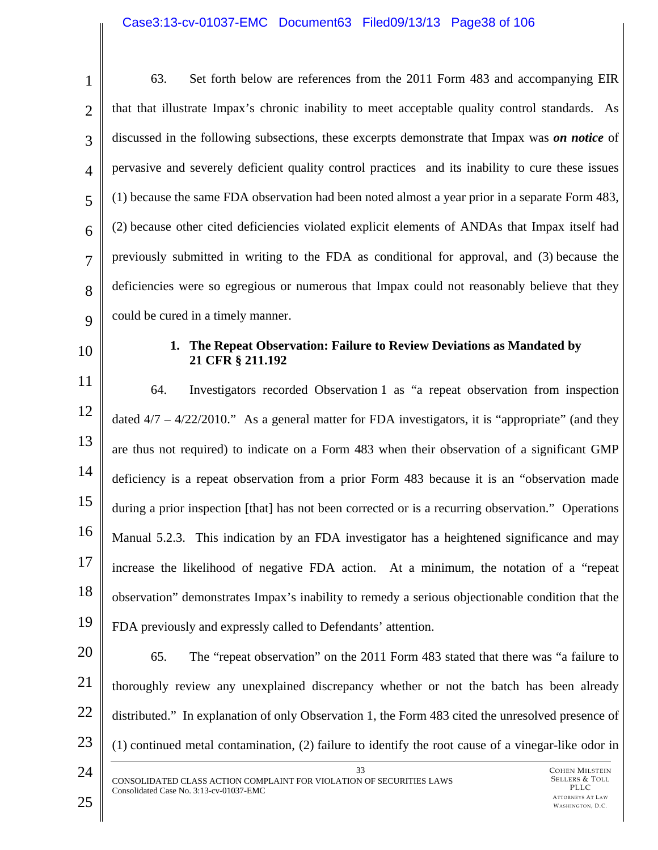# Case3:13-cv-01037-EMC Document63 Filed09/13/13 Page38 of 106

| $\mathbf{1}$   | Set forth below are references from the 2011 Form 483 and accompanying EIR<br>63.                                                                                                                                                  |  |
|----------------|------------------------------------------------------------------------------------------------------------------------------------------------------------------------------------------------------------------------------------|--|
| $\overline{2}$ | that that illustrate Impax's chronic inability to meet acceptable quality control standards. As                                                                                                                                    |  |
| 3              | discussed in the following subsections, these excerpts demonstrate that Impax was <i>on notice</i> of                                                                                                                              |  |
| $\overline{4}$ | pervasive and severely deficient quality control practices and its inability to cure these issues                                                                                                                                  |  |
| 5              | (1) because the same FDA observation had been noted almost a year prior in a separate Form 483,                                                                                                                                    |  |
| 6              | (2) because other cited deficiencies violated explicit elements of ANDAs that Impax itself had                                                                                                                                     |  |
| $\overline{7}$ | previously submitted in writing to the FDA as conditional for approval, and (3) because the                                                                                                                                        |  |
| 8              | deficiencies were so egregious or numerous that Impax could not reasonably believe that they                                                                                                                                       |  |
| 9              | could be cured in a timely manner.                                                                                                                                                                                                 |  |
| 10             | 1. The Repeat Observation: Failure to Review Deviations as Mandated by<br>21 CFR § 211.192                                                                                                                                         |  |
| 11             | Investigators recorded Observation 1 as "a repeat observation from inspection<br>64.                                                                                                                                               |  |
| 12             | dated $4/7 - 4/22/2010$ ." As a general matter for FDA investigators, it is "appropriate" (and they                                                                                                                                |  |
| 13             | are thus not required) to indicate on a Form 483 when their observation of a significant GMP                                                                                                                                       |  |
| 14             | deficiency is a repeat observation from a prior Form 483 because it is an "observation made                                                                                                                                        |  |
| 15             | during a prior inspection [that] has not been corrected or is a recurring observation." Operations                                                                                                                                 |  |
| 16             | Manual 5.2.3. This indication by an FDA investigator has a heightened significance and may                                                                                                                                         |  |
| 17             | increase the likelihood of negative FDA action. At a minimum, the notation of a "repeat"                                                                                                                                           |  |
| 18             | observation" demonstrates Impax's inability to remedy a serious objectionable condition that the                                                                                                                                   |  |
| 19             | FDA previously and expressly called to Defendants' attention.                                                                                                                                                                      |  |
| 20             | 65.<br>The "repeat observation" on the 2011 Form 483 stated that there was "a failure to                                                                                                                                           |  |
| 21             | thoroughly review any unexplained discrepancy whether or not the batch has been already                                                                                                                                            |  |
| 22             | distributed." In explanation of only Observation 1, the Form 483 cited the unresolved presence of                                                                                                                                  |  |
| 23             | (1) continued metal contamination, (2) failure to identify the root cause of a vinegar-like odor in                                                                                                                                |  |
| 24<br>25       | 33<br><b>COHEN MILSTEIN</b><br><b>SELLERS &amp; TOLL</b><br>CONSOLIDATED CLASS ACTION COMPLAINT FOR VIOLATION OF SECURITIES LAWS<br>PLLC<br>Consolidated Case No. 3:13-cv-01037-EMC<br><b>ATTORNEYS AT LAW</b><br>WASHINGTON, D.C. |  |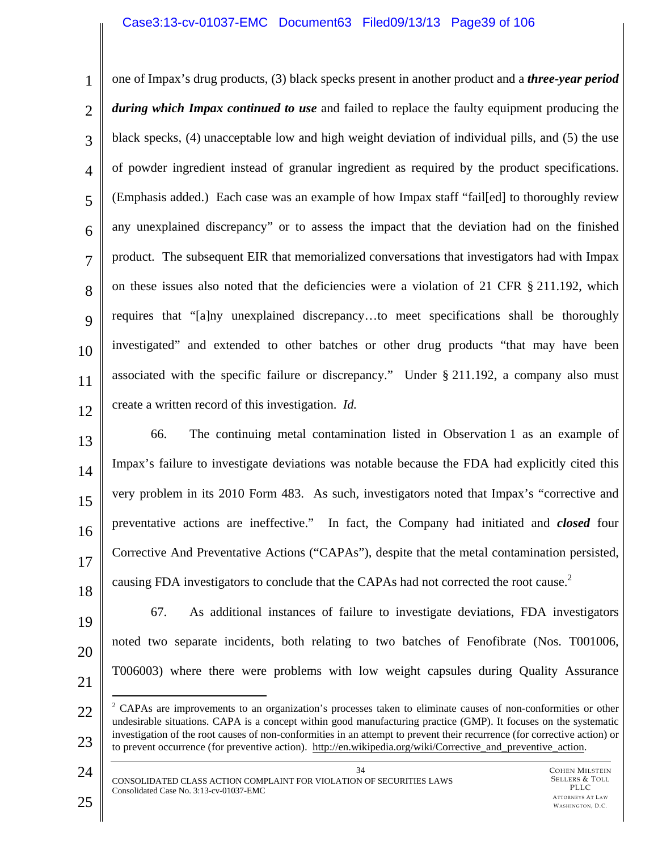## Case3:13-cv-01037-EMC Document63 Filed09/13/13 Page39 of 106

1 2 3 4 5 6 7 8  $\mathbf Q$ 10 11 12 one of Impax's drug products, (3) black specks present in another product and a *three-year period during which Impax continued to use* and failed to replace the faulty equipment producing the black specks, (4) unacceptable low and high weight deviation of individual pills, and (5) the use of powder ingredient instead of granular ingredient as required by the product specifications. (Emphasis added.) Each case was an example of how Impax staff "fail[ed] to thoroughly review any unexplained discrepancy" or to assess the impact that the deviation had on the finished product. The subsequent EIR that memorialized conversations that investigators had with Impax on these issues also noted that the deficiencies were a violation of 21 CFR § 211.192, which requires that "[a]ny unexplained discrepancy…to meet specifications shall be thoroughly investigated" and extended to other batches or other drug products "that may have been associated with the specific failure or discrepancy." Under § 211.192, a company also must create a written record of this investigation. *Id.* 

- 13 14 15 16 17 18 66. The continuing metal contamination listed in Observation 1 as an example of Impax's failure to investigate deviations was notable because the FDA had explicitly cited this very problem in its 2010 Form 483. As such, investigators noted that Impax's "corrective and preventative actions are ineffective." In fact, the Company had initiated and *closed* four Corrective And Preventative Actions ("CAPAs"), despite that the metal contamination persisted, causing FDA investigators to conclude that the CAPAs had not corrected the root cause.<sup>2</sup>
- 19 20
- - 21

67. As additional instances of failure to investigate deviations, FDA investigators noted two separate incidents, both relating to two batches of Fenofibrate (Nos. T001006, T006003) where there were problems with low weight capsules during Quality Assurance

- 22 23  $\overline{a}$  $2^2$  CAPAs are improvements to an organization's processes taken to eliminate causes of non-conformities or other undesirable situations. CAPA is a concept within good manufacturing practice (GMP). It focuses on the systematic investigation of the root causes of non-conformities in an attempt to prevent their recurrence (for corrective action) or to prevent occurrence (for preventive action). http://en.wikipedia.org/wiki/Corrective\_and\_preventive\_action.
- 24

Consolidated Case No. 3:13-cv-01037-EMC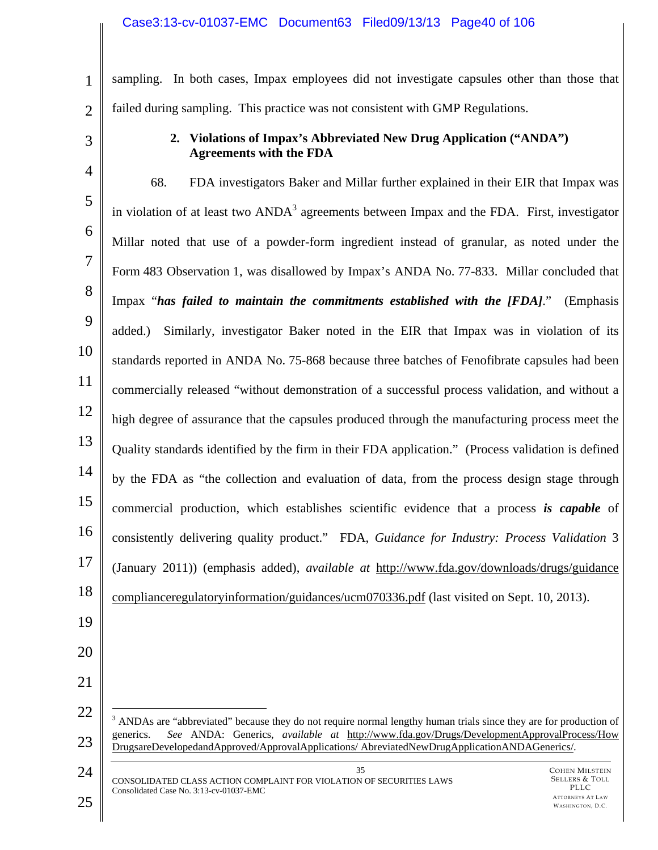# Case3:13-cv-01037-EMC Document63 Filed09/13/13 Page40 of 106

1 2 sampling. In both cases, Impax employees did not investigate capsules other than those that failed during sampling. This practice was not consistent with GMP Regulations.

3

# **2. Violations of Impax's Abbreviated New Drug Application ("ANDA") Agreements with the FDA**

COHEN MILSTEIN 4 5 6 7 8 9 10 11 12 13 14 15 16 17 18 19 20 21 22 23 24 35 68. FDA investigators Baker and Millar further explained in their EIR that Impax was in violation of at least two  $A NDA<sup>3</sup>$  agreements between Impax and the FDA. First, investigator Millar noted that use of a powder-form ingredient instead of granular, as noted under the Form 483 Observation 1, was disallowed by Impax's ANDA No. 77-833. Millar concluded that Impax "*has failed to maintain the commitments established with the [FDA]*." (Emphasis added.) Similarly, investigator Baker noted in the EIR that Impax was in violation of its standards reported in ANDA No. 75-868 because three batches of Fenofibrate capsules had been commercially released "without demonstration of a successful process validation, and without a high degree of assurance that the capsules produced through the manufacturing process meet the Quality standards identified by the firm in their FDA application." (Process validation is defined by the FDA as "the collection and evaluation of data, from the process design stage through commercial production, which establishes scientific evidence that a process *is capable* of consistently delivering quality product." FDA, *Guidance for Industry: Process Validation* 3 (January 2011)) (emphasis added), *available at* http://www.fda.gov/downloads/drugs/guidance complianceregulatoryinformation/guidances/ucm070336.pdf (last visited on Sept. 10, 2013).  $\overline{a}$  $3$  ANDAs are "abbreviated" because they do not require normal lengthy human trials since they are for production of generics. *See* ANDA: Generics, *available at* http://www.fda.gov/Drugs/DevelopmentApprovalProcess/How DrugsareDevelopedandApproved/ApprovalApplications/ AbreviatedNewDrugApplicationANDAGenerics/.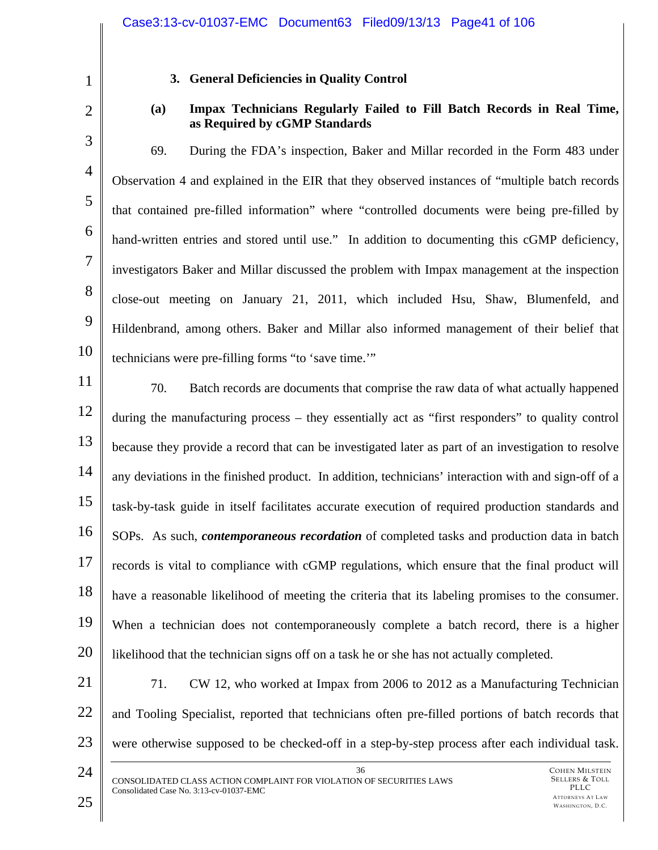2

3

4

5

6

7

8

9

10

1

# **3. General Deficiencies in Quality Control**

**(a) Impax Technicians Regularly Failed to Fill Batch Records in Real Time, as Required by cGMP Standards** 

69. During the FDA's inspection, Baker and Millar recorded in the Form 483 under Observation 4 and explained in the EIR that they observed instances of "multiple batch records that contained pre-filled information" where "controlled documents were being pre-filled by hand-written entries and stored until use." In addition to documenting this cGMP deficiency, investigators Baker and Millar discussed the problem with Impax management at the inspection close-out meeting on January 21, 2011, which included Hsu, Shaw, Blumenfeld, and Hildenbrand, among others. Baker and Millar also informed management of their belief that technicians were pre-filling forms "to 'save time.'"

- 11 12 13 14 15 16 17 18 19 20 70. Batch records are documents that comprise the raw data of what actually happened during the manufacturing process – they essentially act as "first responders" to quality control because they provide a record that can be investigated later as part of an investigation to resolve any deviations in the finished product. In addition, technicians' interaction with and sign-off of a task-by-task guide in itself facilitates accurate execution of required production standards and SOPs. As such, *contemporaneous recordation* of completed tasks and production data in batch records is vital to compliance with cGMP regulations, which ensure that the final product will have a reasonable likelihood of meeting the criteria that its labeling promises to the consumer. When a technician does not contemporaneously complete a batch record, there is a higher likelihood that the technician signs off on a task he or she has not actually completed.
- 21 22 23 71. CW 12, who worked at Impax from 2006 to 2012 as a Manufacturing Technician and Tooling Specialist, reported that technicians often pre-filled portions of batch records that were otherwise supposed to be checked-off in a step-by-step process after each individual task.
- 24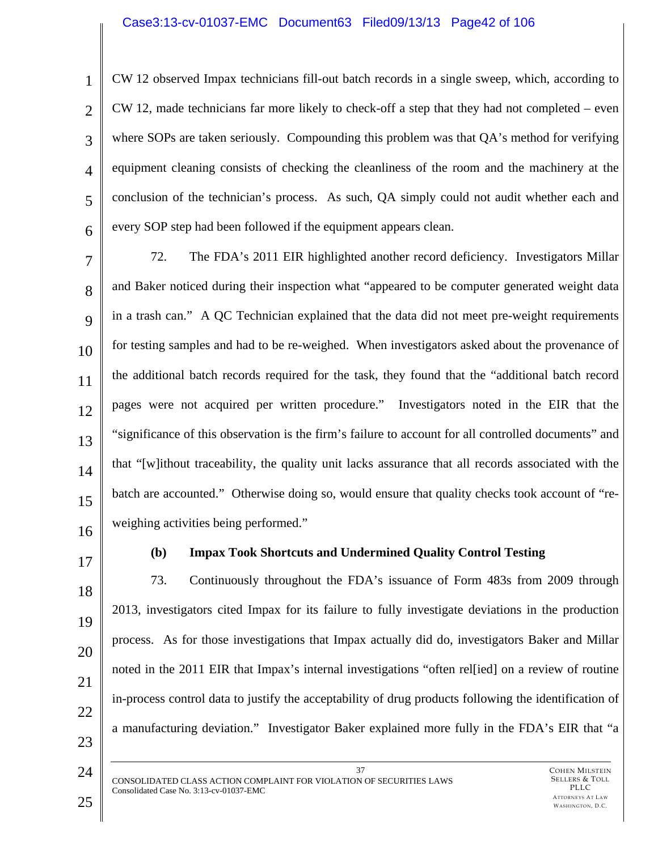# Case3:13-cv-01037-EMC Document63 Filed09/13/13 Page42 of 106

3 4 6 CW 12 observed Impax technicians fill-out batch records in a single sweep, which, according to CW 12, made technicians far more likely to check-off a step that they had not completed – even where SOPs are taken seriously. Compounding this problem was that QA's method for verifying equipment cleaning consists of checking the cleanliness of the room and the machinery at the conclusion of the technician's process. As such, QA simply could not audit whether each and every SOP step had been followed if the equipment appears clean.

7 8  $\mathbf Q$ 10 11 12 13 14 15 16 72. The FDA's 2011 EIR highlighted another record deficiency. Investigators Millar and Baker noticed during their inspection what "appeared to be computer generated weight data in a trash can." A QC Technician explained that the data did not meet pre-weight requirements for testing samples and had to be re-weighed. When investigators asked about the provenance of the additional batch records required for the task, they found that the "additional batch record pages were not acquired per written procedure." Investigators noted in the EIR that the "significance of this observation is the firm's failure to account for all controlled documents" and that "[w]ithout traceability, the quality unit lacks assurance that all records associated with the batch are accounted." Otherwise doing so, would ensure that quality checks took account of "reweighing activities being performed."

17

1

2

5

# **(b) Impax Took Shortcuts and Undermined Quality Control Testing**

18 19 20 21 22 23 73. Continuously throughout the FDA's issuance of Form 483s from 2009 through 2013, investigators cited Impax for its failure to fully investigate deviations in the production process. As for those investigations that Impax actually did do, investigators Baker and Millar noted in the 2011 EIR that Impax's internal investigations "often relearch on a review of routine in-process control data to justify the acceptability of drug products following the identification of a manufacturing deviation." Investigator Baker explained more fully in the FDA's EIR that "a

37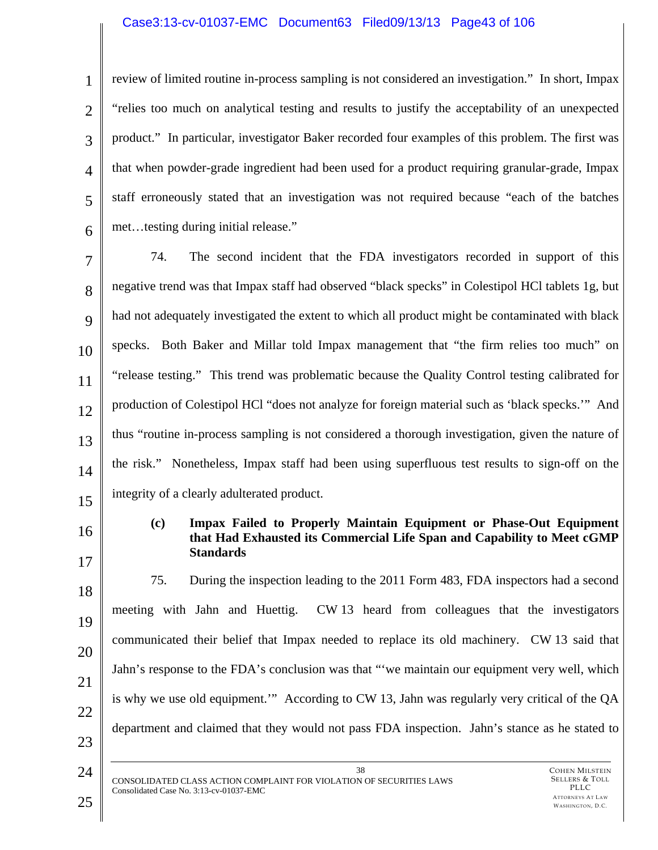# Case3:13-cv-01037-EMC Document63 Filed09/13/13 Page43 of 106

1 2 3 4 5 6 review of limited routine in-process sampling is not considered an investigation." In short, Impax "relies too much on analytical testing and results to justify the acceptability of an unexpected product." In particular, investigator Baker recorded four examples of this problem. The first was that when powder-grade ingredient had been used for a product requiring granular-grade, Impax staff erroneously stated that an investigation was not required because "each of the batches met…testing during initial release."

7 8 9 10 11 12 13 14 15 74. The second incident that the FDA investigators recorded in support of this negative trend was that Impax staff had observed "black specks" in Colestipol HCl tablets 1g, but had not adequately investigated the extent to which all product might be contaminated with black specks. Both Baker and Millar told Impax management that "the firm relies too much" on "release testing." This trend was problematic because the Quality Control testing calibrated for production of Colestipol HCl "does not analyze for foreign material such as 'black specks.'" And thus "routine in-process sampling is not considered a thorough investigation, given the nature of the risk." Nonetheless, Impax staff had been using superfluous test results to sign-off on the integrity of a clearly adulterated product.

- 
- 16

17

#### **(c) Impax Failed to Properly Maintain Equipment or Phase-Out Equipment that Had Exhausted its Commercial Life Span and Capability to Meet cGMP Standards**

18 19 20 21 22 23 75. During the inspection leading to the 2011 Form 483, FDA inspectors had a second meeting with Jahn and Huettig. CW 13 heard from colleagues that the investigators communicated their belief that Impax needed to replace its old machinery. CW 13 said that Jahn's response to the FDA's conclusion was that "'we maintain our equipment very well, which is why we use old equipment.'" According to CW 13, Jahn was regularly very critical of the QA department and claimed that they would not pass FDA inspection. Jahn's stance as he stated to

38 CONSOLIDATED CLASS ACTION COMPLAINT FOR VIOLATION OF SECURITIES LAWS Consolidated Case No. 3:13-cv-01037-EMC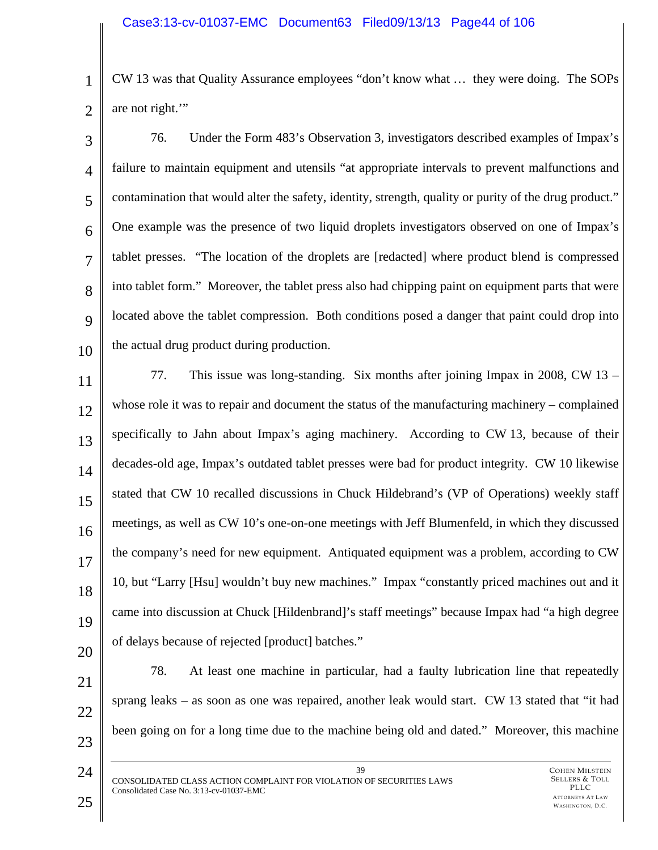1 2 CW 13 was that Quality Assurance employees "don't know what … they were doing. The SOPs are not right.'"

3 4 5 6 7 8  $\mathbf Q$ 10 76. Under the Form 483's Observation 3, investigators described examples of Impax's failure to maintain equipment and utensils "at appropriate intervals to prevent malfunctions and contamination that would alter the safety, identity, strength, quality or purity of the drug product." One example was the presence of two liquid droplets investigators observed on one of Impax's tablet presses. "The location of the droplets are [redacted] where product blend is compressed into tablet form." Moreover, the tablet press also had chipping paint on equipment parts that were located above the tablet compression. Both conditions posed a danger that paint could drop into the actual drug product during production.

11 12 13 14 15 16 17 18 19 20 77. This issue was long-standing. Six months after joining Impax in 2008, CW 13 – whose role it was to repair and document the status of the manufacturing machinery – complained specifically to Jahn about Impax's aging machinery. According to CW 13, because of their decades-old age, Impax's outdated tablet presses were bad for product integrity. CW 10 likewise stated that CW 10 recalled discussions in Chuck Hildebrand's (VP of Operations) weekly staff meetings, as well as CW 10's one-on-one meetings with Jeff Blumenfeld, in which they discussed the company's need for new equipment. Antiquated equipment was a problem, according to CW 10, but "Larry [Hsu] wouldn't buy new machines." Impax "constantly priced machines out and it came into discussion at Chuck [Hildenbrand]'s staff meetings" because Impax had "a high degree of delays because of rejected [product] batches."

21 22 23 78. At least one machine in particular, had a faulty lubrication line that repeatedly sprang leaks – as soon as one was repaired, another leak would start. CW 13 stated that "it had been going on for a long time due to the machine being old and dated." Moreover, this machine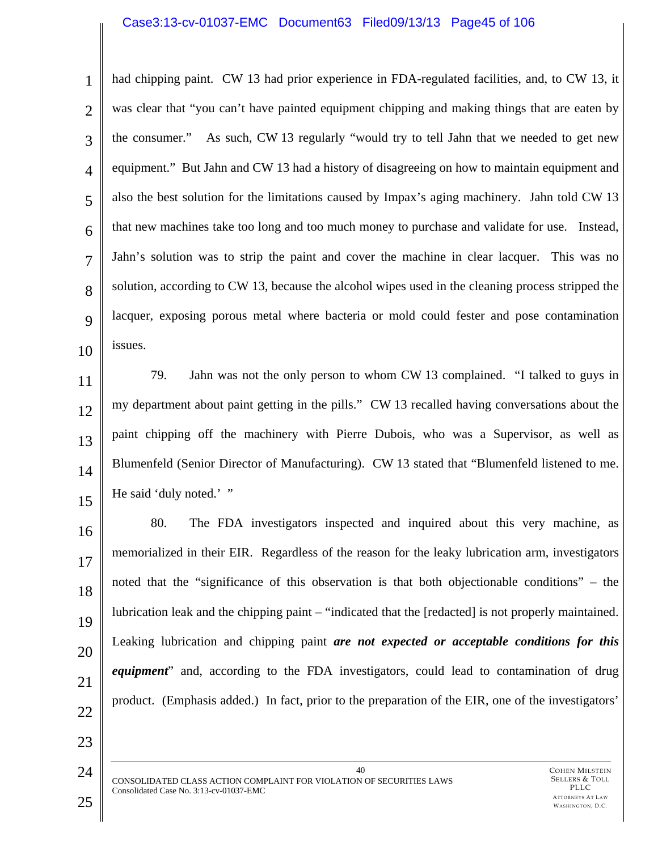## Case3:13-cv-01037-EMC Document63 Filed09/13/13 Page45 of 106

1 2 3 4 5 6 7 8 9 10 had chipping paint. CW 13 had prior experience in FDA-regulated facilities, and, to CW 13, it was clear that "you can't have painted equipment chipping and making things that are eaten by the consumer." As such, CW 13 regularly "would try to tell Jahn that we needed to get new equipment." But Jahn and CW 13 had a history of disagreeing on how to maintain equipment and also the best solution for the limitations caused by Impax's aging machinery. Jahn told CW 13 that new machines take too long and too much money to purchase and validate for use. Instead, Jahn's solution was to strip the paint and cover the machine in clear lacquer. This was no solution, according to CW 13, because the alcohol wipes used in the cleaning process stripped the lacquer, exposing porous metal where bacteria or mold could fester and pose contamination issues.

11 12

13

15

14 79. Jahn was not the only person to whom CW 13 complained. "I talked to guys in my department about paint getting in the pills." CW 13 recalled having conversations about the paint chipping off the machinery with Pierre Dubois, who was a Supervisor, as well as Blumenfeld (Senior Director of Manufacturing). CW 13 stated that "Blumenfeld listened to me. He said 'duly noted.' "

16 17 18 19 20 21 80. The FDA investigators inspected and inquired about this very machine, as memorialized in their EIR. Regardless of the reason for the leaky lubrication arm, investigators noted that the "significance of this observation is that both objectionable conditions" – the lubrication leak and the chipping paint – "indicated that the [redacted] is not properly maintained. Leaking lubrication and chipping paint *are not expected or acceptable conditions for this equipment*" and, according to the FDA investigators, could lead to contamination of drug product. (Emphasis added.) In fact, prior to the preparation of the EIR, one of the investigators'

22

24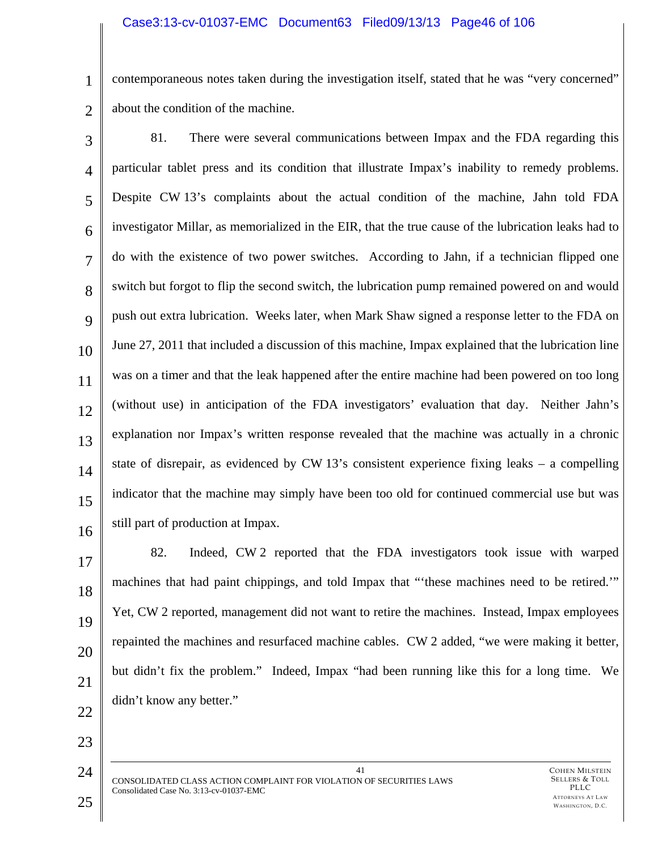1 2 contemporaneous notes taken during the investigation itself, stated that he was "very concerned" about the condition of the machine.

3 4 5 6 7 8  $\mathbf Q$ 10 11 12 13 14 15 16 81. There were several communications between Impax and the FDA regarding this particular tablet press and its condition that illustrate Impax's inability to remedy problems. Despite CW 13's complaints about the actual condition of the machine, Jahn told FDA investigator Millar, as memorialized in the EIR, that the true cause of the lubrication leaks had to do with the existence of two power switches. According to Jahn, if a technician flipped one switch but forgot to flip the second switch, the lubrication pump remained powered on and would push out extra lubrication. Weeks later, when Mark Shaw signed a response letter to the FDA on June 27, 2011 that included a discussion of this machine, Impax explained that the lubrication line was on a timer and that the leak happened after the entire machine had been powered on too long (without use) in anticipation of the FDA investigators' evaluation that day. Neither Jahn's explanation nor Impax's written response revealed that the machine was actually in a chronic state of disrepair, as evidenced by CW 13's consistent experience fixing leaks – a compelling indicator that the machine may simply have been too old for continued commercial use but was still part of production at Impax.

17 18 19 20 21 22 82. Indeed, CW 2 reported that the FDA investigators took issue with warped machines that had paint chippings, and told Impax that "'these machines need to be retired.'" Yet, CW 2 reported, management did not want to retire the machines. Instead, Impax employees repainted the machines and resurfaced machine cables. CW 2 added, "we were making it better, but didn't fix the problem." Indeed, Impax "had been running like this for a long time. We didn't know any better."

41 CONSOLIDATED CLASS ACTION COMPLAINT FOR VIOLATION OF SECURITIES LAWS Consolidated Case No. 3:13-cv-01037-EMC

23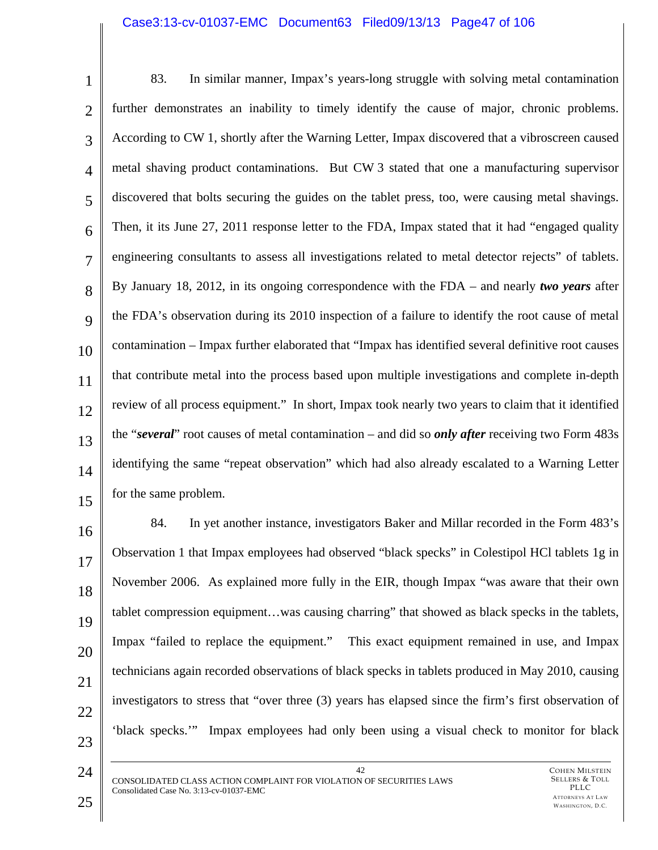#### Case3:13-cv-01037-EMC Document63 Filed09/13/13 Page47 of 106

| $\mathbf{1}$   | 83.<br>In similar manner, Impax's years-long struggle with solving metal contamination                    |
|----------------|-----------------------------------------------------------------------------------------------------------|
| $\overline{2}$ | further demonstrates an inability to timely identify the cause of major, chronic problems.                |
| 3              | According to CW 1, shortly after the Warning Letter, Impax discovered that a vibroscreen caused           |
| $\overline{4}$ | metal shaving product contaminations. But CW 3 stated that one a manufacturing supervisor                 |
| 5              | discovered that bolts securing the guides on the tablet press, too, were causing metal shavings.          |
| 6              | Then, it its June 27, 2011 response letter to the FDA, Impax stated that it had "engaged quality"         |
| $\overline{7}$ | engineering consultants to assess all investigations related to metal detector rejects" of tablets.       |
| 8              | By January 18, 2012, in its ongoing correspondence with the FDA – and nearly two years after              |
| 9              | the FDA's observation during its 2010 inspection of a failure to identify the root cause of metal         |
| 10             | contamination – Impax further elaborated that "Impax has identified several definitive root causes        |
| 11             | that contribute metal into the process based upon multiple investigations and complete in-depth           |
| 12             | review of all process equipment." In short, Impax took nearly two years to claim that it identified       |
| 13             | the "several" root causes of metal contamination – and did so <i>only after</i> receiving two Form $483s$ |
| 14             | identifying the same "repeat observation" which had also already escalated to a Warning Letter            |
| 15             | for the same problem.                                                                                     |
| 16             | 84.<br>In yet another instance, investigators Baker and Millar recorded in the Form 483's                 |
|                |                                                                                                           |

 $1<sub>6</sub>$ 17 18 19 20 21 22 23 Observation 1 that Impax employees had observed "black specks" in Colestipol HCl tablets 1g in November 2006. As explained more fully in the EIR, though Impax "was aware that their own tablet compression equipment…was causing charring" that showed as black specks in the tablets, Impax "failed to replace the equipment." This exact equipment remained in use, and Impax technicians again recorded observations of black specks in tablets produced in May 2010, causing investigators to stress that "over three (3) years has elapsed since the firm's first observation of 'black specks.'" Impax employees had only been using a visual check to monitor for black

42 CONSOLIDATED CLASS ACTION COMPLAINT FOR VIOLATION OF SECURITIES LAWS Consolidated Case No. 3:13-cv-01037-EMC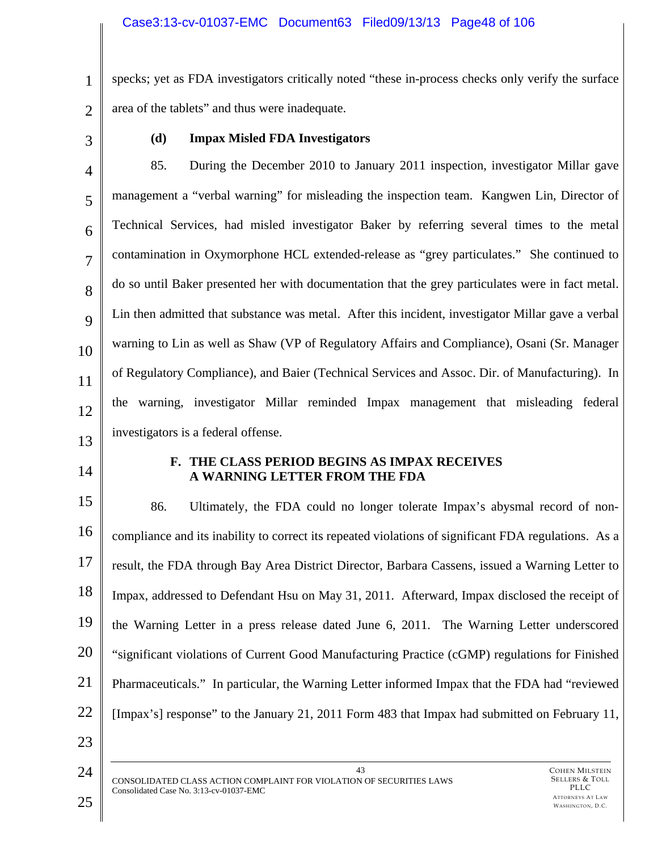1 2 specks; yet as FDA investigators critically noted "these in-process checks only verify the surface area of the tablets" and thus were inadequate.

3

# **(d) Impax Misled FDA Investigators**

4 5 6 7 8 9 10 11 12 13 85. During the December 2010 to January 2011 inspection, investigator Millar gave management a "verbal warning" for misleading the inspection team. Kangwen Lin, Director of Technical Services, had misled investigator Baker by referring several times to the metal contamination in Oxymorphone HCL extended-release as "grey particulates." She continued to do so until Baker presented her with documentation that the grey particulates were in fact metal. Lin then admitted that substance was metal. After this incident, investigator Millar gave a verbal warning to Lin as well as Shaw (VP of Regulatory Affairs and Compliance), Osani (Sr. Manager of Regulatory Compliance), and Baier (Technical Services and Assoc. Dir. of Manufacturing). In the warning, investigator Millar reminded Impax management that misleading federal investigators is a federal offense.

14

# **F. THE CLASS PERIOD BEGINS AS IMPAX RECEIVES A WARNING LETTER FROM THE FDA**

15 16 17 18 19 20 21 22 86. Ultimately, the FDA could no longer tolerate Impax's abysmal record of noncompliance and its inability to correct its repeated violations of significant FDA regulations. As a result, the FDA through Bay Area District Director, Barbara Cassens, issued a Warning Letter to Impax, addressed to Defendant Hsu on May 31, 2011. Afterward, Impax disclosed the receipt of the Warning Letter in a press release dated June 6, 2011. The Warning Letter underscored "significant violations of Current Good Manufacturing Practice (cGMP) regulations for Finished Pharmaceuticals." In particular, the Warning Letter informed Impax that the FDA had "reviewed [Impax's] response" to the January 21, 2011 Form 483 that Impax had submitted on February 11,

24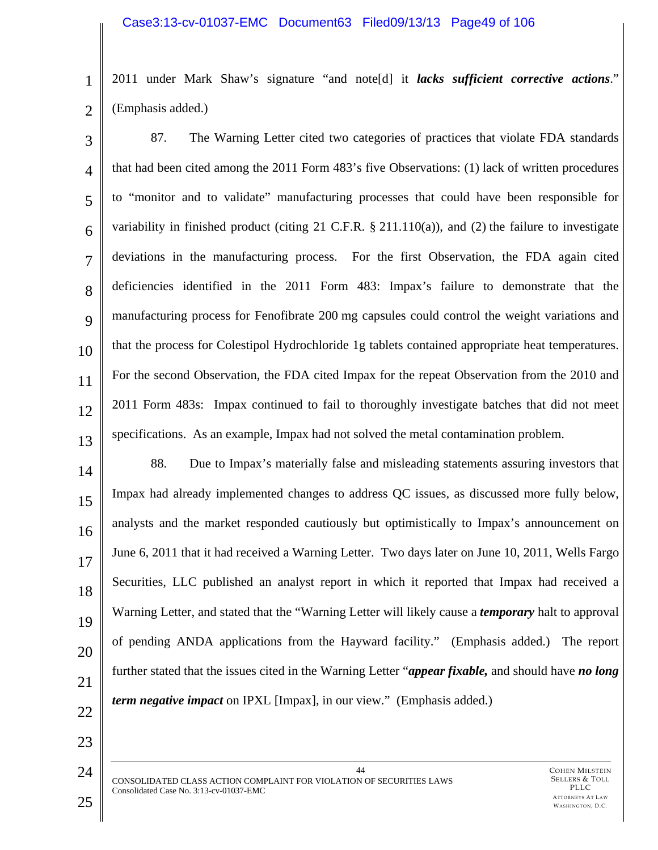1 2 2011 under Mark Shaw's signature "and note[d] it *lacks sufficient corrective actions*." (Emphasis added.)

3 4 5 6 7 8 9 10 11 12 13 87. The Warning Letter cited two categories of practices that violate FDA standards that had been cited among the 2011 Form 483's five Observations: (1) lack of written procedures to "monitor and to validate" manufacturing processes that could have been responsible for variability in finished product (citing 21 C.F.R. § 211.110(a)), and (2) the failure to investigate deviations in the manufacturing process. For the first Observation, the FDA again cited deficiencies identified in the 2011 Form 483: Impax's failure to demonstrate that the manufacturing process for Fenofibrate 200 mg capsules could control the weight variations and that the process for Colestipol Hydrochloride 1g tablets contained appropriate heat temperatures. For the second Observation, the FDA cited Impax for the repeat Observation from the 2010 and 2011 Form 483s: Impax continued to fail to thoroughly investigate batches that did not meet specifications. As an example, Impax had not solved the metal contamination problem.

14 15 16 17 18 19 20 21 88. Due to Impax's materially false and misleading statements assuring investors that Impax had already implemented changes to address QC issues, as discussed more fully below, analysts and the market responded cautiously but optimistically to Impax's announcement on June 6, 2011 that it had received a Warning Letter. Two days later on June 10, 2011, Wells Fargo Securities, LLC published an analyst report in which it reported that Impax had received a Warning Letter, and stated that the "Warning Letter will likely cause a *temporary* halt to approval of pending ANDA applications from the Hayward facility." (Emphasis added.) The report further stated that the issues cited in the Warning Letter "*appear fixable,* and should have *no long term negative impact* on IPXL [Impax], in our view." (Emphasis added.)

22

23

24

44 CONSOLIDATED CLASS ACTION COMPLAINT FOR VIOLATION OF SECURITIES LAWS Consolidated Case No. 3:13-cv-01037-EMC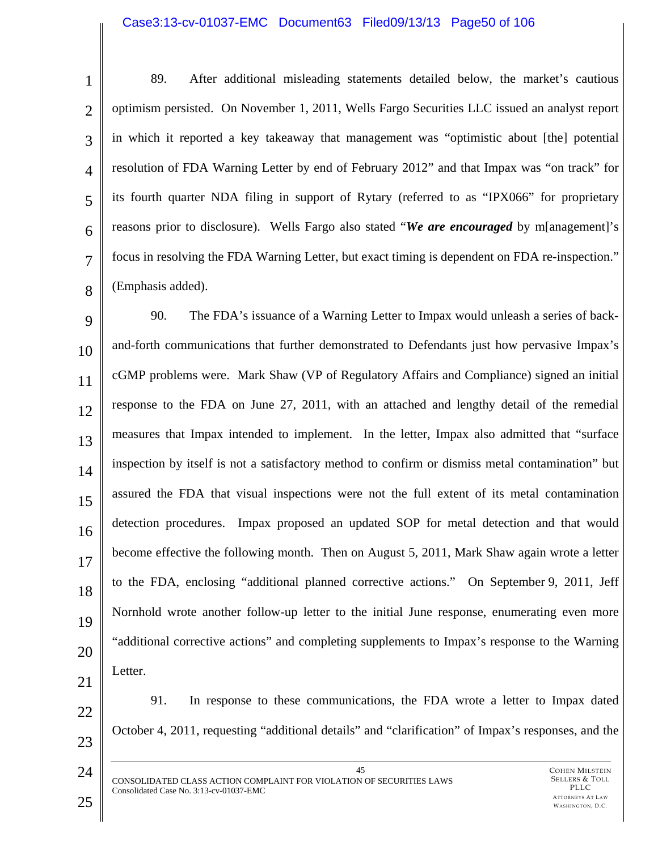#### Case3:13-cv-01037-EMC Document63 Filed09/13/13 Page50 of 106

1 2 3 4 5 6 7 8 89. After additional misleading statements detailed below, the market's cautious optimism persisted. On November 1, 2011, Wells Fargo Securities LLC issued an analyst report in which it reported a key takeaway that management was "optimistic about [the] potential resolution of FDA Warning Letter by end of February 2012" and that Impax was "on track" for its fourth quarter NDA filing in support of Rytary (referred to as "IPX066" for proprietary reasons prior to disclosure). Wells Fargo also stated "*We are encouraged* by m[anagement]'s focus in resolving the FDA Warning Letter, but exact timing is dependent on FDA re-inspection." (Emphasis added).

9 10 11 12 13 14 15 16 17 18 19 20 21 90. The FDA's issuance of a Warning Letter to Impax would unleash a series of backand-forth communications that further demonstrated to Defendants just how pervasive Impax's cGMP problems were. Mark Shaw (VP of Regulatory Affairs and Compliance) signed an initial response to the FDA on June 27, 2011, with an attached and lengthy detail of the remedial measures that Impax intended to implement. In the letter, Impax also admitted that "surface inspection by itself is not a satisfactory method to confirm or dismiss metal contamination" but assured the FDA that visual inspections were not the full extent of its metal contamination detection procedures. Impax proposed an updated SOP for metal detection and that would become effective the following month. Then on August 5, 2011, Mark Shaw again wrote a letter to the FDA, enclosing "additional planned corrective actions." On September 9, 2011, Jeff Nornhold wrote another follow-up letter to the initial June response, enumerating even more "additional corrective actions" and completing supplements to Impax's response to the Warning Letter.

22

23

24

91. In response to these communications, the FDA wrote a letter to Impax dated October 4, 2011, requesting "additional details" and "clarification" of Impax's responses, and the

45 CONSOLIDATED CLASS ACTION COMPLAINT FOR VIOLATION OF SECURITIES LAWS Consolidated Case No. 3:13-cv-01037-EMC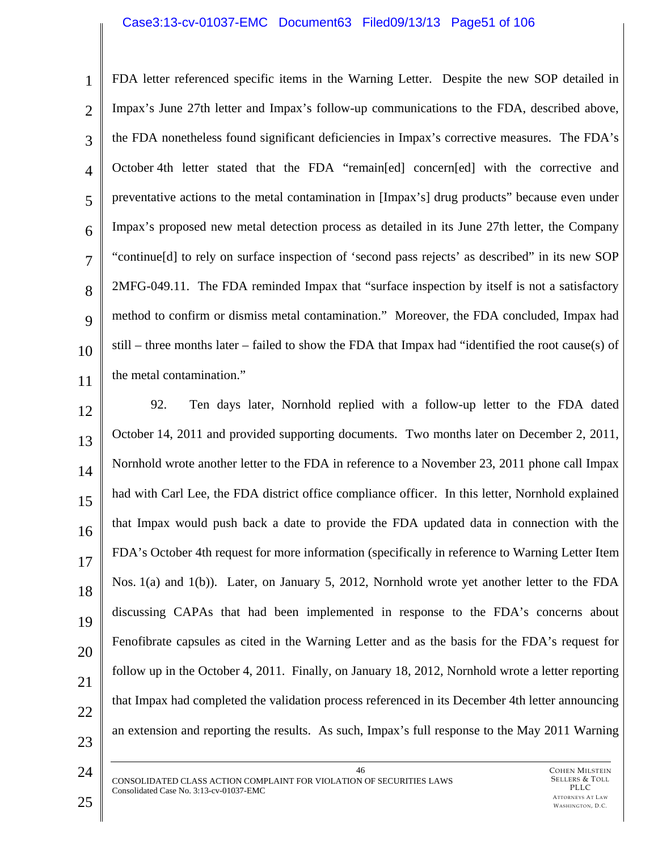### Case3:13-cv-01037-EMC Document63 Filed09/13/13 Page51 of 106

1 2 3 4 5 6 7 8  $\mathbf Q$ 10 11 FDA letter referenced specific items in the Warning Letter. Despite the new SOP detailed in Impax's June 27th letter and Impax's follow-up communications to the FDA, described above, the FDA nonetheless found significant deficiencies in Impax's corrective measures. The FDA's October 4th letter stated that the FDA "remain[ed] concern[ed] with the corrective and preventative actions to the metal contamination in [Impax's] drug products" because even under Impax's proposed new metal detection process as detailed in its June 27th letter, the Company "continue[d] to rely on surface inspection of 'second pass rejects' as described" in its new SOP 2MFG-049.11. The FDA reminded Impax that "surface inspection by itself is not a satisfactory method to confirm or dismiss metal contamination." Moreover, the FDA concluded, Impax had still – three months later – failed to show the FDA that Impax had "identified the root cause(s) of the metal contamination."

12 13 14 15 16 17 18 19 20 21 22 23 92. Ten days later, Nornhold replied with a follow-up letter to the FDA dated October 14, 2011 and provided supporting documents. Two months later on December 2, 2011, Nornhold wrote another letter to the FDA in reference to a November 23, 2011 phone call Impax had with Carl Lee, the FDA district office compliance officer. In this letter, Nornhold explained that Impax would push back a date to provide the FDA updated data in connection with the FDA's October 4th request for more information (specifically in reference to Warning Letter Item Nos. 1(a) and 1(b)). Later, on January 5, 2012, Nornhold wrote yet another letter to the FDA discussing CAPAs that had been implemented in response to the FDA's concerns about Fenofibrate capsules as cited in the Warning Letter and as the basis for the FDA's request for follow up in the October 4, 2011. Finally, on January 18, 2012, Nornhold wrote a letter reporting that Impax had completed the validation process referenced in its December 4th letter announcing an extension and reporting the results. As such, Impax's full response to the May 2011 Warning

46 CONSOLIDATED CLASS ACTION COMPLAINT FOR VIOLATION OF SECURITIES LAWS Consolidated Case No. 3:13-cv-01037-EMC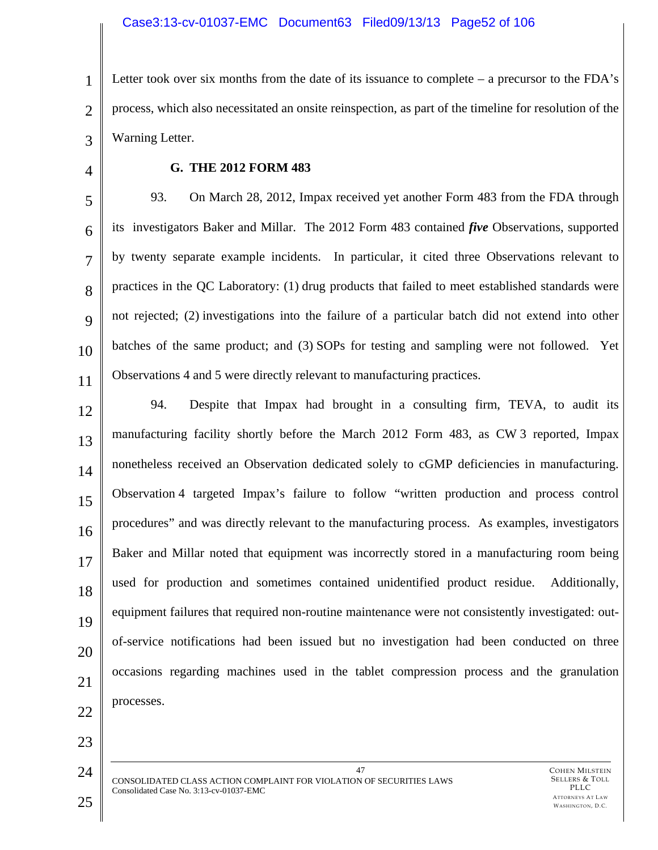1 2 3 Letter took over six months from the date of its issuance to complete – a precursor to the FDA's process, which also necessitated an onsite reinspection, as part of the timeline for resolution of the Warning Letter.

4

# **G. THE 2012 FORM 483**

5 6 7 8 9 10 11 93. On March 28, 2012, Impax received yet another Form 483 from the FDA through its investigators Baker and Millar. The 2012 Form 483 contained *five* Observations, supported by twenty separate example incidents. In particular, it cited three Observations relevant to practices in the QC Laboratory: (1) drug products that failed to meet established standards were not rejected; (2) investigations into the failure of a particular batch did not extend into other batches of the same product; and (3) SOPs for testing and sampling were not followed. Yet Observations 4 and 5 were directly relevant to manufacturing practices.

12 13 14 15 16 17 18 19 20 21 22 94. Despite that Impax had brought in a consulting firm, TEVA, to audit its manufacturing facility shortly before the March 2012 Form 483, as CW 3 reported, Impax nonetheless received an Observation dedicated solely to cGMP deficiencies in manufacturing. Observation 4 targeted Impax's failure to follow "written production and process control procedures" and was directly relevant to the manufacturing process. As examples, investigators Baker and Millar noted that equipment was incorrectly stored in a manufacturing room being used for production and sometimes contained unidentified product residue. Additionally, equipment failures that required non-routine maintenance were not consistently investigated: outof-service notifications had been issued but no investigation had been conducted on three occasions regarding machines used in the tablet compression process and the granulation processes.

24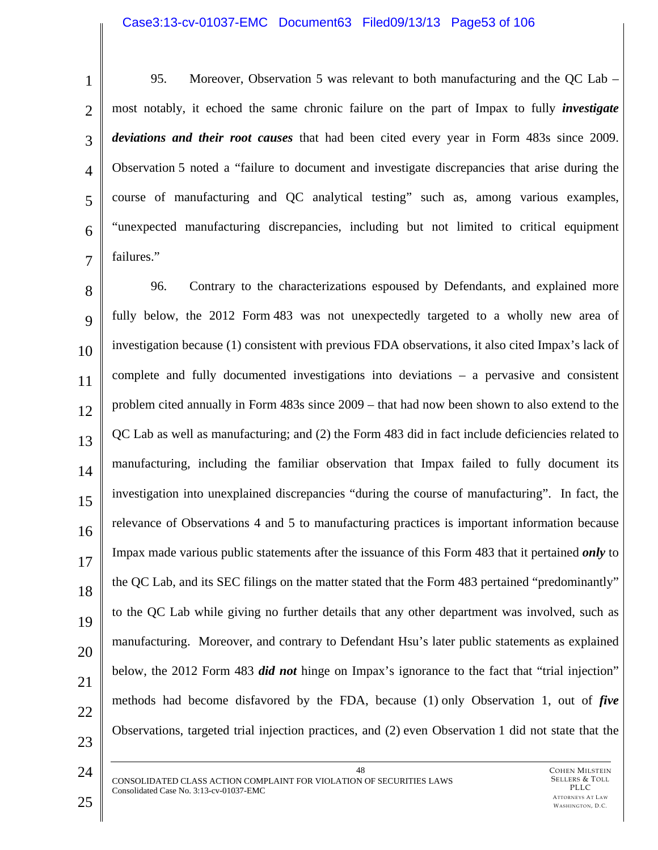#### Case3:13-cv-01037-EMC Document63 Filed09/13/13 Page53 of 106

1 2 3 4 5 6 7 95. Moreover, Observation 5 was relevant to both manufacturing and the QC Lab – most notably, it echoed the same chronic failure on the part of Impax to fully *investigate deviations and their root causes* that had been cited every year in Form 483s since 2009. Observation 5 noted a "failure to document and investigate discrepancies that arise during the course of manufacturing and QC analytical testing" such as, among various examples, "unexpected manufacturing discrepancies, including but not limited to critical equipment failures."

8 9 10 11 12 13 14 15 16 17 18 19 20 21 22 23 96. Contrary to the characterizations espoused by Defendants, and explained more fully below, the 2012 Form 483 was not unexpectedly targeted to a wholly new area of investigation because (1) consistent with previous FDA observations, it also cited Impax's lack of complete and fully documented investigations into deviations – a pervasive and consistent problem cited annually in Form 483s since 2009 – that had now been shown to also extend to the QC Lab as well as manufacturing; and (2) the Form 483 did in fact include deficiencies related to manufacturing, including the familiar observation that Impax failed to fully document its investigation into unexplained discrepancies "during the course of manufacturing". In fact, the relevance of Observations 4 and 5 to manufacturing practices is important information because Impax made various public statements after the issuance of this Form 483 that it pertained *only* to the QC Lab, and its SEC filings on the matter stated that the Form 483 pertained "predominantly" to the QC Lab while giving no further details that any other department was involved, such as manufacturing. Moreover, and contrary to Defendant Hsu's later public statements as explained below, the 2012 Form 483 *did not* hinge on Impax's ignorance to the fact that "trial injection" methods had become disfavored by the FDA, because (1) only Observation 1, out of *five* Observations, targeted trial injection practices, and (2) even Observation 1 did not state that the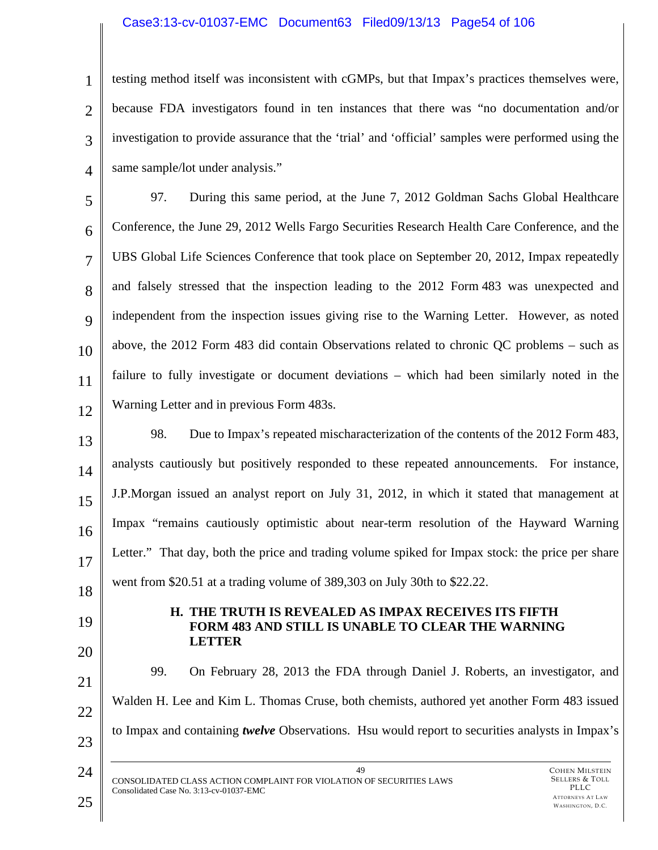# Case3:13-cv-01037-EMC Document63 Filed09/13/13 Page54 of 106

1 2 3 4 testing method itself was inconsistent with cGMPs, but that Impax's practices themselves were, because FDA investigators found in ten instances that there was "no documentation and/or investigation to provide assurance that the 'trial' and 'official' samples were performed using the same sample/lot under analysis."

5 6 7 8  $\mathbf Q$ 10 11 12 97. During this same period, at the June 7, 2012 Goldman Sachs Global Healthcare Conference, the June 29, 2012 Wells Fargo Securities Research Health Care Conference, and the UBS Global Life Sciences Conference that took place on September 20, 2012, Impax repeatedly and falsely stressed that the inspection leading to the 2012 Form 483 was unexpected and independent from the inspection issues giving rise to the Warning Letter. However, as noted above, the 2012 Form 483 did contain Observations related to chronic QC problems – such as failure to fully investigate or document deviations – which had been similarly noted in the Warning Letter and in previous Form 483s.

13 14 15 16 17 18 98. Due to Impax's repeated mischaracterization of the contents of the 2012 Form 483, analysts cautiously but positively responded to these repeated announcements. For instance, J.P.Morgan issued an analyst report on July 31, 2012, in which it stated that management at Impax "remains cautiously optimistic about near-term resolution of the Hayward Warning Letter." That day, both the price and trading volume spiked for Impax stock: the price per share went from \$20.51 at a trading volume of 389,303 on July 30th to \$22.22.

19 20

#### **H. THE TRUTH IS REVEALED AS IMPAX RECEIVES ITS FIFTH FORM 483 AND STILL IS UNABLE TO CLEAR THE WARNING LETTER**

21 22 23 99. On February 28, 2013 the FDA through Daniel J. Roberts, an investigator, and Walden H. Lee and Kim L. Thomas Cruse, both chemists, authored yet another Form 483 issued to Impax and containing *twelve* Observations. Hsu would report to securities analysts in Impax's

49 CONSOLIDATED CLASS ACTION COMPLAINT FOR VIOLATION OF SECURITIES LAWS Consolidated Case No. 3:13-cv-01037-EMC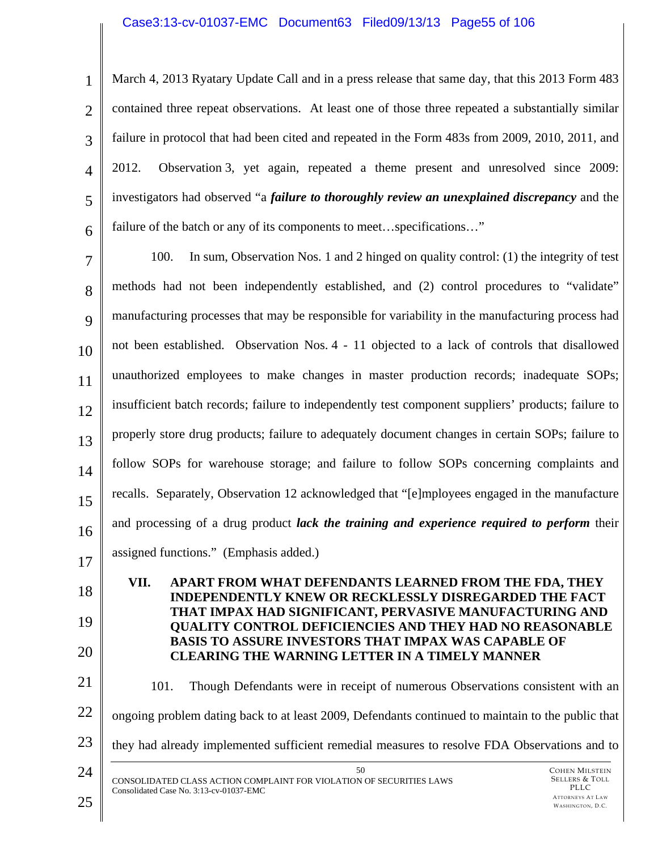#### Case3:13-cv-01037-EMC Document63 Filed09/13/13 Page55 of 106

1 2 3 4 5 6 March 4, 2013 Ryatary Update Call and in a press release that same day, that this 2013 Form 483 contained three repeat observations. At least one of those three repeated a substantially similar failure in protocol that had been cited and repeated in the Form 483s from 2009, 2010, 2011, and 2012. Observation 3, yet again, repeated a theme present and unresolved since 2009: investigators had observed "a *failure to thoroughly review an unexplained discrepancy* and the failure of the batch or any of its components to meet...specifications..."

7 8 9 10 11 12 13 14 15 16 17 100. In sum, Observation Nos. 1 and 2 hinged on quality control: (1) the integrity of test methods had not been independently established, and (2) control procedures to "validate" manufacturing processes that may be responsible for variability in the manufacturing process had not been established. Observation Nos. 4 - 11 objected to a lack of controls that disallowed unauthorized employees to make changes in master production records; inadequate SOPs; insufficient batch records; failure to independently test component suppliers' products; failure to properly store drug products; failure to adequately document changes in certain SOPs; failure to follow SOPs for warehouse storage; and failure to follow SOPs concerning complaints and recalls. Separately, Observation 12 acknowledged that "[e]mployees engaged in the manufacture and processing of a drug product *lack the training and experience required to perform* their assigned functions." (Emphasis added.)

**VII. APART FROM WHAT DEFENDANTS LEARNED FROM THE FDA, THEY INDEPENDENTLY KNEW OR RECKLESSLY DISREGARDED THE FACT THAT IMPAX HAD SIGNIFICANT, PERVASIVE MANUFACTURING AND QUALITY CONTROL DEFICIENCIES AND THEY HAD NO REASONABLE BASIS TO ASSURE INVESTORS THAT IMPAX WAS CAPABLE OF CLEARING THE WARNING LETTER IN A TIMELY MANNER** 

21 22 23 24 50 101. Though Defendants were in receipt of numerous Observations consistent with an ongoing problem dating back to at least 2009, Defendants continued to maintain to the public that they had already implemented sufficient remedial measures to resolve FDA Observations and to

CONSOLIDATED CLASS ACTION COMPLAINT FOR VIOLATION OF SECURITIES LAWS Consolidated Case No. 3:13-cv-01037-EMC

18

19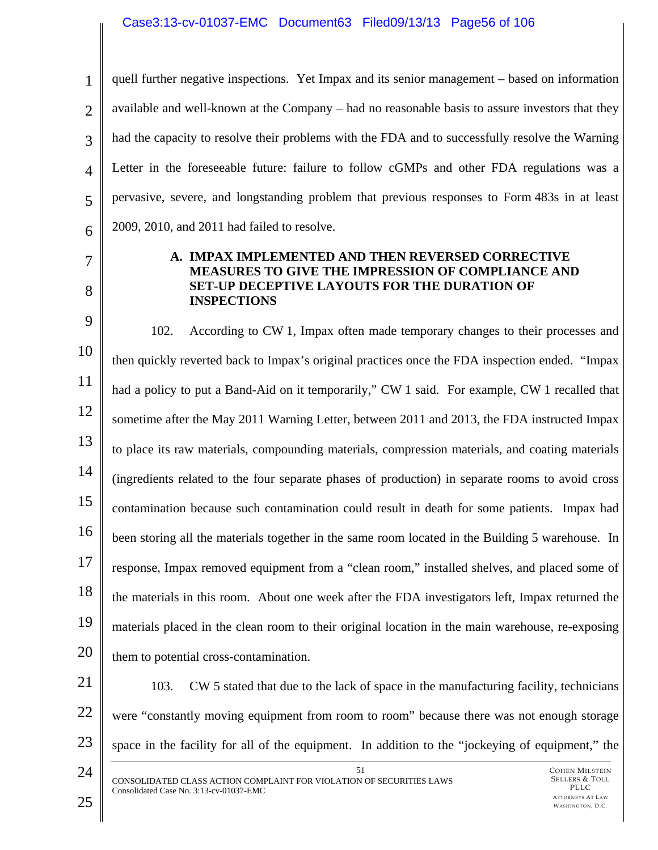### Case3:13-cv-01037-EMC Document63 Filed09/13/13 Page56 of 106

1 2 3 4 5 6 quell further negative inspections. Yet Impax and its senior management – based on information available and well-known at the Company – had no reasonable basis to assure investors that they had the capacity to resolve their problems with the FDA and to successfully resolve the Warning Letter in the foreseeable future: failure to follow cGMPs and other FDA regulations was a pervasive, severe, and longstanding problem that previous responses to Form 483s in at least 2009, 2010, and 2011 had failed to resolve.

7

8

#### **A. IMPAX IMPLEMENTED AND THEN REVERSED CORRECTIVE MEASURES TO GIVE THE IMPRESSION OF COMPLIANCE AND SET-UP DECEPTIVE LAYOUTS FOR THE DURATION OF INSPECTIONS**

9 10 11 12 13 14 15 16 17 18 19 20 102. According to CW 1, Impax often made temporary changes to their processes and then quickly reverted back to Impax's original practices once the FDA inspection ended. "Impax had a policy to put a Band-Aid on it temporarily," CW 1 said. For example, CW 1 recalled that sometime after the May 2011 Warning Letter, between 2011 and 2013, the FDA instructed Impax to place its raw materials, compounding materials, compression materials, and coating materials (ingredients related to the four separate phases of production) in separate rooms to avoid cross contamination because such contamination could result in death for some patients. Impax had been storing all the materials together in the same room located in the Building 5 warehouse. In response, Impax removed equipment from a "clean room," installed shelves, and placed some of the materials in this room. About one week after the FDA investigators left, Impax returned the materials placed in the clean room to their original location in the main warehouse, re-exposing them to potential cross-contamination.

- 21 22 23 103. CW 5 stated that due to the lack of space in the manufacturing facility, technicians were "constantly moving equipment from room to room" because there was not enough storage space in the facility for all of the equipment. In addition to the "jockeying of equipment," the
- 24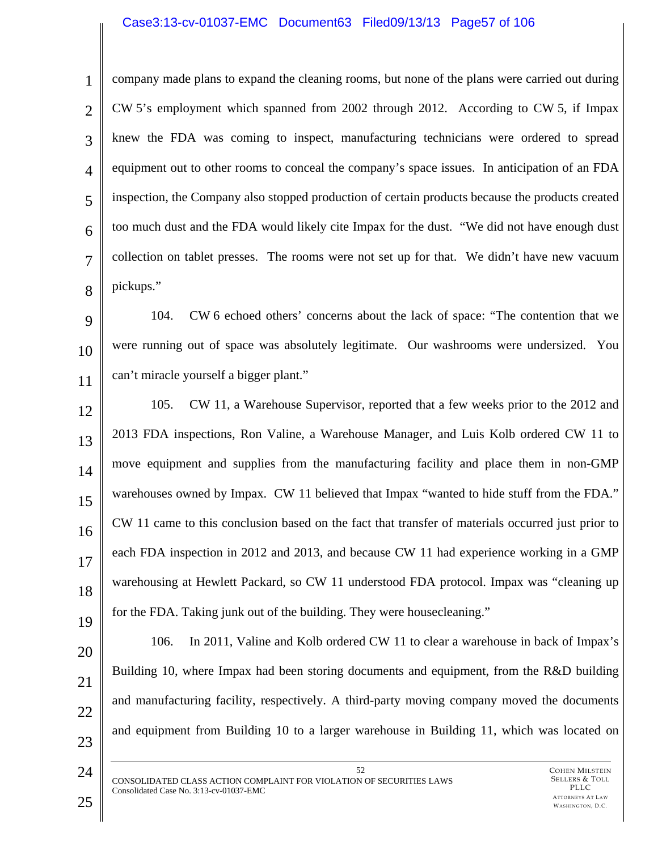#### Case3:13-cv-01037-EMC Document63 Filed09/13/13 Page57 of 106

6

7

8

1

company made plans to expand the cleaning rooms, but none of the plans were carried out during CW 5's employment which spanned from 2002 through 2012. According to CW 5, if Impax knew the FDA was coming to inspect, manufacturing technicians were ordered to spread equipment out to other rooms to conceal the company's space issues. In anticipation of an FDA inspection, the Company also stopped production of certain products because the products created too much dust and the FDA would likely cite Impax for the dust. "We did not have enough dust collection on tablet presses. The rooms were not set up for that. We didn't have new vacuum pickups."

9 10 11 104. CW 6 echoed others' concerns about the lack of space: "The contention that we were running out of space was absolutely legitimate. Our washrooms were undersized. You can't miracle yourself a bigger plant."

12 13 14 15 16 17 18 19 105. CW 11, a Warehouse Supervisor, reported that a few weeks prior to the 2012 and 2013 FDA inspections, Ron Valine, a Warehouse Manager, and Luis Kolb ordered CW 11 to move equipment and supplies from the manufacturing facility and place them in non-GMP warehouses owned by Impax. CW 11 believed that Impax "wanted to hide stuff from the FDA." CW 11 came to this conclusion based on the fact that transfer of materials occurred just prior to each FDA inspection in 2012 and 2013, and because CW 11 had experience working in a GMP warehousing at Hewlett Packard, so CW 11 understood FDA protocol. Impax was "cleaning up for the FDA. Taking junk out of the building. They were housecleaning."

106. In 2011, Valine and Kolb ordered CW 11 to clear a warehouse in back of Impax's Building 10, where Impax had been storing documents and equipment, from the R&D building and manufacturing facility, respectively. A third-party moving company moved the documents and equipment from Building 10 to a larger warehouse in Building 11, which was located on

52 CONSOLIDATED CLASS ACTION COMPLAINT FOR VIOLATION OF SECURITIES LAWS Consolidated Case No. 3:13-cv-01037-EMC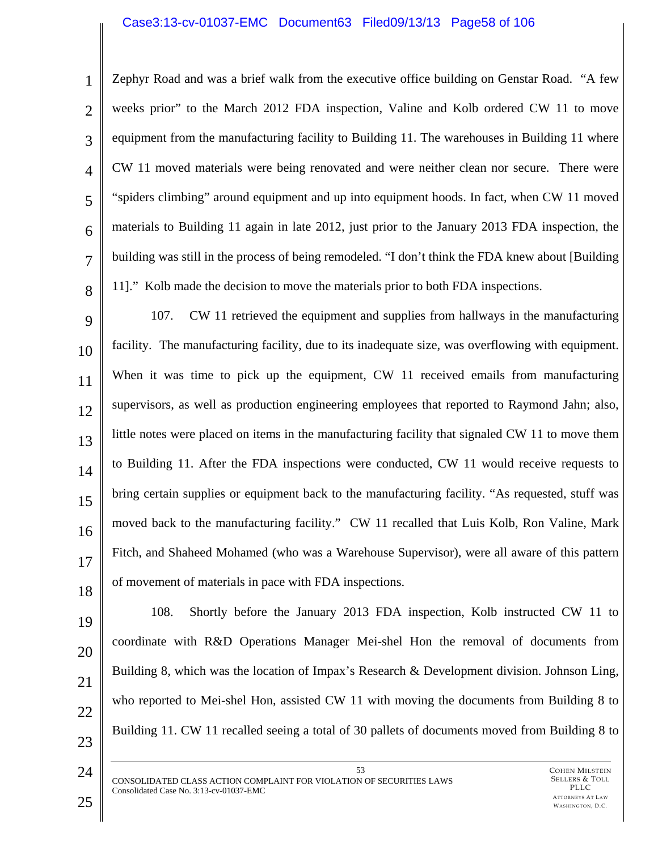### Case3:13-cv-01037-EMC Document63 Filed09/13/13 Page58 of 106

1 2 3 4 5 6 7 8 Zephyr Road and was a brief walk from the executive office building on Genstar Road. "A few weeks prior" to the March 2012 FDA inspection, Valine and Kolb ordered CW 11 to move equipment from the manufacturing facility to Building 11. The warehouses in Building 11 where CW 11 moved materials were being renovated and were neither clean nor secure. There were "spiders climbing" around equipment and up into equipment hoods. In fact, when CW 11 moved materials to Building 11 again in late 2012, just prior to the January 2013 FDA inspection, the building was still in the process of being remodeled. "I don't think the FDA knew about [Building 11]." Kolb made the decision to move the materials prior to both FDA inspections.

9 10 11 12 13 14 15 16 17 18 107. CW 11 retrieved the equipment and supplies from hallways in the manufacturing facility. The manufacturing facility, due to its inadequate size, was overflowing with equipment. When it was time to pick up the equipment, CW 11 received emails from manufacturing supervisors, as well as production engineering employees that reported to Raymond Jahn; also, little notes were placed on items in the manufacturing facility that signaled CW 11 to move them to Building 11. After the FDA inspections were conducted, CW 11 would receive requests to bring certain supplies or equipment back to the manufacturing facility. "As requested, stuff was moved back to the manufacturing facility." CW 11 recalled that Luis Kolb, Ron Valine, Mark Fitch, and Shaheed Mohamed (who was a Warehouse Supervisor), were all aware of this pattern of movement of materials in pace with FDA inspections.

19 20 21 22 23 108. Shortly before the January 2013 FDA inspection, Kolb instructed CW 11 to coordinate with R&D Operations Manager Mei-shel Hon the removal of documents from Building 8, which was the location of Impax's Research & Development division. Johnson Ling, who reported to Mei-shel Hon, assisted CW 11 with moving the documents from Building 8 to Building 11. CW 11 recalled seeing a total of 30 pallets of documents moved from Building 8 to

53 CONSOLIDATED CLASS ACTION COMPLAINT FOR VIOLATION OF SECURITIES LAWS Consolidated Case No. 3:13-cv-01037-EMC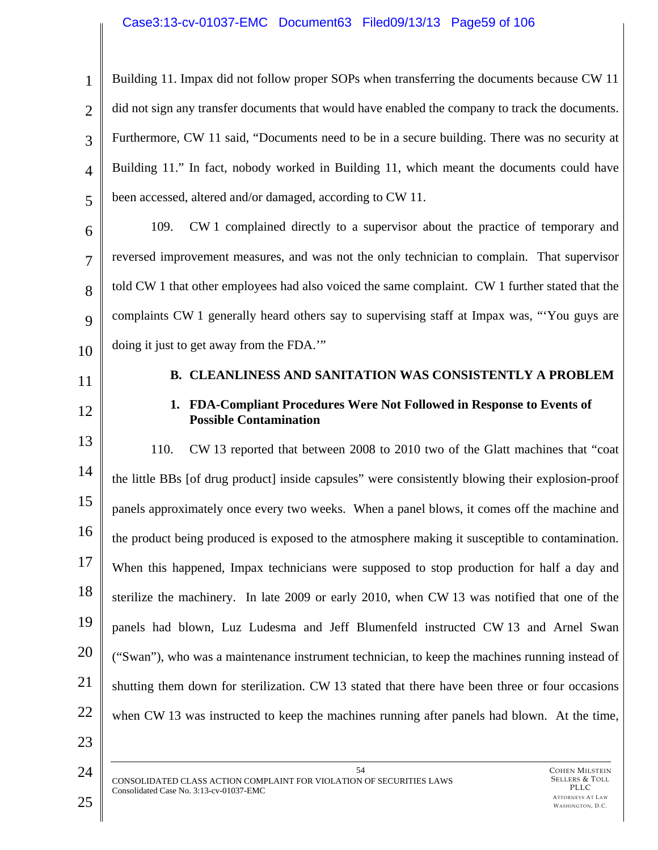# Case3:13-cv-01037-EMC Document63 Filed09/13/13 Page59 of 106

1 2 3 4 5 6 7 8  $\mathbf Q$ 10 11 12 13 14 15 16 17 18 19 20 21 22 23 24 54 Building 11. Impax did not follow proper SOPs when transferring the documents because CW 11 did not sign any transfer documents that would have enabled the company to track the documents. Furthermore, CW 11 said, "Documents need to be in a secure building. There was no security at Building 11." In fact, nobody worked in Building 11, which meant the documents could have been accessed, altered and/or damaged, according to CW 11. 109. CW 1 complained directly to a supervisor about the practice of temporary and reversed improvement measures, and was not the only technician to complain. That supervisor told CW 1 that other employees had also voiced the same complaint. CW 1 further stated that the complaints CW 1 generally heard others say to supervising staff at Impax was, "'You guys are doing it just to get away from the FDA.'" **B. CLEANLINESS AND SANITATION WAS CONSISTENTLY A PROBLEM 1. FDA-Compliant Procedures Were Not Followed in Response to Events of Possible Contamination**  110. CW 13 reported that between 2008 to 2010 two of the Glatt machines that "coat the little BBs [of drug product] inside capsules" were consistently blowing their explosion-proof panels approximately once every two weeks. When a panel blows, it comes off the machine and the product being produced is exposed to the atmosphere making it susceptible to contamination. When this happened, Impax technicians were supposed to stop production for half a day and sterilize the machinery. In late 2009 or early 2010, when CW 13 was notified that one of the panels had blown, Luz Ludesma and Jeff Blumenfeld instructed CW 13 and Arnel Swan ("Swan"), who was a maintenance instrument technician, to keep the machines running instead of shutting them down for sterilization. CW 13 stated that there have been three or four occasions when CW 13 was instructed to keep the machines running after panels had blown. At the time,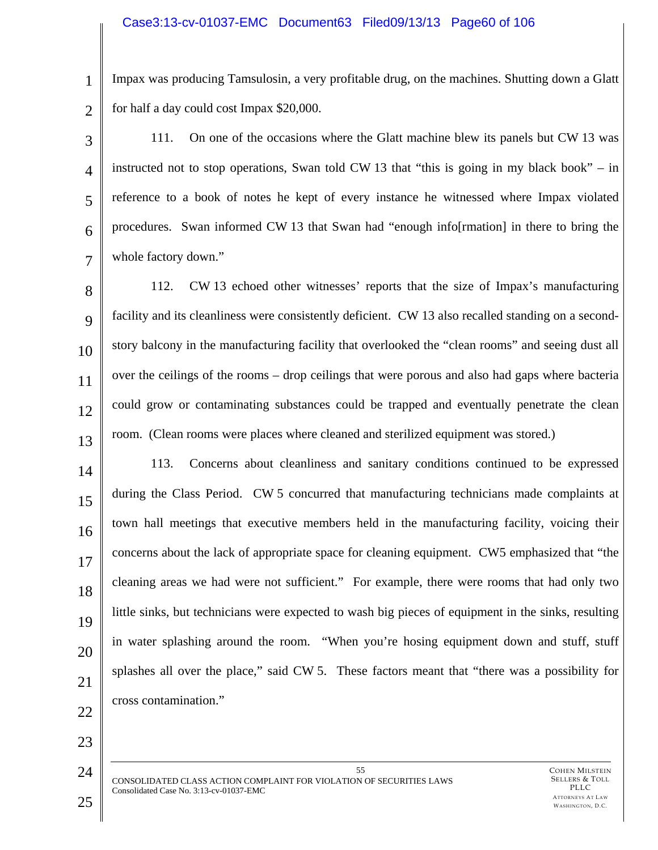#### Case3:13-cv-01037-EMC Document63 Filed09/13/13 Page60 of 106

1 2 Impax was producing Tamsulosin, a very profitable drug, on the machines. Shutting down a Glatt for half a day could cost Impax \$20,000.

3 4 5 6 7 111. On one of the occasions where the Glatt machine blew its panels but CW 13 was instructed not to stop operations, Swan told CW 13 that "this is going in my black book" – in reference to a book of notes he kept of every instance he witnessed where Impax violated procedures. Swan informed CW 13 that Swan had "enough info[rmation] in there to bring the whole factory down."

8  $\mathbf Q$ 10 11 12 13 112. CW 13 echoed other witnesses' reports that the size of Impax's manufacturing facility and its cleanliness were consistently deficient. CW 13 also recalled standing on a secondstory balcony in the manufacturing facility that overlooked the "clean rooms" and seeing dust all over the ceilings of the rooms – drop ceilings that were porous and also had gaps where bacteria could grow or contaminating substances could be trapped and eventually penetrate the clean room. (Clean rooms were places where cleaned and sterilized equipment was stored.)

14 15 16 17 18 19 20 21 22 113. Concerns about cleanliness and sanitary conditions continued to be expressed during the Class Period. CW 5 concurred that manufacturing technicians made complaints at town hall meetings that executive members held in the manufacturing facility, voicing their concerns about the lack of appropriate space for cleaning equipment. CW5 emphasized that "the cleaning areas we had were not sufficient." For example, there were rooms that had only two little sinks, but technicians were expected to wash big pieces of equipment in the sinks, resulting in water splashing around the room. "When you're hosing equipment down and stuff, stuff splashes all over the place," said CW 5. These factors meant that "there was a possibility for cross contamination."

55 CONSOLIDATED CLASS ACTION COMPLAINT FOR VIOLATION OF SECURITIES LAWS Consolidated Case No. 3:13-cv-01037-EMC

23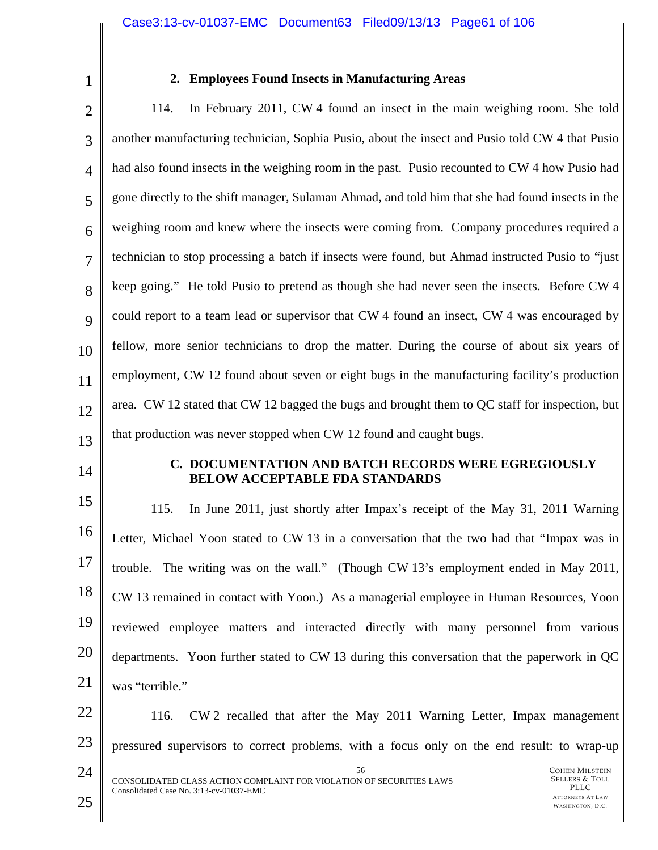1

# **2. Employees Found Insects in Manufacturing Areas**

2 3 4 5 6 7 8 9 10 11 12 13 114. In February 2011, CW 4 found an insect in the main weighing room. She told another manufacturing technician, Sophia Pusio, about the insect and Pusio told CW 4 that Pusio had also found insects in the weighing room in the past. Pusio recounted to CW 4 how Pusio had gone directly to the shift manager, Sulaman Ahmad, and told him that she had found insects in the weighing room and knew where the insects were coming from. Company procedures required a technician to stop processing a batch if insects were found, but Ahmad instructed Pusio to "just keep going." He told Pusio to pretend as though she had never seen the insects. Before CW 4 could report to a team lead or supervisor that CW 4 found an insect, CW 4 was encouraged by fellow, more senior technicians to drop the matter. During the course of about six years of employment, CW 12 found about seven or eight bugs in the manufacturing facility's production area. CW 12 stated that CW 12 bagged the bugs and brought them to QC staff for inspection, but that production was never stopped when CW 12 found and caught bugs.

14

#### **C. DOCUMENTATION AND BATCH RECORDS WERE EGREGIOUSLY BELOW ACCEPTABLE FDA STANDARDS**

15 16 17 18 19 20 21 115. In June 2011, just shortly after Impax's receipt of the May 31, 2011 Warning Letter, Michael Yoon stated to CW 13 in a conversation that the two had that "Impax was in trouble. The writing was on the wall." (Though CW 13's employment ended in May 2011, CW 13 remained in contact with Yoon.) As a managerial employee in Human Resources, Yoon reviewed employee matters and interacted directly with many personnel from various departments. Yoon further stated to CW 13 during this conversation that the paperwork in QC was "terrible."

22 23 116. CW 2 recalled that after the May 2011 Warning Letter, Impax management pressured supervisors to correct problems, with a focus only on the end result: to wrap-up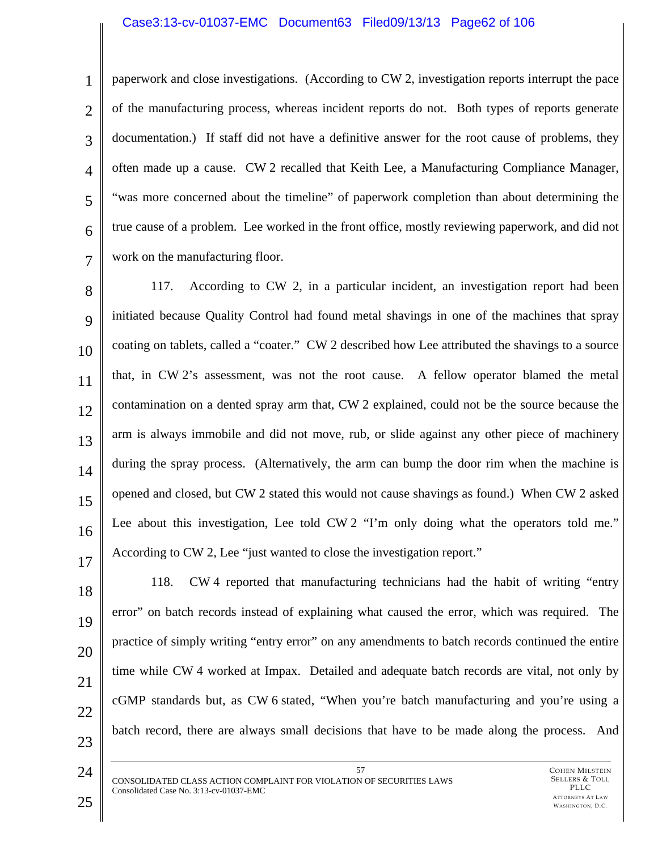#### Case3:13-cv-01037-EMC Document63 Filed09/13/13 Page62 of 106

1 2 3

4

5

6

7

paperwork and close investigations. (According to CW 2, investigation reports interrupt the pace of the manufacturing process, whereas incident reports do not. Both types of reports generate documentation.) If staff did not have a definitive answer for the root cause of problems, they often made up a cause. CW 2 recalled that Keith Lee, a Manufacturing Compliance Manager, "was more concerned about the timeline" of paperwork completion than about determining the true cause of a problem. Lee worked in the front office, mostly reviewing paperwork, and did not work on the manufacturing floor.

8  $\mathbf Q$ 10 11 12 13 14 15 16 17 117. According to CW 2, in a particular incident, an investigation report had been initiated because Quality Control had found metal shavings in one of the machines that spray coating on tablets, called a "coater." CW 2 described how Lee attributed the shavings to a source that, in CW 2's assessment, was not the root cause. A fellow operator blamed the metal contamination on a dented spray arm that, CW 2 explained, could not be the source because the arm is always immobile and did not move, rub, or slide against any other piece of machinery during the spray process. (Alternatively, the arm can bump the door rim when the machine is opened and closed, but CW 2 stated this would not cause shavings as found.) When CW 2 asked Lee about this investigation, Lee told CW 2 "I'm only doing what the operators told me." According to CW 2, Lee "just wanted to close the investigation report."

118. CW 4 reported that manufacturing technicians had the habit of writing "entry error" on batch records instead of explaining what caused the error, which was required. The practice of simply writing "entry error" on any amendments to batch records continued the entire time while CW 4 worked at Impax. Detailed and adequate batch records are vital, not only by cGMP standards but, as CW 6 stated, "When you're batch manufacturing and you're using a batch record, there are always small decisions that have to be made along the process. And

57 CONSOLIDATED CLASS ACTION COMPLAINT FOR VIOLATION OF SECURITIES LAWS Consolidated Case No. 3:13-cv-01037-EMC

23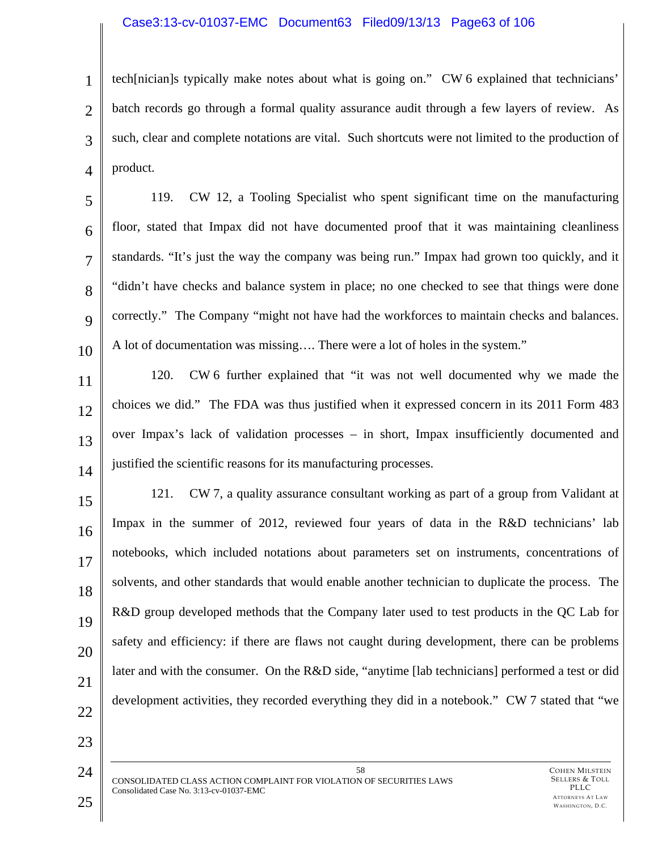## Case3:13-cv-01037-EMC Document63 Filed09/13/13 Page63 of 106

1 2 3 4 tech[nician]s typically make notes about what is going on." CW 6 explained that technicians' batch records go through a formal quality assurance audit through a few layers of review. As such, clear and complete notations are vital. Such shortcuts were not limited to the production of product.

5 6 7 8  $\mathbf Q$ 10 119. CW 12, a Tooling Specialist who spent significant time on the manufacturing floor, stated that Impax did not have documented proof that it was maintaining cleanliness standards. "It's just the way the company was being run." Impax had grown too quickly, and it "didn't have checks and balance system in place; no one checked to see that things were done correctly." The Company "might not have had the workforces to maintain checks and balances. A lot of documentation was missing…. There were a lot of holes in the system."

11

12

13

14

120. CW 6 further explained that "it was not well documented why we made the choices we did." The FDA was thus justified when it expressed concern in its 2011 Form 483 over Impax's lack of validation processes – in short, Impax insufficiently documented and justified the scientific reasons for its manufacturing processes.

15 16 17 18 19 20 21 121. CW 7, a quality assurance consultant working as part of a group from Validant at Impax in the summer of 2012, reviewed four years of data in the R&D technicians' lab notebooks, which included notations about parameters set on instruments, concentrations of solvents, and other standards that would enable another technician to duplicate the process. The R&D group developed methods that the Company later used to test products in the QC Lab for safety and efficiency: if there are flaws not caught during development, there can be problems later and with the consumer. On the R&D side, "anytime [lab technicians] performed a test or did development activities, they recorded everything they did in a notebook." CW 7 stated that "we

22

23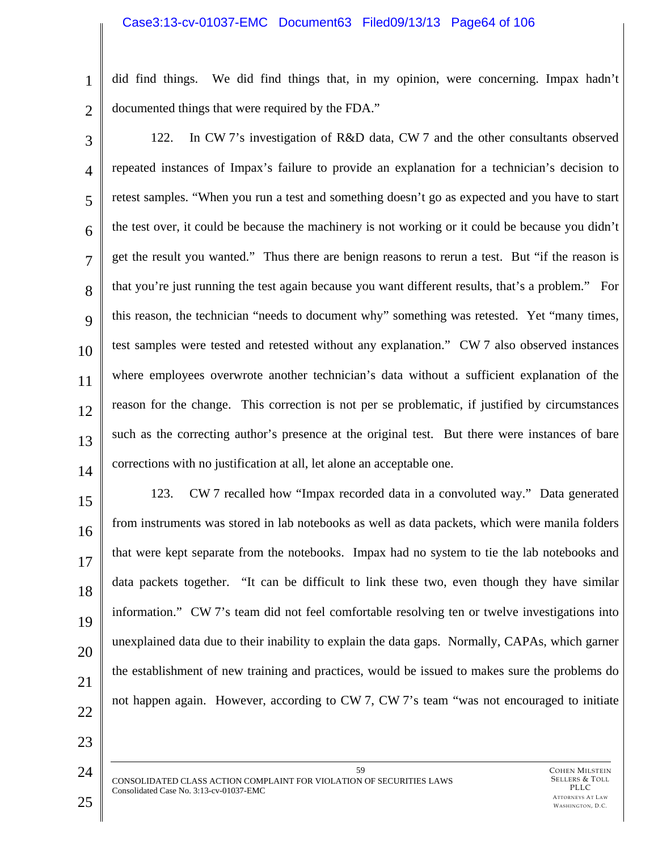#### Case3:13-cv-01037-EMC Document63 Filed09/13/13 Page64 of 106

1 2 did find things. We did find things that, in my opinion, were concerning. Impax hadn't documented things that were required by the FDA."

3 4 5 6 7 8 9 10 11 12 13 14 122. In CW 7's investigation of R&D data, CW 7 and the other consultants observed repeated instances of Impax's failure to provide an explanation for a technician's decision to retest samples. "When you run a test and something doesn't go as expected and you have to start the test over, it could be because the machinery is not working or it could be because you didn't get the result you wanted." Thus there are benign reasons to rerun a test. But "if the reason is that you're just running the test again because you want different results, that's a problem." For this reason, the technician "needs to document why" something was retested. Yet "many times, test samples were tested and retested without any explanation." CW 7 also observed instances where employees overwrote another technician's data without a sufficient explanation of the reason for the change. This correction is not per se problematic, if justified by circumstances such as the correcting author's presence at the original test. But there were instances of bare corrections with no justification at all, let alone an acceptable one.

15 16 17 18 19 20 21 123. CW 7 recalled how "Impax recorded data in a convoluted way." Data generated from instruments was stored in lab notebooks as well as data packets, which were manila folders that were kept separate from the notebooks. Impax had no system to tie the lab notebooks and data packets together. "It can be difficult to link these two, even though they have similar information." CW 7's team did not feel comfortable resolving ten or twelve investigations into unexplained data due to their inability to explain the data gaps. Normally, CAPAs, which garner the establishment of new training and practices, would be issued to makes sure the problems do not happen again. However, according to CW 7, CW 7's team "was not encouraged to initiate

22

23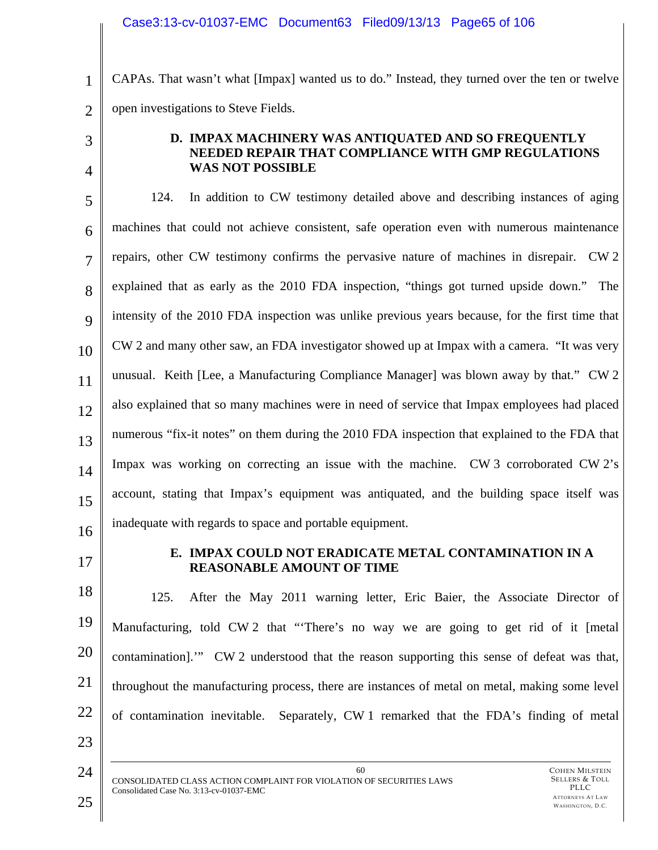1 2 CAPAs. That wasn't what [Impax] wanted us to do." Instead, they turned over the ten or twelve open investigations to Steve Fields.

3

4

# **D. IMPAX MACHINERY WAS ANTIQUATED AND SO FREQUENTLY NEEDED REPAIR THAT COMPLIANCE WITH GMP REGULATIONS WAS NOT POSSIBLE**

5 6 7 8 9 10 11 12 13 14 15 16 124. In addition to CW testimony detailed above and describing instances of aging machines that could not achieve consistent, safe operation even with numerous maintenance repairs, other CW testimony confirms the pervasive nature of machines in disrepair. CW 2 explained that as early as the 2010 FDA inspection, "things got turned upside down." The intensity of the 2010 FDA inspection was unlike previous years because, for the first time that CW 2 and many other saw, an FDA investigator showed up at Impax with a camera. "It was very unusual. Keith [Lee, a Manufacturing Compliance Manager] was blown away by that." CW 2 also explained that so many machines were in need of service that Impax employees had placed numerous "fix-it notes" on them during the 2010 FDA inspection that explained to the FDA that Impax was working on correcting an issue with the machine. CW 3 corroborated CW 2's account, stating that Impax's equipment was antiquated, and the building space itself was inadequate with regards to space and portable equipment.

17

# **E. IMPAX COULD NOT ERADICATE METAL CONTAMINATION IN A REASONABLE AMOUNT OF TIME**

18 19 20 21 22 125. After the May 2011 warning letter, Eric Baier, the Associate Director of Manufacturing, told CW 2 that "'There's no way we are going to get rid of it [metal contamination].'" CW 2 understood that the reason supporting this sense of defeat was that, throughout the manufacturing process, there are instances of metal on metal, making some level of contamination inevitable. Separately, CW 1 remarked that the FDA's finding of metal

60

24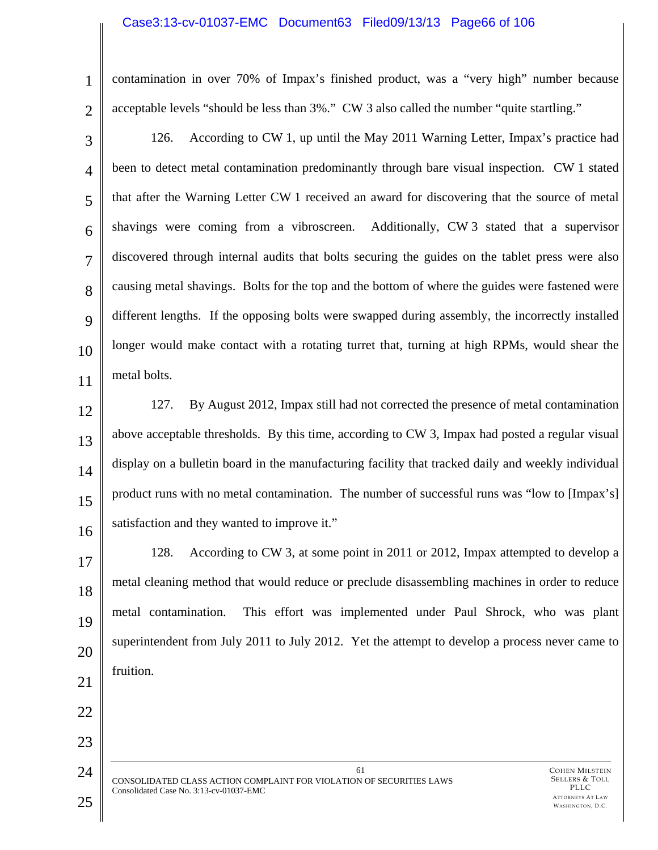#### Case3:13-cv-01037-EMC Document63 Filed09/13/13 Page66 of 106

contamination in over 70% of Impax's finished product, was a "very high" number because acceptable levels "should be less than 3%." CW 3 also called the number "quite startling."

3 4 5 6 7 8  $\mathbf Q$ 10 11 126. According to CW 1, up until the May 2011 Warning Letter, Impax's practice had been to detect metal contamination predominantly through bare visual inspection. CW 1 stated that after the Warning Letter CW 1 received an award for discovering that the source of metal shavings were coming from a vibroscreen. Additionally, CW 3 stated that a supervisor discovered through internal audits that bolts securing the guides on the tablet press were also causing metal shavings. Bolts for the top and the bottom of where the guides were fastened were different lengths. If the opposing bolts were swapped during assembly, the incorrectly installed longer would make contact with a rotating turret that, turning at high RPMs, would shear the metal bolts.

12 13 14 15 16 127. By August 2012, Impax still had not corrected the presence of metal contamination above acceptable thresholds. By this time, according to CW 3, Impax had posted a regular visual display on a bulletin board in the manufacturing facility that tracked daily and weekly individual product runs with no metal contamination. The number of successful runs was "low to [Impax's] satisfaction and they wanted to improve it."

17 18 19 20 21 128. According to CW 3, at some point in 2011 or 2012, Impax attempted to develop a metal cleaning method that would reduce or preclude disassembling machines in order to reduce metal contamination. This effort was implemented under Paul Shrock, who was plant superintendent from July 2011 to July 2012. Yet the attempt to develop a process never came to fruition.

61 CONSOLIDATED CLASS ACTION COMPLAINT FOR VIOLATION OF SECURITIES LAWS Consolidated Case No. 3:13-cv-01037-EMC

22

23

24

1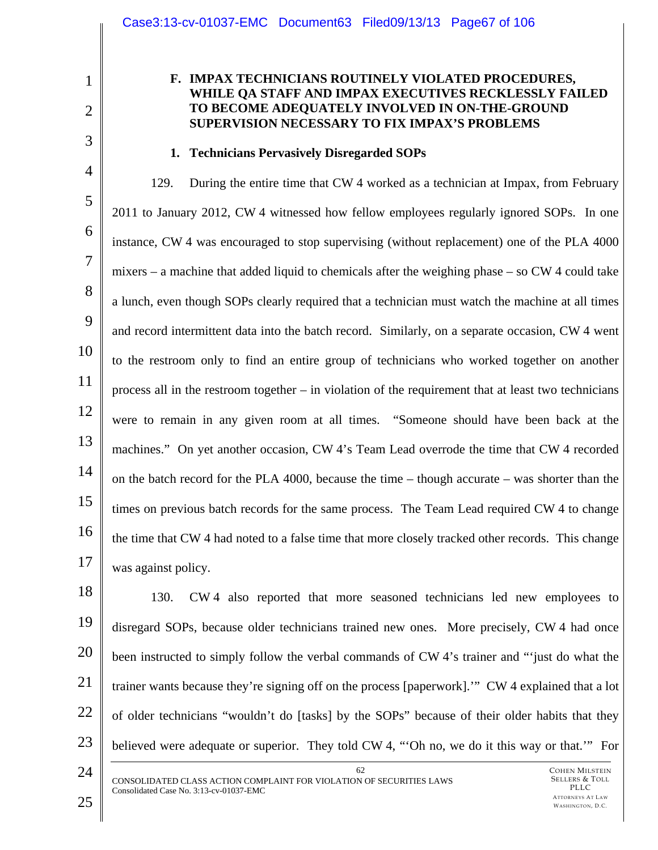1 2

3

# **F. IMPAX TECHNICIANS ROUTINELY VIOLATED PROCEDURES, WHILE QA STAFF AND IMPAX EXECUTIVES RECKLESSLY FAILED TO BECOME ADEQUATELY INVOLVED IN ON-THE-GROUND SUPERVISION NECESSARY TO FIX IMPAX'S PROBLEMS**

# **1. Technicians Pervasively Disregarded SOPs**

4 5 6 7 8 9 10 11 12 13 14 15 16 17 129. During the entire time that CW 4 worked as a technician at Impax, from February 2011 to January 2012, CW 4 witnessed how fellow employees regularly ignored SOPs. In one instance, CW 4 was encouraged to stop supervising (without replacement) one of the PLA 4000 mixers – a machine that added liquid to chemicals after the weighing phase – so CW 4 could take a lunch, even though SOPs clearly required that a technician must watch the machine at all times and record intermittent data into the batch record. Similarly, on a separate occasion, CW 4 went to the restroom only to find an entire group of technicians who worked together on another process all in the restroom together – in violation of the requirement that at least two technicians were to remain in any given room at all times. "Someone should have been back at the machines." On yet another occasion, CW 4's Team Lead overrode the time that CW 4 recorded on the batch record for the PLA 4000, because the time – though accurate – was shorter than the times on previous batch records for the same process. The Team Lead required CW 4 to change the time that CW 4 had noted to a false time that more closely tracked other records. This change was against policy.

18 130. CW 4 also reported that more seasoned technicians led new employees to disregard SOPs, because older technicians trained new ones. More precisely, CW 4 had once been instructed to simply follow the verbal commands of CW 4's trainer and "'just do what the trainer wants because they're signing off on the process [paperwork].'" CW 4 explained that a lot of older technicians "wouldn't do [tasks] by the SOPs" because of their older habits that they believed were adequate or superior. They told CW 4, "'Oh no, we do it this way or that.'" For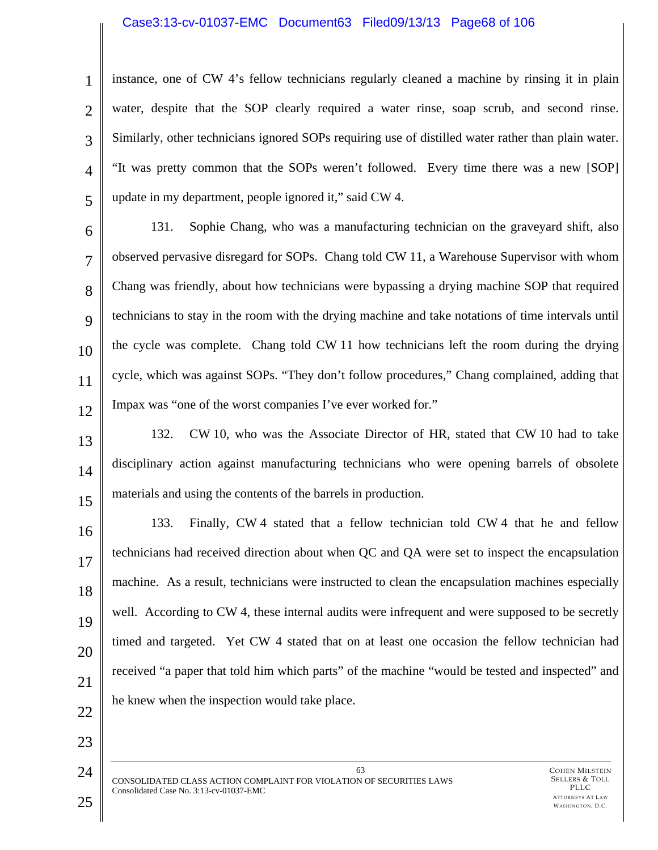# Case3:13-cv-01037-EMC Document63 Filed09/13/13 Page68 of 106

1 2 3 4 5 instance, one of CW 4's fellow technicians regularly cleaned a machine by rinsing it in plain water, despite that the SOP clearly required a water rinse, soap scrub, and second rinse. Similarly, other technicians ignored SOPs requiring use of distilled water rather than plain water. "It was pretty common that the SOPs weren't followed. Every time there was a new [SOP] update in my department, people ignored it," said CW 4.

6 7 8  $\mathbf Q$ 10 11 12 131. Sophie Chang, who was a manufacturing technician on the graveyard shift, also observed pervasive disregard for SOPs. Chang told CW 11, a Warehouse Supervisor with whom Chang was friendly, about how technicians were bypassing a drying machine SOP that required technicians to stay in the room with the drying machine and take notations of time intervals until the cycle was complete. Chang told CW 11 how technicians left the room during the drying cycle, which was against SOPs. "They don't follow procedures," Chang complained, adding that Impax was "one of the worst companies I've ever worked for."

13 14 15 132. CW 10, who was the Associate Director of HR, stated that CW 10 had to take disciplinary action against manufacturing technicians who were opening barrels of obsolete materials and using the contents of the barrels in production.

16 17 18 19 20 21 133. Finally, CW 4 stated that a fellow technician told CW 4 that he and fellow technicians had received direction about when QC and QA were set to inspect the encapsulation machine. As a result, technicians were instructed to clean the encapsulation machines especially well. According to CW 4, these internal audits were infrequent and were supposed to be secretly timed and targeted. Yet CW 4 stated that on at least one occasion the fellow technician had received "a paper that told him which parts" of the machine "would be tested and inspected" and he knew when the inspection would take place.

63

22

23

24

CONSOLIDATED CLASS ACTION COMPLAINT FOR VIOLATION OF SECURITIES LAWS Consolidated Case No. 3:13-cv-01037-EMC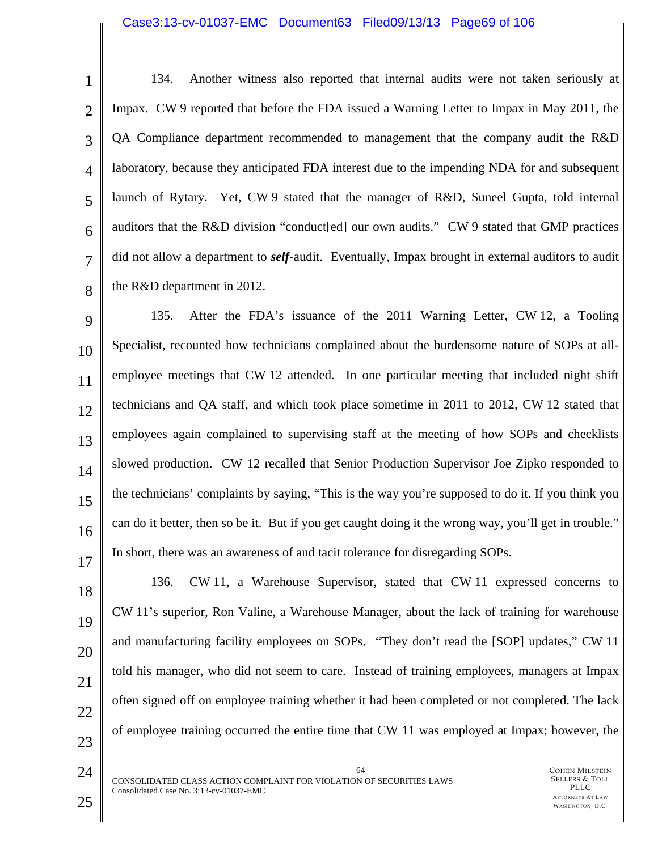#### Case3:13-cv-01037-EMC Document63 Filed09/13/13 Page69 of 106

1 2 3 4 5 6 7 8 134. Another witness also reported that internal audits were not taken seriously at Impax. CW 9 reported that before the FDA issued a Warning Letter to Impax in May 2011, the QA Compliance department recommended to management that the company audit the R&D laboratory, because they anticipated FDA interest due to the impending NDA for and subsequent launch of Rytary. Yet, CW 9 stated that the manager of R&D, Suneel Gupta, told internal auditors that the R&D division "conduct[ed] our own audits." CW 9 stated that GMP practices did not allow a department to *self*-audit. Eventually, Impax brought in external auditors to audit the R&D department in 2012.

9 10 11 12 13 14 15 16 17 135. After the FDA's issuance of the 2011 Warning Letter, CW 12, a Tooling Specialist, recounted how technicians complained about the burdensome nature of SOPs at allemployee meetings that CW 12 attended. In one particular meeting that included night shift technicians and QA staff, and which took place sometime in 2011 to 2012, CW 12 stated that employees again complained to supervising staff at the meeting of how SOPs and checklists slowed production. CW 12 recalled that Senior Production Supervisor Joe Zipko responded to the technicians' complaints by saying, "This is the way you're supposed to do it. If you think you can do it better, then so be it. But if you get caught doing it the wrong way, you'll get in trouble." In short, there was an awareness of and tacit tolerance for disregarding SOPs.

18 19 20 21 22 23 136. CW 11, a Warehouse Supervisor, stated that CW 11 expressed concerns to CW 11's superior, Ron Valine, a Warehouse Manager, about the lack of training for warehouse and manufacturing facility employees on SOPs. "They don't read the [SOP] updates," CW 11 told his manager, who did not seem to care. Instead of training employees, managers at Impax often signed off on employee training whether it had been completed or not completed. The lack of employee training occurred the entire time that CW 11 was employed at Impax; however, the

64 CONSOLIDATED CLASS ACTION COMPLAINT FOR VIOLATION OF SECURITIES LAWS Consolidated Case No. 3:13-cv-01037-EMC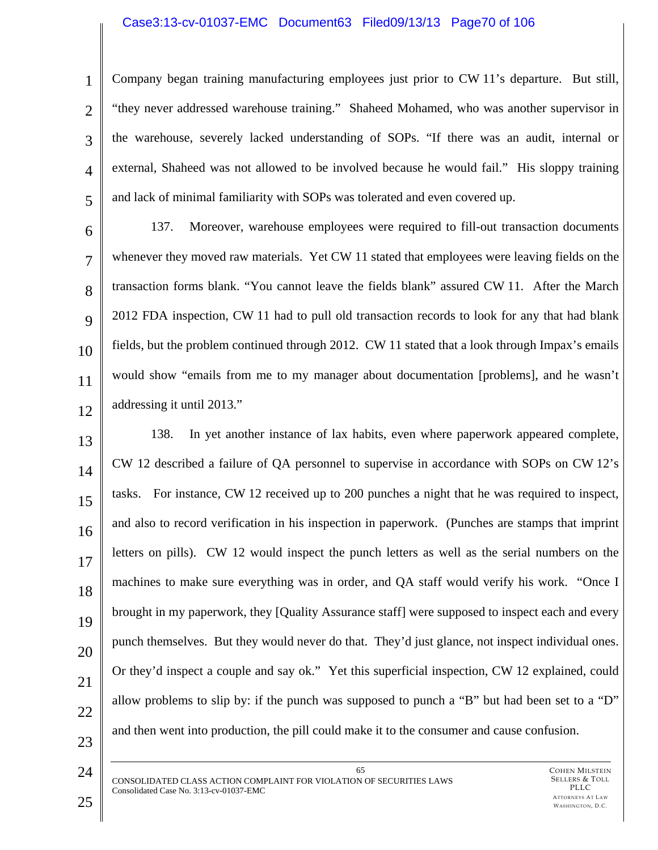# Case3:13-cv-01037-EMC Document63 Filed09/13/13 Page70 of 106

4 Company began training manufacturing employees just prior to CW 11's departure. But still, "they never addressed warehouse training." Shaheed Mohamed, who was another supervisor in the warehouse, severely lacked understanding of SOPs. "If there was an audit, internal or external, Shaheed was not allowed to be involved because he would fail." His sloppy training and lack of minimal familiarity with SOPs was tolerated and even covered up.

6 7 8  $\mathbf Q$ 10 11 12 137. Moreover, warehouse employees were required to fill-out transaction documents whenever they moved raw materials. Yet CW 11 stated that employees were leaving fields on the transaction forms blank. "You cannot leave the fields blank" assured CW 11. After the March 2012 FDA inspection, CW 11 had to pull old transaction records to look for any that had blank fields, but the problem continued through 2012. CW 11 stated that a look through Impax's emails would show "emails from me to my manager about documentation [problems], and he wasn't addressing it until 2013."

13 14 15 16 17 18 19 20 21 22 23 138. In yet another instance of lax habits, even where paperwork appeared complete, CW 12 described a failure of QA personnel to supervise in accordance with SOPs on CW 12's tasks. For instance, CW 12 received up to 200 punches a night that he was required to inspect, and also to record verification in his inspection in paperwork. (Punches are stamps that imprint letters on pills). CW 12 would inspect the punch letters as well as the serial numbers on the machines to make sure everything was in order, and QA staff would verify his work. "Once I brought in my paperwork, they [Quality Assurance staff] were supposed to inspect each and every punch themselves. But they would never do that. They'd just glance, not inspect individual ones. Or they'd inspect a couple and say ok." Yet this superficial inspection, CW 12 explained, could allow problems to slip by: if the punch was supposed to punch a "B" but had been set to a "D" and then went into production, the pill could make it to the consumer and cause confusion.

24

1

2

3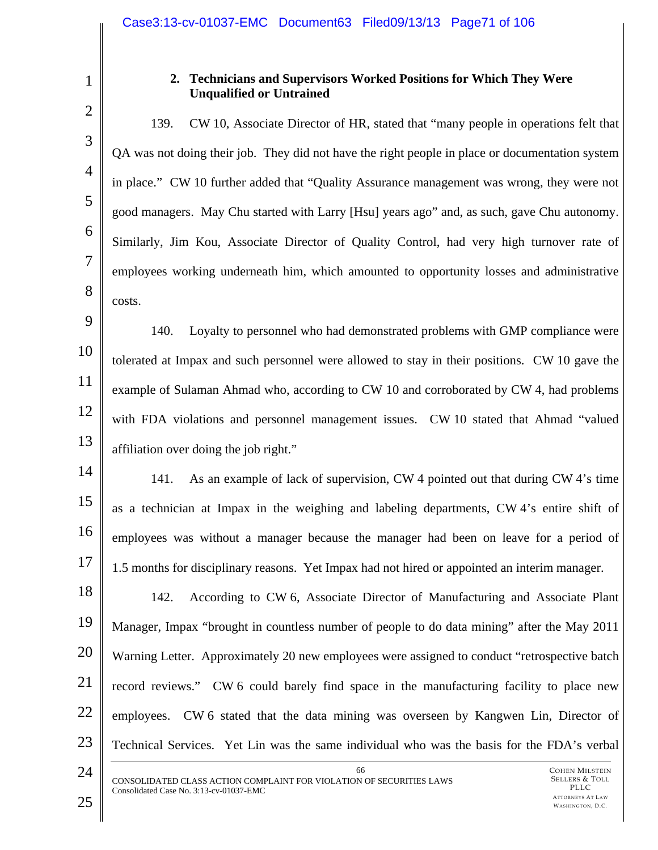3

4

5

6

7

8

1

# **2. Technicians and Supervisors Worked Positions for Which They Were Unqualified or Untrained**

139. CW 10, Associate Director of HR, stated that "many people in operations felt that QA was not doing their job. They did not have the right people in place or documentation system in place." CW 10 further added that "Quality Assurance management was wrong, they were not good managers. May Chu started with Larry [Hsu] years ago" and, as such, gave Chu autonomy. Similarly, Jim Kou, Associate Director of Quality Control, had very high turnover rate of employees working underneath him, which amounted to opportunity losses and administrative costs.

9 10 11 12 13 140. Loyalty to personnel who had demonstrated problems with GMP compliance were tolerated at Impax and such personnel were allowed to stay in their positions. CW 10 gave the example of Sulaman Ahmad who, according to CW 10 and corroborated by CW 4, had problems with FDA violations and personnel management issues. CW 10 stated that Ahmad "valued affiliation over doing the job right."

14 15 16 17 141. As an example of lack of supervision, CW 4 pointed out that during CW 4's time as a technician at Impax in the weighing and labeling departments, CW 4's entire shift of employees was without a manager because the manager had been on leave for a period of 1.5 months for disciplinary reasons. Yet Impax had not hired or appointed an interim manager.

18 19 20 21 22 23 142. According to CW 6, Associate Director of Manufacturing and Associate Plant Manager, Impax "brought in countless number of people to do data mining" after the May 2011 Warning Letter. Approximately 20 new employees were assigned to conduct "retrospective batch record reviews." CW 6 could barely find space in the manufacturing facility to place new employees. CW 6 stated that the data mining was overseen by Kangwen Lin, Director of Technical Services. Yet Lin was the same individual who was the basis for the FDA's verbal

66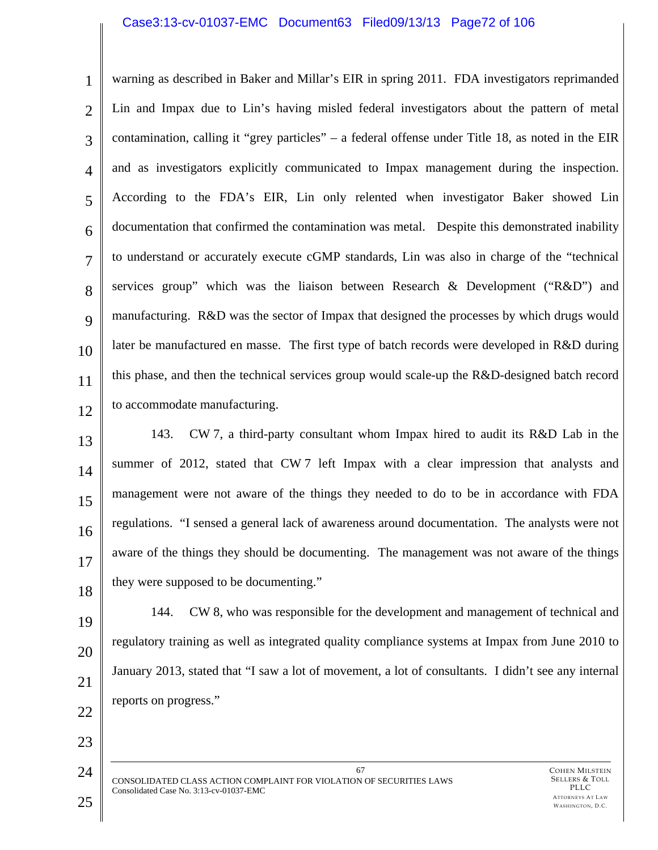#### Case3:13-cv-01037-EMC Document63 Filed09/13/13 Page72 of 106

1 2 3 4 5 6 7 8  $\mathbf Q$ 10 11 12 warning as described in Baker and Millar's EIR in spring 2011. FDA investigators reprimanded Lin and Impax due to Lin's having misled federal investigators about the pattern of metal contamination, calling it "grey particles" – a federal offense under Title 18, as noted in the EIR and as investigators explicitly communicated to Impax management during the inspection. According to the FDA's EIR, Lin only relented when investigator Baker showed Lin documentation that confirmed the contamination was metal. Despite this demonstrated inability to understand or accurately execute cGMP standards, Lin was also in charge of the "technical services group" which was the liaison between Research & Development ("R&D") and manufacturing. R&D was the sector of Impax that designed the processes by which drugs would later be manufactured en masse. The first type of batch records were developed in R&D during this phase, and then the technical services group would scale-up the R&D-designed batch record to accommodate manufacturing.

13 14 15 16 17 18 143. CW 7, a third-party consultant whom Impax hired to audit its R&D Lab in the summer of 2012, stated that CW 7 left Impax with a clear impression that analysts and management were not aware of the things they needed to do to be in accordance with FDA regulations. "I sensed a general lack of awareness around documentation. The analysts were not aware of the things they should be documenting. The management was not aware of the things they were supposed to be documenting."

19 20 21 22 144. CW 8, who was responsible for the development and management of technical and regulatory training as well as integrated quality compliance systems at Impax from June 2010 to January 2013, stated that "I saw a lot of movement, a lot of consultants. I didn't see any internal reports on progress."

67 CONSOLIDATED CLASS ACTION COMPLAINT FOR VIOLATION OF SECURITIES LAWS Consolidated Case No. 3:13-cv-01037-EMC

23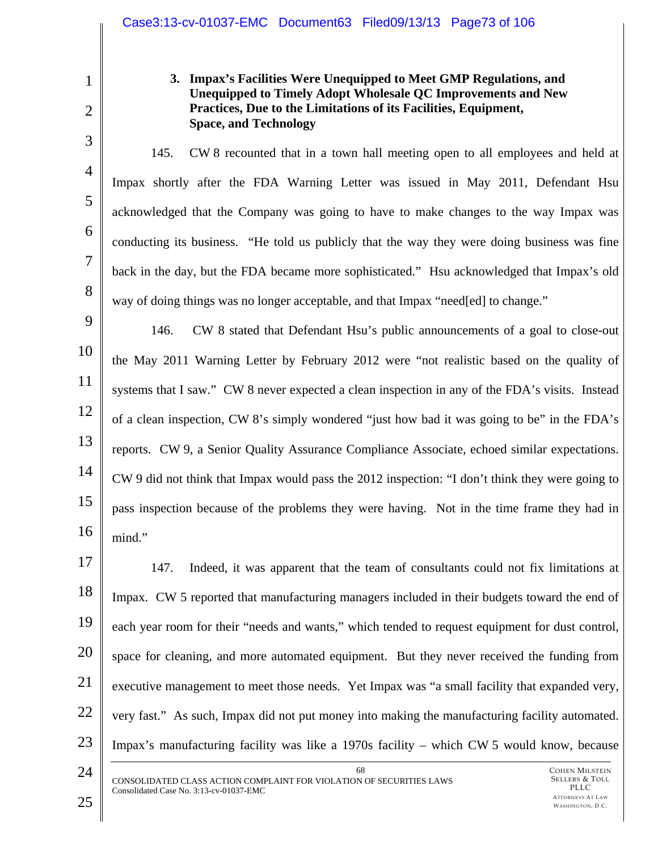#### **3. Impax's Facilities Were Unequipped to Meet GMP Regulations, and Unequipped to Timely Adopt Wholesale QC Improvements and New Practices, Due to the Limitations of its Facilities, Equipment, Space, and Technology**

145. CW 8 recounted that in a town hall meeting open to all employees and held at Impax shortly after the FDA Warning Letter was issued in May 2011, Defendant Hsu acknowledged that the Company was going to have to make changes to the way Impax was conducting its business. "He told us publicly that the way they were doing business was fine back in the day, but the FDA became more sophisticated." Hsu acknowledged that Impax's old way of doing things was no longer acceptable, and that Impax "need[ed] to change."

9 10 11 12 13 14 15 16 146. CW 8 stated that Defendant Hsu's public announcements of a goal to close-out the May 2011 Warning Letter by February 2012 were "not realistic based on the quality of systems that I saw." CW 8 never expected a clean inspection in any of the FDA's visits. Instead of a clean inspection, CW 8's simply wondered "just how bad it was going to be" in the FDA's reports. CW 9, a Senior Quality Assurance Compliance Associate, echoed similar expectations. CW 9 did not think that Impax would pass the 2012 inspection: "I don't think they were going to pass inspection because of the problems they were having. Not in the time frame they had in mind."

17 18 19 20 21 22 23 147. Indeed, it was apparent that the team of consultants could not fix limitations at Impax. CW 5 reported that manufacturing managers included in their budgets toward the end of each year room for their "needs and wants," which tended to request equipment for dust control, space for cleaning, and more automated equipment. But they never received the funding from executive management to meet those needs. Yet Impax was "a small facility that expanded very, very fast." As such, Impax did not put money into making the manufacturing facility automated. Impax's manufacturing facility was like a 1970s facility – which CW 5 would know, because

24

1

2

3

4

5

6

7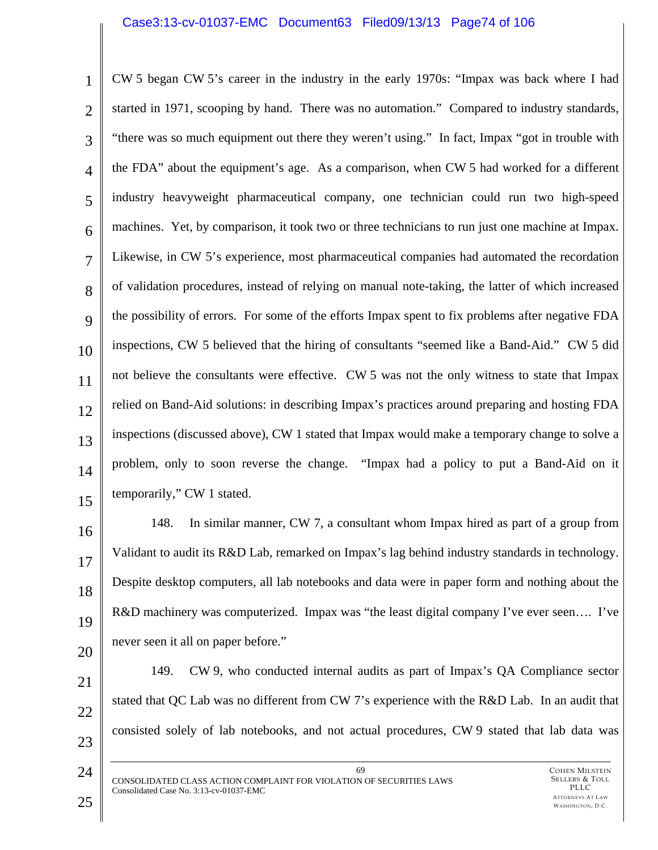#### Case3:13-cv-01037-EMC Document63 Filed09/13/13 Page74 of 106

1 2 3 4 5 6 7 8  $\mathbf Q$ 10 11 12 13 14 15 CW 5 began CW 5's career in the industry in the early 1970s: "Impax was back where I had started in 1971, scooping by hand. There was no automation." Compared to industry standards, "there was so much equipment out there they weren't using." In fact, Impax "got in trouble with the FDA" about the equipment's age. As a comparison, when CW 5 had worked for a different industry heavyweight pharmaceutical company, one technician could run two high-speed machines. Yet, by comparison, it took two or three technicians to run just one machine at Impax. Likewise, in CW 5's experience, most pharmaceutical companies had automated the recordation of validation procedures, instead of relying on manual note-taking, the latter of which increased the possibility of errors. For some of the efforts Impax spent to fix problems after negative FDA inspections, CW 5 believed that the hiring of consultants "seemed like a Band-Aid." CW 5 did not believe the consultants were effective. CW 5 was not the only witness to state that Impax relied on Band-Aid solutions: in describing Impax's practices around preparing and hosting FDA inspections (discussed above), CW 1 stated that Impax would make a temporary change to solve a problem, only to soon reverse the change. "Impax had a policy to put a Band-Aid on it temporarily," CW 1 stated.

16 17 18 19 20 148. In similar manner, CW 7, a consultant whom Impax hired as part of a group from Validant to audit its R&D Lab, remarked on Impax's lag behind industry standards in technology. Despite desktop computers, all lab notebooks and data were in paper form and nothing about the R&D machinery was computerized. Impax was "the least digital company I've ever seen…. I've never seen it all on paper before."

21 22 23 149. CW 9, who conducted internal audits as part of Impax's QA Compliance sector stated that QC Lab was no different from CW 7's experience with the R&D Lab. In an audit that consisted solely of lab notebooks, and not actual procedures, CW 9 stated that lab data was

69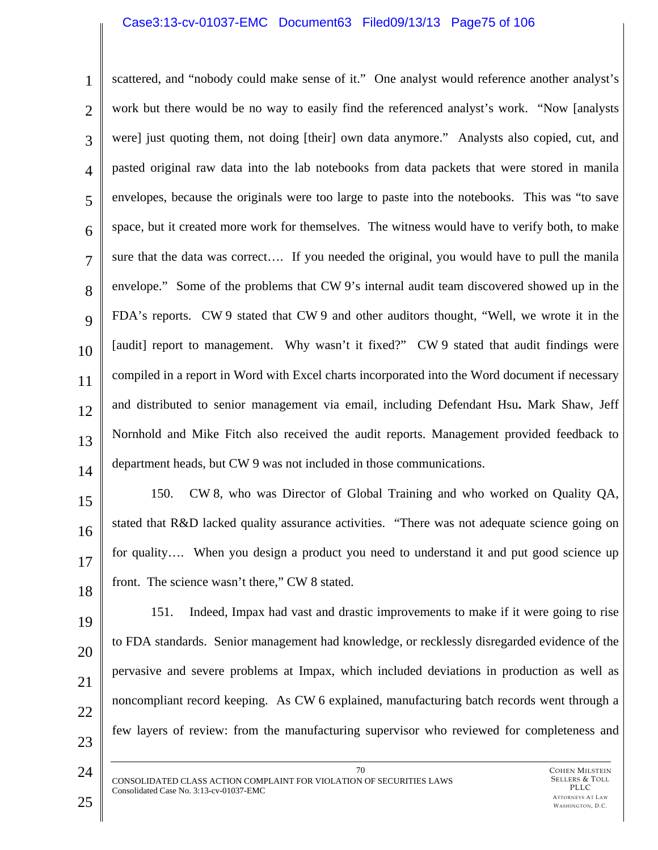#### Case3:13-cv-01037-EMC Document63 Filed09/13/13 Page75 of 106

1 2 3 4 5 6 7 8 9 10 11 12 13 14 scattered, and "nobody could make sense of it." One analyst would reference another analyst's work but there would be no way to easily find the referenced analyst's work. "Now [analysts were] just quoting them, not doing [their] own data anymore." Analysts also copied, cut, and pasted original raw data into the lab notebooks from data packets that were stored in manila envelopes, because the originals were too large to paste into the notebooks. This was "to save space, but it created more work for themselves. The witness would have to verify both, to make sure that the data was correct…. If you needed the original, you would have to pull the manila envelope." Some of the problems that CW 9's internal audit team discovered showed up in the FDA's reports. CW 9 stated that CW 9 and other auditors thought, "Well, we wrote it in the [audit] report to management. Why wasn't it fixed?" CW 9 stated that audit findings were compiled in a report in Word with Excel charts incorporated into the Word document if necessary and distributed to senior management via email, including Defendant Hsu**.** Mark Shaw, Jeff Nornhold and Mike Fitch also received the audit reports. Management provided feedback to department heads, but CW 9 was not included in those communications.

15 16 17 18 150. CW 8, who was Director of Global Training and who worked on Quality QA, stated that R&D lacked quality assurance activities. "There was not adequate science going on for quality…. When you design a product you need to understand it and put good science up front. The science wasn't there," CW 8 stated.

- 19 20 21 22 23 151. Indeed, Impax had vast and drastic improvements to make if it were going to rise to FDA standards. Senior management had knowledge, or recklessly disregarded evidence of the pervasive and severe problems at Impax, which included deviations in production as well as noncompliant record keeping. As CW 6 explained, manufacturing batch records went through a few layers of review: from the manufacturing supervisor who reviewed for completeness and
	- 70 CONSOLIDATED CLASS ACTION COMPLAINT FOR VIOLATION OF SECURITIES LAWS Consolidated Case No. 3:13-cv-01037-EMC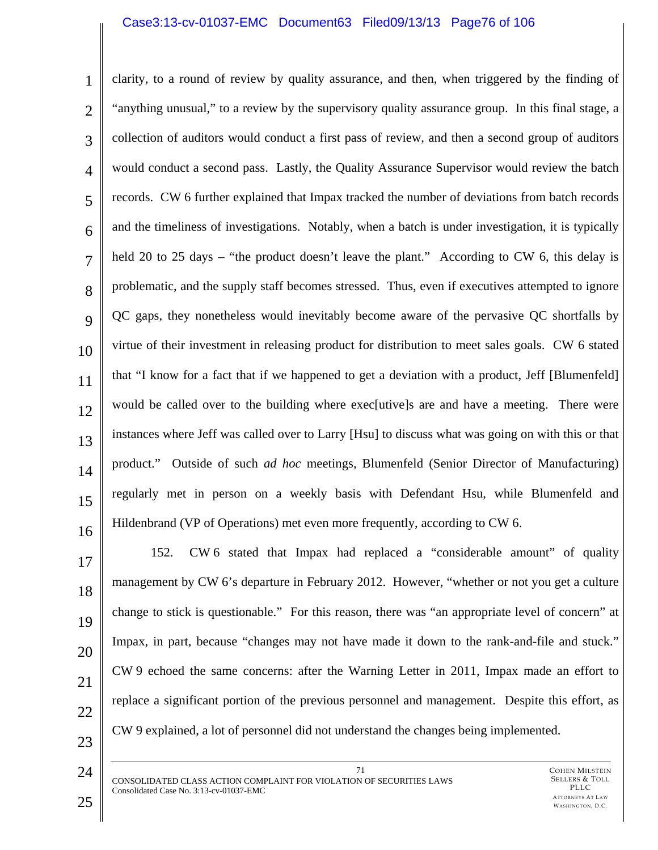#### Case3:13-cv-01037-EMC Document63 Filed09/13/13 Page76 of 106

1 2 3 4 5 6 7 8  $\mathbf Q$ 10 11 12 13 14 15 16 clarity, to a round of review by quality assurance, and then, when triggered by the finding of "anything unusual," to a review by the supervisory quality assurance group. In this final stage, a collection of auditors would conduct a first pass of review, and then a second group of auditors would conduct a second pass. Lastly, the Quality Assurance Supervisor would review the batch records. CW 6 further explained that Impax tracked the number of deviations from batch records and the timeliness of investigations. Notably, when a batch is under investigation, it is typically held 20 to 25 days – "the product doesn't leave the plant." According to CW 6, this delay is problematic, and the supply staff becomes stressed. Thus, even if executives attempted to ignore QC gaps, they nonetheless would inevitably become aware of the pervasive QC shortfalls by virtue of their investment in releasing product for distribution to meet sales goals. CW 6 stated that "I know for a fact that if we happened to get a deviation with a product, Jeff [Blumenfeld] would be called over to the building where exec<sup>rutive</sup> are and have a meeting. There were instances where Jeff was called over to Larry [Hsu] to discuss what was going on with this or that product." Outside of such *ad hoc* meetings, Blumenfeld (Senior Director of Manufacturing) regularly met in person on a weekly basis with Defendant Hsu, while Blumenfeld and Hildenbrand (VP of Operations) met even more frequently, according to CW 6.

17 18 19 20 21 22 23 152. CW 6 stated that Impax had replaced a "considerable amount" of quality management by CW 6's departure in February 2012. However, "whether or not you get a culture change to stick is questionable." For this reason, there was "an appropriate level of concern" at Impax, in part, because "changes may not have made it down to the rank-and-file and stuck." CW 9 echoed the same concerns: after the Warning Letter in 2011, Impax made an effort to replace a significant portion of the previous personnel and management. Despite this effort, as CW 9 explained, a lot of personnel did not understand the changes being implemented.

71 CONSOLIDATED CLASS ACTION COMPLAINT FOR VIOLATION OF SECURITIES LAWS Consolidated Case No. 3:13-cv-01037-EMC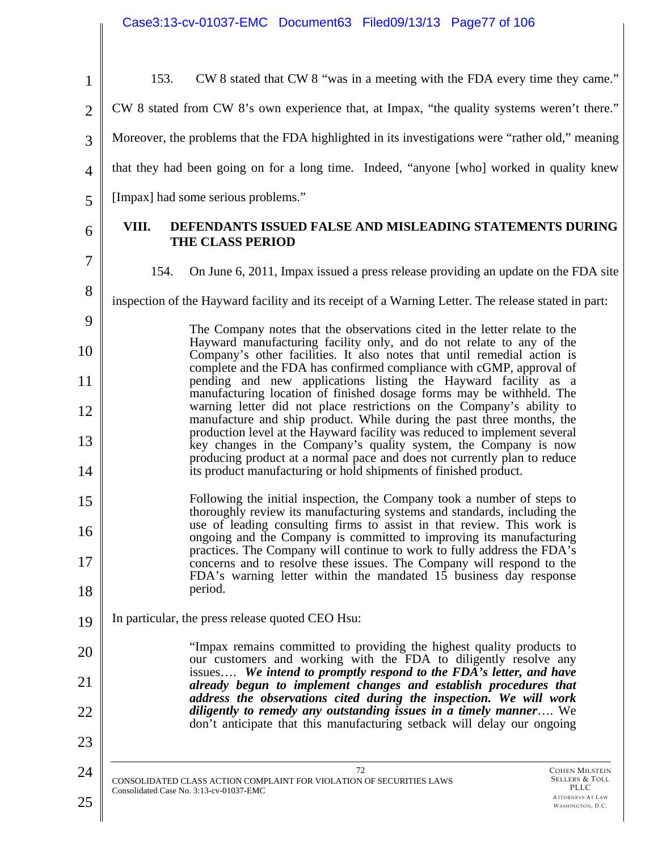| $\mathbf{1}$   | CW 8 stated that CW 8 "was in a meeting with the FDA every time they came."<br>153.                                                                                                                                         |
|----------------|-----------------------------------------------------------------------------------------------------------------------------------------------------------------------------------------------------------------------------|
| $\overline{2}$ | CW 8 stated from CW 8's own experience that, at Impax, "the quality systems weren't there."                                                                                                                                 |
| 3              | Moreover, the problems that the FDA highlighted in its investigations were "rather old," meaning                                                                                                                            |
| $\overline{4}$ | that they had been going on for a long time. Indeed, "anyone [who] worked in quality knew                                                                                                                                   |
| 5              | [Impax] had some serious problems."                                                                                                                                                                                         |
| 6              | VIII.<br>DEFENDANTS ISSUED FALSE AND MISLEADING STATEMENTS DURING<br><b>THE CLASS PERIOD</b>                                                                                                                                |
| $\tau$         | 154.<br>On June 6, 2011, Impax issued a press release providing an update on the FDA site                                                                                                                                   |
| 8              | inspection of the Hayward facility and its receipt of a Warning Letter. The release stated in part:                                                                                                                         |
| 9              | The Company notes that the observations cited in the letter relate to the<br>Hayward manufacturing facility only, and do not relate to any of the                                                                           |
| 10             | Company's other facilities. It also notes that until remedial action is<br>complete and the FDA has confirmed compliance with cGMP, approval of                                                                             |
| 11             | pending and new applications listing the Hayward facility as a<br>manufacturing location of finished dosage forms may be withheld. The                                                                                      |
| 12             | warning letter did not place restrictions on the Company's ability to<br>manufacture and ship product. While during the past three months, the<br>production level at the Hayward facility was reduced to implement several |
| 13<br>14       | key changes in the Company's quality system, the Company is now<br>producing product at a normal pace and does not currently plan to reduce<br>its product manufacturing or hold shipments of finished product.             |
| 15             | Following the initial inspection, the Company took a number of steps to<br>thoroughly review its manufacturing systems and standards, including the                                                                         |
| 16             | use of leading consulting firms to assist in that review. This work is<br>ongoing and the Company is committed to improving its manufacturing                                                                               |
| 17             | practices. The Company will continue to work to fully address the FDA's<br>concerns and to resolve these issues. The Company will respond to the<br>FDA's warning letter within the mandated 15 business day response       |
| 18             | period.                                                                                                                                                                                                                     |
| 19             | In particular, the press release quoted CEO Hsu:                                                                                                                                                                            |
| 20             | "Impax remains committed to providing the highest quality products to<br>our customers and working with the FDA to diligently resolve any                                                                                   |
| 21             | issues We intend to promptly respond to the FDA's letter, and have<br>already begun to implement changes and establish procedures that                                                                                      |
| 22             | address the observations cited during the inspection. We will work<br>diligently to remedy any outstanding issues in a timely manner We<br>don't anticipate that this manufacturing setback will delay our ongoing          |
| 23             |                                                                                                                                                                                                                             |
| 24             | 72<br><b>COHEN MILSTEIN</b><br>Sellers & Toll<br>CONSOLIDATED CLASS ACTION COMPLAINT FOR VIOLATION OF SECURITIES LAWS<br>PLLC                                                                                               |
| 25             | Consolidated Case No. 3:13-cv-01037-EMC<br><b>ATTORNEYS AT LAW</b><br>WASHINGTON, D.C.                                                                                                                                      |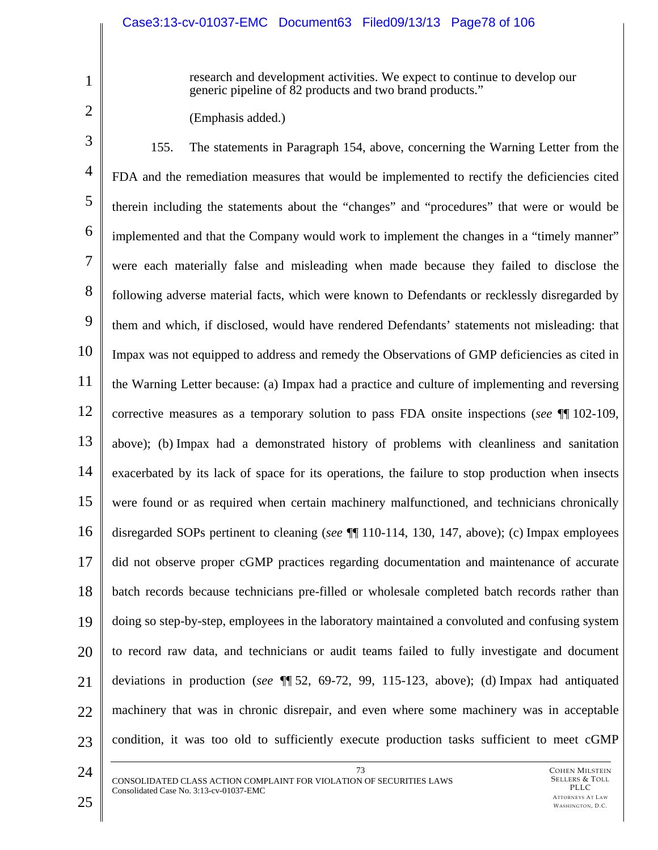research and development activities. We expect to continue to develop our generic pipeline of 82 products and two brand products."

(Emphasis added.)

3 4 5 6 7 8 9 10 11 12 13 14 15 16 17 18 19 20 21 22 23 155. The statements in Paragraph 154, above, concerning the Warning Letter from the FDA and the remediation measures that would be implemented to rectify the deficiencies cited therein including the statements about the "changes" and "procedures" that were or would be implemented and that the Company would work to implement the changes in a "timely manner" were each materially false and misleading when made because they failed to disclose the following adverse material facts, which were known to Defendants or recklessly disregarded by them and which, if disclosed, would have rendered Defendants' statements not misleading: that Impax was not equipped to address and remedy the Observations of GMP deficiencies as cited in the Warning Letter because: (a) Impax had a practice and culture of implementing and reversing corrective measures as a temporary solution to pass FDA onsite inspections (*see* ¶¶ 102-109, above); (b) Impax had a demonstrated history of problems with cleanliness and sanitation exacerbated by its lack of space for its operations, the failure to stop production when insects were found or as required when certain machinery malfunctioned, and technicians chronically disregarded SOPs pertinent to cleaning (*see* ¶¶ 110-114, 130, 147, above); (c) Impax employees did not observe proper cGMP practices regarding documentation and maintenance of accurate batch records because technicians pre-filled or wholesale completed batch records rather than doing so step-by-step, employees in the laboratory maintained a convoluted and confusing system to record raw data, and technicians or audit teams failed to fully investigate and document deviations in production (*see* ¶¶ 52, 69-72, 99, 115-123, above); (d) Impax had antiquated machinery that was in chronic disrepair, and even where some machinery was in acceptable condition, it was too old to sufficiently execute production tasks sufficient to meet cGMP

73

24

1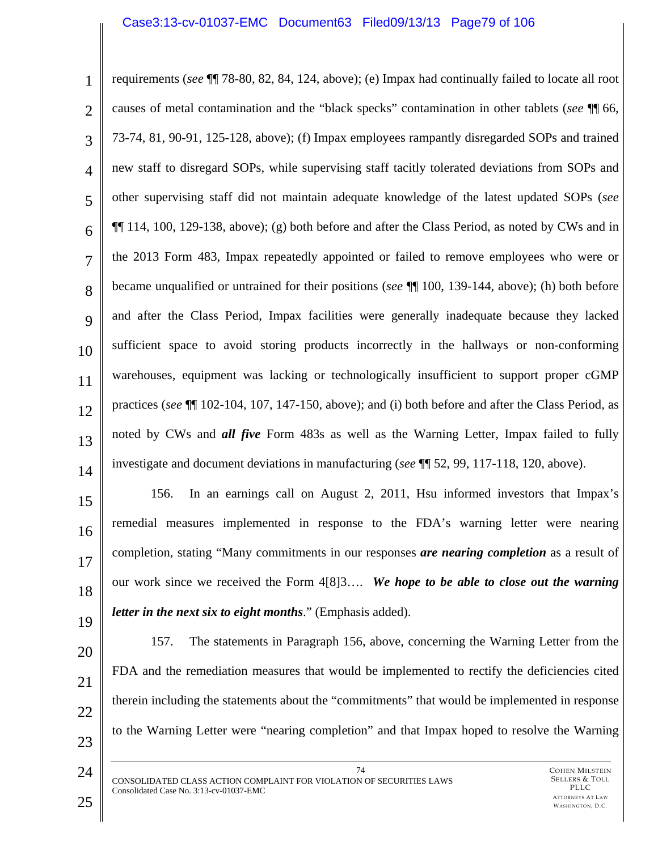#### Case3:13-cv-01037-EMC Document63 Filed09/13/13 Page79 of 106

1 2 3 4 5 6 7 8 9 10 11 12 13 14 requirements (*see* ¶¶ 78-80, 82, 84, 124, above); (e) Impax had continually failed to locate all root causes of metal contamination and the "black specks" contamination in other tablets (*see* ¶¶ 66, 73-74, 81, 90-91, 125-128, above); (f) Impax employees rampantly disregarded SOPs and trained new staff to disregard SOPs, while supervising staff tacitly tolerated deviations from SOPs and other supervising staff did not maintain adequate knowledge of the latest updated SOPs (*see* ¶¶ 114, 100, 129-138, above); (g) both before and after the Class Period, as noted by CWs and in the 2013 Form 483, Impax repeatedly appointed or failed to remove employees who were or became unqualified or untrained for their positions (*see* ¶¶ 100, 139-144, above); (h) both before and after the Class Period, Impax facilities were generally inadequate because they lacked sufficient space to avoid storing products incorrectly in the hallways or non-conforming warehouses, equipment was lacking or technologically insufficient to support proper cGMP practices (*see* ¶¶ 102-104, 107, 147-150, above); and (i) both before and after the Class Period, as noted by CWs and *all five* Form 483s as well as the Warning Letter, Impax failed to fully investigate and document deviations in manufacturing (*see* ¶¶ 52, 99, 117-118, 120, above).

15 16 17 18 19 156. In an earnings call on August 2, 2011, Hsu informed investors that Impax's remedial measures implemented in response to the FDA's warning letter were nearing completion, stating "Many commitments in our responses *are nearing completion* as a result of our work since we received the Form 4[8]3…. *We hope to be able to close out the warning letter in the next six to eight months*." (Emphasis added).

- 20 21 22 23 157. The statements in Paragraph 156, above, concerning the Warning Letter from the FDA and the remediation measures that would be implemented to rectify the deficiencies cited therein including the statements about the "commitments" that would be implemented in response to the Warning Letter were "nearing completion" and that Impax hoped to resolve the Warning
	- 74 CONSOLIDATED CLASS ACTION COMPLAINT FOR VIOLATION OF SECURITIES LAWS Consolidated Case No. 3:13-cv-01037-EMC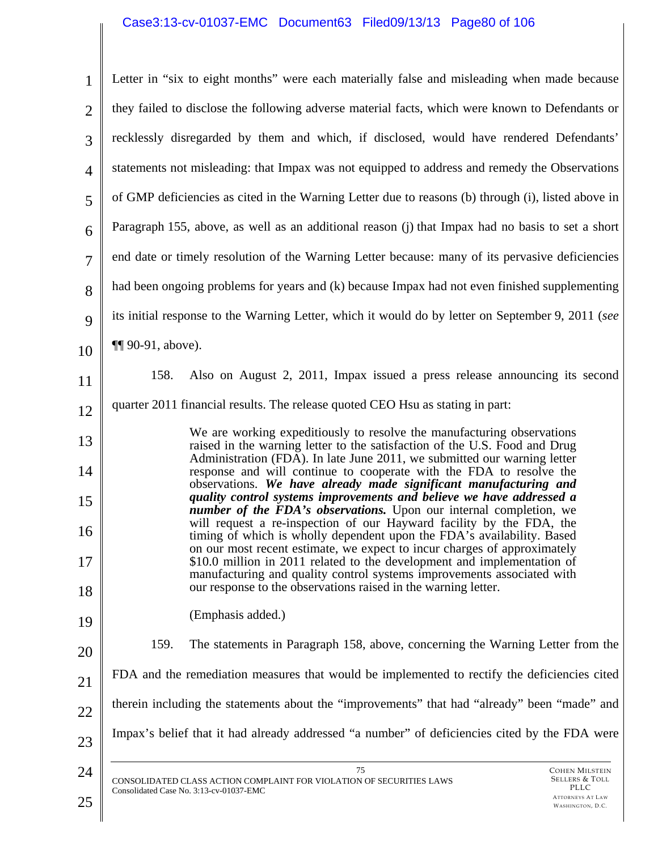# Case3:13-cv-01037-EMC Document63 Filed09/13/13 Page80 of 106

| $\mathbf{1}$   | Letter in "six to eight months" were each materially false and misleading when made because                                                                                                                             |
|----------------|-------------------------------------------------------------------------------------------------------------------------------------------------------------------------------------------------------------------------|
| $\overline{2}$ | they failed to disclose the following adverse material facts, which were known to Defendants or                                                                                                                         |
| 3              | recklessly disregarded by them and which, if disclosed, would have rendered Defendants'                                                                                                                                 |
| $\overline{4}$ | statements not misleading: that Impax was not equipped to address and remedy the Observations                                                                                                                           |
| 5              | of GMP deficiencies as cited in the Warning Letter due to reasons (b) through (i), listed above in                                                                                                                      |
| 6              | Paragraph 155, above, as well as an additional reason (j) that Impax had no basis to set a short                                                                                                                        |
| $\overline{7}$ | end date or timely resolution of the Warning Letter because: many of its pervasive deficiencies                                                                                                                         |
| 8              | had been ongoing problems for years and (k) because Impax had not even finished supplementing                                                                                                                           |
| 9              | its initial response to the Warning Letter, which it would do by letter on September 9, 2011 (see                                                                                                                       |
| 10             | $\P$ 90-91, above).                                                                                                                                                                                                     |
| 11             | Also on August 2, 2011, Impax issued a press release announcing its second<br>158.                                                                                                                                      |
| 12             | quarter 2011 financial results. The release quoted CEO Hsu as stating in part:                                                                                                                                          |
| 13             | We are working expeditiously to resolve the manufacturing observations<br>raised in the warning letter to the satisfaction of the U.S. Food and Drug                                                                    |
| 14             | Administration (FDA). In late June 2011, we submitted our warning letter<br>response and will continue to cooperate with the FDA to resolve the                                                                         |
| 15             | observations. We have already made significant manufacturing and<br>quality control systems improvements and believe we have addressed a                                                                                |
| 16             | number of the FDA's observations. Upon our internal completion, we<br>will request a re-inspection of our Hayward facility by the FDA, the<br>timing of which is wholly dependent upon the FDA's availability. Based    |
| 17             | on our most recent estimate, we expect to incur charges of approximately<br>\$10.0 million in 2011 related to the development and implementation of                                                                     |
| 18             | manufacturing and quality control systems improvements associated with<br>our response to the observations raised in the warning letter.                                                                                |
| 19             | (Emphasis added.)                                                                                                                                                                                                       |
| 20             | 159.<br>The statements in Paragraph 158, above, concerning the Warning Letter from the                                                                                                                                  |
| 21             | FDA and the remediation measures that would be implemented to rectify the deficiencies cited                                                                                                                            |
| 22             | therein including the statements about the "improvements" that had "already" been "made" and                                                                                                                            |
| 23             | Impax's belief that it had already addressed "a number" of deficiencies cited by the FDA were                                                                                                                           |
| 24<br>25       | 75<br><b>COHEN MILSTEIN</b><br>Sellers & Toll<br>CONSOLIDATED CLASS ACTION COMPLAINT FOR VIOLATION OF SECURITIES LAWS<br>PLLC<br>Consolidated Case No. 3:13-cv-01037-EMC<br><b>ATTORNEYS AT LAW</b><br>WASHINGTON, D.C. |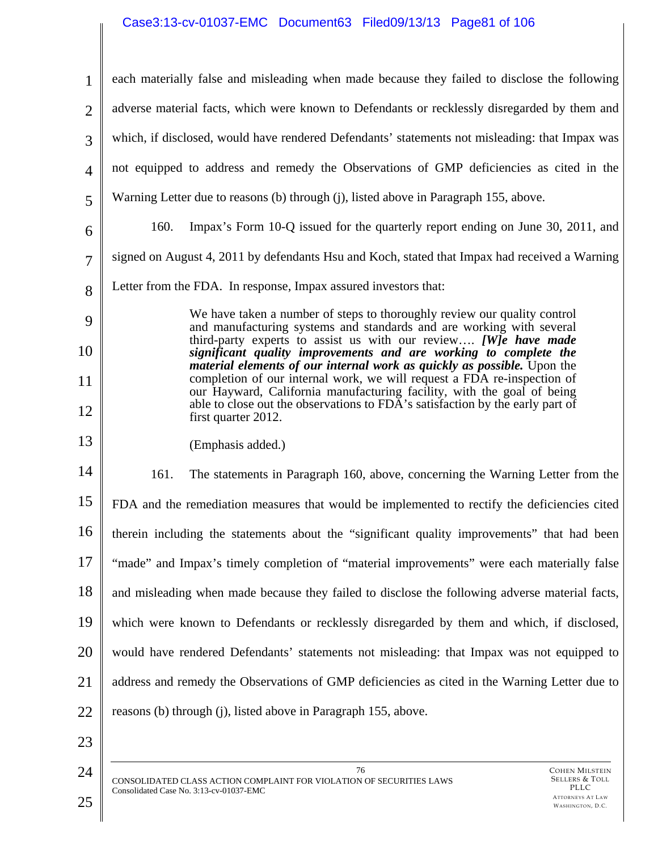# Case3:13-cv-01037-EMC Document63 Filed09/13/13 Page81 of 106

| $\mathbf{1}$   | each materially false and misleading when made because they failed to disclose the following                                                                                                                                       |  |
|----------------|------------------------------------------------------------------------------------------------------------------------------------------------------------------------------------------------------------------------------------|--|
| $\overline{2}$ | adverse material facts, which were known to Defendants or recklessly disregarded by them and                                                                                                                                       |  |
| 3              | which, if disclosed, would have rendered Defendants' statements not misleading: that Impax was                                                                                                                                     |  |
| $\overline{4}$ | not equipped to address and remedy the Observations of GMP deficiencies as cited in the                                                                                                                                            |  |
| 5              | Warning Letter due to reasons (b) through (j), listed above in Paragraph 155, above.                                                                                                                                               |  |
| 6              | 160.<br>Impax's Form 10-Q issued for the quarterly report ending on June 30, 2011, and                                                                                                                                             |  |
| $\overline{7}$ | signed on August 4, 2011 by defendants Hsu and Koch, stated that Impax had received a Warning                                                                                                                                      |  |
| 8              | Letter from the FDA. In response, Impax assured investors that:                                                                                                                                                                    |  |
| 9              | We have taken a number of steps to thoroughly review our quality control<br>and manufacturing systems and standards and are working with several<br>third-party experts to assist us with our review [W]e have made                |  |
| 10             | significant quality improvements and are working to complete the<br><i>material elements of our internal work as quickly as possible.</i> Upon the                                                                                 |  |
| 11<br>12       | completion of our internal work, we will request a FDA re-inspection of<br>our Hayward, California manufacturing facility, with the goal of being<br>able to close out the observations to FDA's satisfaction by the early part of |  |
| 13             | first quarter 2012.                                                                                                                                                                                                                |  |
|                | (Emphasis added.)                                                                                                                                                                                                                  |  |
| 14             | 161.<br>The statements in Paragraph 160, above, concerning the Warning Letter from the                                                                                                                                             |  |
| 15             | FDA and the remediation measures that would be implemented to rectify the deficiencies cited                                                                                                                                       |  |
| 16             | therein including the statements about the "significant quality improvements" that had been                                                                                                                                        |  |
| 17             | "made" and Impax's timely completion of "material improvements" were each materially false                                                                                                                                         |  |
| 18             | and misleading when made because they failed to disclose the following adverse material facts,                                                                                                                                     |  |
| 19             | which were known to Defendants or recklessly disregarded by them and which, if disclosed,                                                                                                                                          |  |
| 20             | would have rendered Defendants' statements not misleading: that Impax was not equipped to                                                                                                                                          |  |
| 21             | address and remedy the Observations of GMP deficiencies as cited in the Warning Letter due to                                                                                                                                      |  |
| 22             | reasons (b) through (j), listed above in Paragraph 155, above.                                                                                                                                                                     |  |
| 23             |                                                                                                                                                                                                                                    |  |
| 24<br>25       | 76<br><b>COHEN MILSTEIN</b><br>Sellers & Toll<br>CONSOLIDATED CLASS ACTION COMPLAINT FOR VIOLATION OF SECURITIES LAWS<br>PLLC<br>Consolidated Case No. 3:13-cv-01037-EMC<br><b>ATTORNEYS AT LAW</b><br>WASHINGTON, D.C.            |  |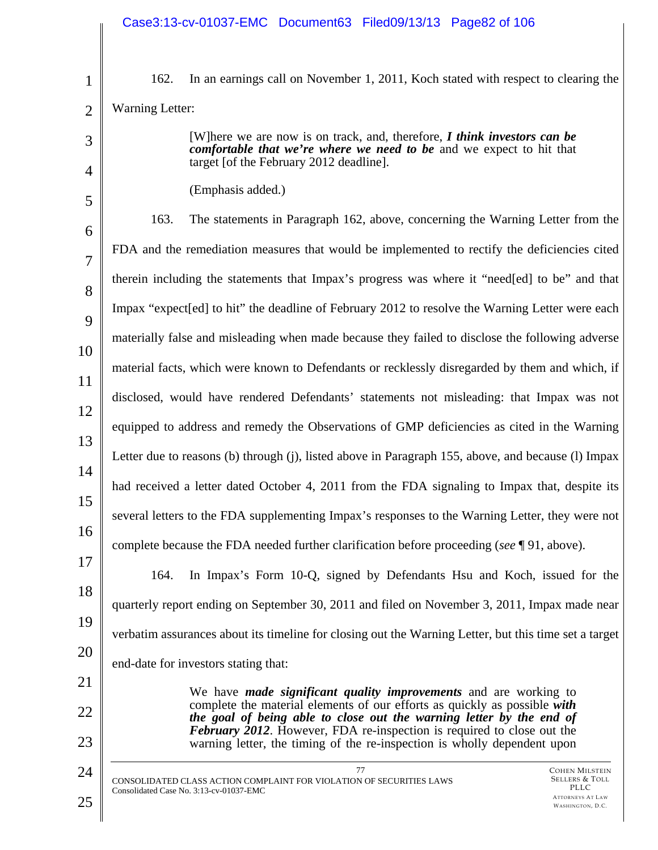| $\mathbf 1$    | 162.                                                                                        | In an earnings call on November 1, 2011, Koch stated with respect to clearing the                                                                         |                                                     |
|----------------|---------------------------------------------------------------------------------------------|-----------------------------------------------------------------------------------------------------------------------------------------------------------|-----------------------------------------------------|
| $\overline{2}$ | <b>Warning Letter:</b>                                                                      |                                                                                                                                                           |                                                     |
| 3              |                                                                                             | [W] here we are now is on track, and, therefore, $\bf{I}$ think investors can be<br>comfortable that we're where we need to be and we expect to hit that  |                                                     |
| 4              |                                                                                             | target [of the February 2012 deadline].                                                                                                                   |                                                     |
| 5              |                                                                                             | (Emphasis added.)                                                                                                                                         |                                                     |
| 6              | 163.                                                                                        | The statements in Paragraph 162, above, concerning the Warning Letter from the                                                                            |                                                     |
| $\overline{7}$ |                                                                                             | FDA and the remediation measures that would be implemented to rectify the deficiencies cited                                                              |                                                     |
| 8              |                                                                                             | therein including the statements that Impax's progress was where it "need[ed] to be" and that                                                             |                                                     |
| 9              |                                                                                             | Impax "expect [ed] to hit" the deadline of February 2012 to resolve the Warning Letter were each                                                          |                                                     |
| 10             |                                                                                             | materially false and misleading when made because they failed to disclose the following adverse                                                           |                                                     |
|                |                                                                                             | material facts, which were known to Defendants or recklessly disregarded by them and which, if                                                            |                                                     |
| 11             |                                                                                             | disclosed, would have rendered Defendants' statements not misleading: that Impax was not                                                                  |                                                     |
| 12             | equipped to address and remedy the Observations of GMP deficiencies as cited in the Warning |                                                                                                                                                           |                                                     |
| 13             |                                                                                             | Letter due to reasons (b) through (j), listed above in Paragraph 155, above, and because (l) Impax                                                        |                                                     |
| 14             |                                                                                             | had received a letter dated October 4, 2011 from the FDA signaling to Impax that, despite its                                                             |                                                     |
| 15             |                                                                                             |                                                                                                                                                           |                                                     |
| 16             |                                                                                             | several letters to the FDA supplementing Impax's responses to the Warning Letter, they were not                                                           |                                                     |
| 17             |                                                                                             | complete because the FDA needed further clarification before proceeding (see $\P$ 91, above).                                                             |                                                     |
| 18             | 164.                                                                                        | In Impax's Form 10-Q, signed by Defendants Hsu and Koch, issued for the                                                                                   |                                                     |
|                |                                                                                             | quarterly report ending on September 30, 2011 and filed on November 3, 2011, Impax made near                                                              |                                                     |
| 19             |                                                                                             | verbatim assurances about its timeline for closing out the Warning Letter, but this time set a target                                                     |                                                     |
| 20             |                                                                                             | end-date for investors stating that:                                                                                                                      |                                                     |
| 21             |                                                                                             | We have <i>made significant quality improvements</i> and are working to                                                                                   |                                                     |
| 22             |                                                                                             | complete the material elements of our efforts as quickly as possible with<br>the goal of being able to close out the warning letter by the end of         |                                                     |
| 23             |                                                                                             | <b>February 2012.</b> However, FDA re-inspection is required to close out the<br>warning letter, the timing of the re-inspection is wholly dependent upon |                                                     |
| 24             |                                                                                             | 77<br>CONSOLIDATED CLASS ACTION COMPLAINT FOR VIOLATION OF SECURITIES LAWS                                                                                | <b>COHEN MILSTEIN</b><br>Sellers & Toll             |
| 25             |                                                                                             | Consolidated Case No. 3:13-cv-01037-EMC                                                                                                                   | PLLC<br><b>ATTORNEYS AT LAW</b><br>WASHINGTON, D.C. |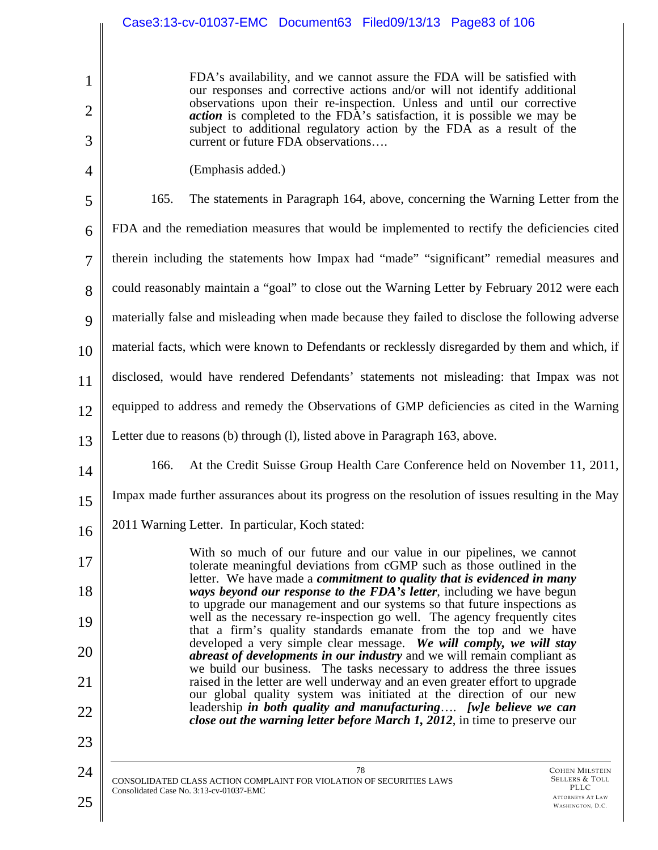|                | Case3:13-cv-01037-EMC Document63 Filed09/13/13 Page83 of 106                                                                                                                                                                      |  |
|----------------|-----------------------------------------------------------------------------------------------------------------------------------------------------------------------------------------------------------------------------------|--|
|                |                                                                                                                                                                                                                                   |  |
| $\mathbf{1}$   | FDA's availability, and we cannot assure the FDA will be satisfied with<br>our responses and corrective actions and/or will not identify additional                                                                               |  |
| $\overline{2}$ | observations upon their re-inspection. Unless and until our corrective<br><i>action</i> is completed to the FDA's satisfaction, it is possible we may be<br>subject to additional regulatory action by the FDA as a result of the |  |
| 3              | current or future FDA observations                                                                                                                                                                                                |  |
| 4              | (Emphasis added.)                                                                                                                                                                                                                 |  |
| 5              | 165.<br>The statements in Paragraph 164, above, concerning the Warning Letter from the                                                                                                                                            |  |
| 6              | FDA and the remediation measures that would be implemented to rectify the deficiencies cited                                                                                                                                      |  |
| $\overline{7}$ | therein including the statements how Impax had "made" "significant" remedial measures and                                                                                                                                         |  |
| 8              | could reasonably maintain a "goal" to close out the Warning Letter by February 2012 were each                                                                                                                                     |  |
| 9              | materially false and misleading when made because they failed to disclose the following adverse                                                                                                                                   |  |
| 10             | material facts, which were known to Defendants or recklessly disregarded by them and which, if                                                                                                                                    |  |
| 11             | disclosed, would have rendered Defendants' statements not misleading: that Impax was not                                                                                                                                          |  |
| 12             | equipped to address and remedy the Observations of GMP deficiencies as cited in the Warning                                                                                                                                       |  |
| 13             | Letter due to reasons (b) through (l), listed above in Paragraph 163, above.                                                                                                                                                      |  |
| 14             | At the Credit Suisse Group Health Care Conference held on November 11, 2011,<br>166.                                                                                                                                              |  |
| 15             | Impax made further assurances about its progress on the resolution of issues resulting in the May                                                                                                                                 |  |
| 16             | 2011 Warning Letter. In particular, Koch stated:                                                                                                                                                                                  |  |
| 17             | With so much of our future and our value in our pipelines, we cannot<br>tolerate meaningful deviations from cGMP such as those outlined in the                                                                                    |  |
| 18             | letter. We have made a commitment to quality that is evidenced in many<br>ways beyond our response to the FDA's letter, including we have begun<br>to upgrade our management and our systems so that future inspections as        |  |
| 19             | well as the necessary re-inspection go well. The agency frequently cites<br>that a firm's quality standards emanate from the top and we have                                                                                      |  |
| 20             | developed a very simple clear message. We will comply, we will stay<br>abreast of developments in our industry and we will remain compliant as                                                                                    |  |
| 21             | we build our business. The tasks necessary to address the three issues<br>raised in the letter are well underway and an even greater effort to upgrade                                                                            |  |
| 22             | our global quality system was initiated at the direction of our new<br>leadership in both quality and manufacturing [w]e believe we can<br>close out the warning letter before March 1, 2012, in time to preserve our             |  |
| 23             |                                                                                                                                                                                                                                   |  |

78 CONSOLIDATED CLASS ACTION COMPLAINT FOR VIOLATION OF SECURITIES LAWS Consolidated Case No. 3:13-cv-01037-EMC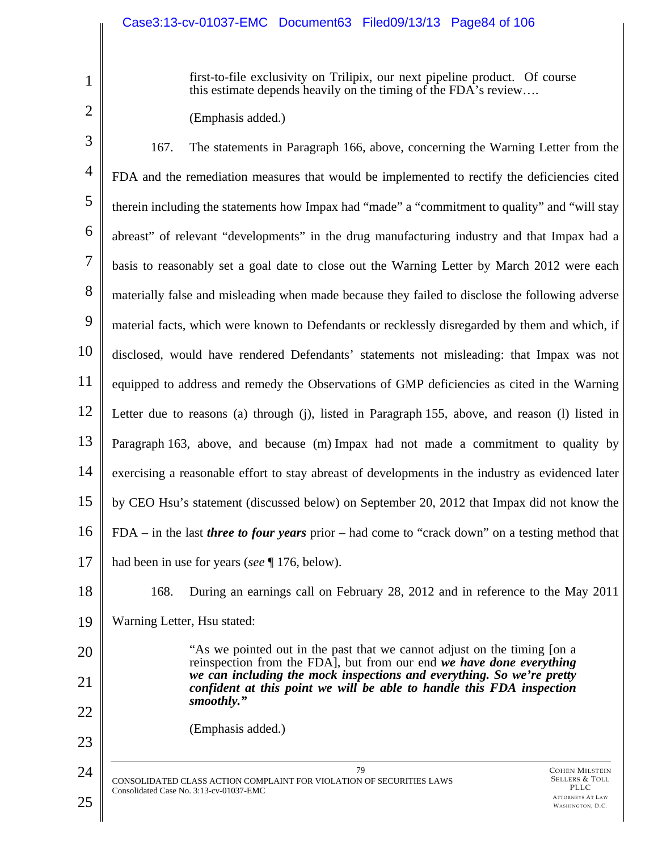first-to-file exclusivity on Trilipix, our next pipeline product. Of course this estimate depends heavily on the timing of the FDA's review….

(Emphasis added.)

COHEN MILSTEIN SELLERS & TOLL PLLC ATTORNEYS AT LAW 3 4 5 6 7 8 9 10 11 12 13 14 15 16 17 18 19 20 21 22 23 24 79 CONSOLIDATED CLASS ACTION COMPLAINT FOR VIOLATION OF SECURITIES LAWS Consolidated Case No. 3:13-cv-01037-EMC 167. The statements in Paragraph 166, above, concerning the Warning Letter from the FDA and the remediation measures that would be implemented to rectify the deficiencies cited therein including the statements how Impax had "made" a "commitment to quality" and "will stay abreast" of relevant "developments" in the drug manufacturing industry and that Impax had a basis to reasonably set a goal date to close out the Warning Letter by March 2012 were each materially false and misleading when made because they failed to disclose the following adverse material facts, which were known to Defendants or recklessly disregarded by them and which, if disclosed, would have rendered Defendants' statements not misleading: that Impax was not equipped to address and remedy the Observations of GMP deficiencies as cited in the Warning Letter due to reasons (a) through (j), listed in Paragraph 155, above, and reason (l) listed in Paragraph 163, above, and because (m) Impax had not made a commitment to quality by exercising a reasonable effort to stay abreast of developments in the industry as evidenced later by CEO Hsu's statement (discussed below) on September 20, 2012 that Impax did not know the FDA – in the last *three to four years* prior – had come to "crack down" on a testing method that had been in use for years (*see* ¶ 176, below). 168. During an earnings call on February 28, 2012 and in reference to the May 2011 Warning Letter, Hsu stated: "As we pointed out in the past that we cannot adjust on the timing [on a reinspection from the FDA], but from our end *we have done everything we can including the mock inspections and everything. So we're pretty confident at this point we will be able to handle this FDA inspection smoothly."*  (Emphasis added.)

WASHINGTON, D.C.

1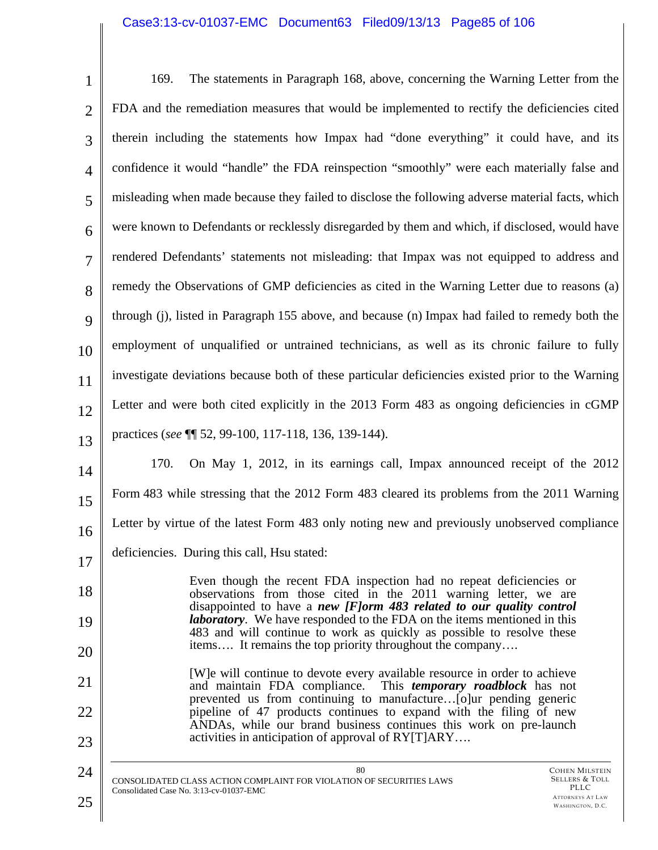# Case3:13-cv-01037-EMC Document63 Filed09/13/13 Page85 of 106

| $\mathbf{1}$   | The statements in Paragraph 168, above, concerning the Warning Letter from the<br>169.                                                                                                                          |
|----------------|-----------------------------------------------------------------------------------------------------------------------------------------------------------------------------------------------------------------|
| $\overline{2}$ | FDA and the remediation measures that would be implemented to rectify the deficiencies cited                                                                                                                    |
| 3              | therein including the statements how Impax had "done everything" it could have, and its                                                                                                                         |
| $\overline{4}$ | confidence it would "handle" the FDA reinspection "smoothly" were each materially false and                                                                                                                     |
| 5              | misleading when made because they failed to disclose the following adverse material facts, which                                                                                                                |
| 6              | were known to Defendants or recklessly disregarded by them and which, if disclosed, would have                                                                                                                  |
| $\overline{7}$ | rendered Defendants' statements not misleading: that Impax was not equipped to address and                                                                                                                      |
| 8              | remedy the Observations of GMP deficiencies as cited in the Warning Letter due to reasons (a)                                                                                                                   |
| 9              | through (j), listed in Paragraph 155 above, and because (n) Impax had failed to remedy both the                                                                                                                 |
| 10             | employment of unqualified or untrained technicians, as well as its chronic failure to fully                                                                                                                     |
| 11             | investigate deviations because both of these particular deficiencies existed prior to the Warning                                                                                                               |
| 12             | Letter and were both cited explicitly in the 2013 Form 483 as ongoing deficiencies in cGMP                                                                                                                      |
| 13             | practices (see \[ 52, 99-100, 117-118, 136, 139-144).                                                                                                                                                           |
| 14             | On May 1, 2012, in its earnings call, Impax announced receipt of the 2012<br>170.                                                                                                                               |
| 15             | Form 483 while stressing that the 2012 Form 483 cleared its problems from the 2011 Warning                                                                                                                      |
| 16             | Letter by virtue of the latest Form 483 only noting new and previously unobserved compliance                                                                                                                    |
| 17             | deficiencies. During this call, Hsu stated:                                                                                                                                                                     |
| 18             | Even though the recent FDA inspection had no repeat deficiencies or<br>observations from those cited in the 2011 warning letter, we are<br>disappointed to have a new [F]orm 483 related to our quality control |
| 19             | <i>laboratory</i> . We have responded to the FDA on the items mentioned in this<br>483 and will continue to work as quickly as possible to resolve these                                                        |
| 20             | items It remains the top priority throughout the company                                                                                                                                                        |
| 21             | [W] e will continue to devote every available resource in order to achieve<br>and maintain FDA compliance. This temporary roadblock has not                                                                     |
| 22             | prevented us from continuing to manufacture[o]ur pending generic<br>pipeline of 47 products continues to expand with the filing of new<br>ANDAs, while our brand business continues this work on pre-launch     |
| 23             | activities in anticipation of approval of RY[T]ARY                                                                                                                                                              |
| 24             | 80<br><b>COHEN MILSTEIN</b><br><b>SELLERS &amp; TOLL</b><br>CONSOLIDATED CLASS ACTION COMPLAINT FOR VIOLATION OF SECURITIES LAWS                                                                                |
| 25             | PLLC<br>Consolidated Case No. 3:13-cv-01037-EMC<br><b>ATTORNEYS AT LAW</b><br>WASHINGTON, D.C.                                                                                                                  |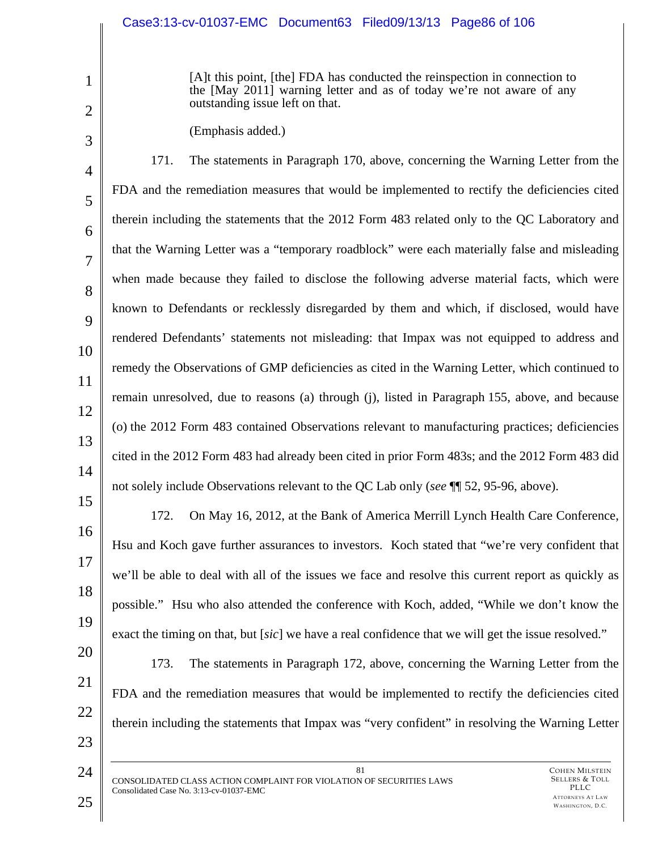[A]t this point, [the] FDA has conducted the reinspection in connection to the [May 2011] warning letter and as of today we're not aware of any outstanding issue left on that.

(Emphasis added.)

4 5 6 7 8  $\mathbf Q$ 10 11 12 13 14 15 171. The statements in Paragraph 170, above, concerning the Warning Letter from the FDA and the remediation measures that would be implemented to rectify the deficiencies cited therein including the statements that the 2012 Form 483 related only to the QC Laboratory and that the Warning Letter was a "temporary roadblock" were each materially false and misleading when made because they failed to disclose the following adverse material facts, which were known to Defendants or recklessly disregarded by them and which, if disclosed, would have rendered Defendants' statements not misleading: that Impax was not equipped to address and remedy the Observations of GMP deficiencies as cited in the Warning Letter, which continued to remain unresolved, due to reasons (a) through (j), listed in Paragraph 155, above, and because (o) the 2012 Form 483 contained Observations relevant to manufacturing practices; deficiencies cited in the 2012 Form 483 had already been cited in prior Form 483s; and the 2012 Form 483 did not solely include Observations relevant to the QC Lab only (*see* ¶¶ 52, 95-96, above).

16 17 18 19 172. On May 16, 2012, at the Bank of America Merrill Lynch Health Care Conference, Hsu and Koch gave further assurances to investors. Koch stated that "we're very confident that we'll be able to deal with all of the issues we face and resolve this current report as quickly as possible." Hsu who also attended the conference with Koch, added, "While we don't know the exact the timing on that, but [*sic*] we have a real confidence that we will get the issue resolved."

- 20 21 22 173. The statements in Paragraph 172, above, concerning the Warning Letter from the FDA and the remediation measures that would be implemented to rectify the deficiencies cited therein including the statements that Impax was "very confident" in resolving the Warning Letter
- 24

23

1

2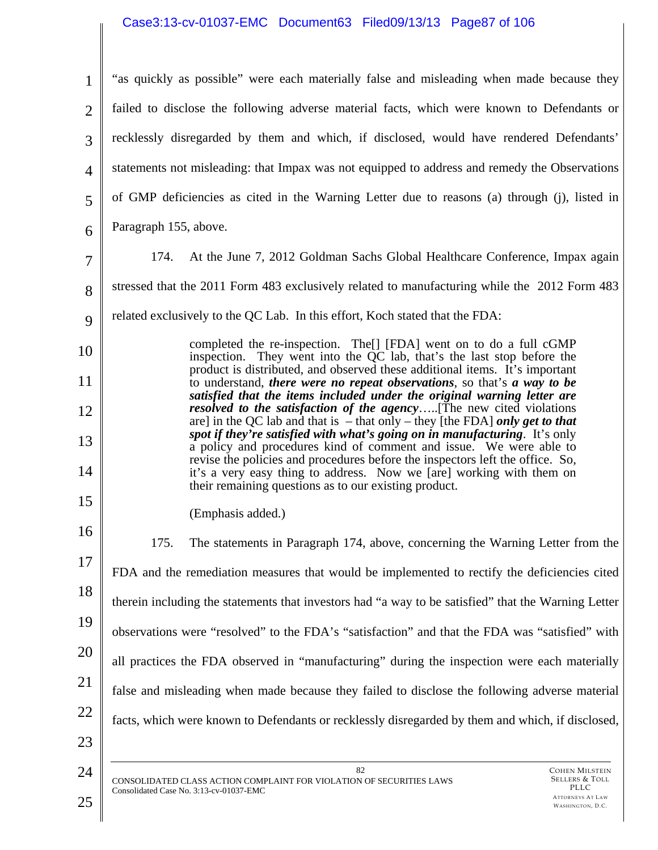### Case3:13-cv-01037-EMC Document63 Filed09/13/13 Page87 of 106

| $\mathbf{1}$   | "as quickly as possible" were each materially false and misleading when made because they                                                                                                                                                                                            |
|----------------|--------------------------------------------------------------------------------------------------------------------------------------------------------------------------------------------------------------------------------------------------------------------------------------|
| $\overline{2}$ | failed to disclose the following adverse material facts, which were known to Defendants or                                                                                                                                                                                           |
| 3              | recklessly disregarded by them and which, if disclosed, would have rendered Defendants'                                                                                                                                                                                              |
| $\overline{4}$ | statements not misleading: that Impax was not equipped to address and remedy the Observations                                                                                                                                                                                        |
| 5              | of GMP deficiencies as cited in the Warning Letter due to reasons (a) through (j), listed in                                                                                                                                                                                         |
| 6              | Paragraph 155, above.                                                                                                                                                                                                                                                                |
| $\overline{7}$ | At the June 7, 2012 Goldman Sachs Global Healthcare Conference, Impax again<br>174.                                                                                                                                                                                                  |
| 8              | stressed that the 2011 Form 483 exclusively related to manufacturing while the 2012 Form 483                                                                                                                                                                                         |
| 9              | related exclusively to the QC Lab. In this effort, Koch stated that the FDA:                                                                                                                                                                                                         |
| 10             | completed the re-inspection. The <sup>[]</sup> [FDA] went on to do a full cGMP<br>inspection. They went into the QC lab, that's the last stop before the<br>product is distributed, and observed these additional items. It's important                                              |
| 11             | to understand, there were no repeat observations, so that's a way to be<br>satisfied that the items included under the original warning letter are                                                                                                                                   |
| 12             | <i>resolved to the satisfaction of the agency</i> [The new cited violations<br>are] in the QC lab and that is $-$ that only $-$ they [the FDA] only get to that<br>spot if they're satisfied with what's going on in manufacturing. It's only                                        |
| 13<br>14       | a policy and procedures kind of comment and issue. We were able to<br>revise the policies and procedures before the inspectors left the office. So,<br>it's a very easy thing to address. Now we [are] working with them on<br>their remaining questions as to our existing product. |
| 15             | (Emphasis added.)                                                                                                                                                                                                                                                                    |
| 16             | 175.<br>The statements in Paragraph 174, above, concerning the Warning Letter from the                                                                                                                                                                                               |
| 17             | FDA and the remediation measures that would be implemented to rectify the deficiencies cited                                                                                                                                                                                         |
| 18             | therein including the statements that investors had "a way to be satisfied" that the Warning Letter                                                                                                                                                                                  |
| 19             | observations were "resolved" to the FDA's "satisfaction" and that the FDA was "satisfied" with                                                                                                                                                                                       |
| 20             | all practices the FDA observed in "manufacturing" during the inspection were each materially                                                                                                                                                                                         |
| 21             | false and misleading when made because they failed to disclose the following adverse material                                                                                                                                                                                        |
| 22             | facts, which were known to Defendants or recklessly disregarded by them and which, if disclosed,                                                                                                                                                                                     |
| 23             |                                                                                                                                                                                                                                                                                      |
| 24<br>25       | 82<br><b>COHEN MILSTEIN</b><br>Sellers & Toll<br>CONSOLIDATED CLASS ACTION COMPLAINT FOR VIOLATION OF SECURITIES LAWS<br>PLLC<br>Consolidated Case No. 3:13-cv-01037-EMC<br><b>ATTORNEYS AT LAW</b><br>WASHINGTON, D.C.                                                              |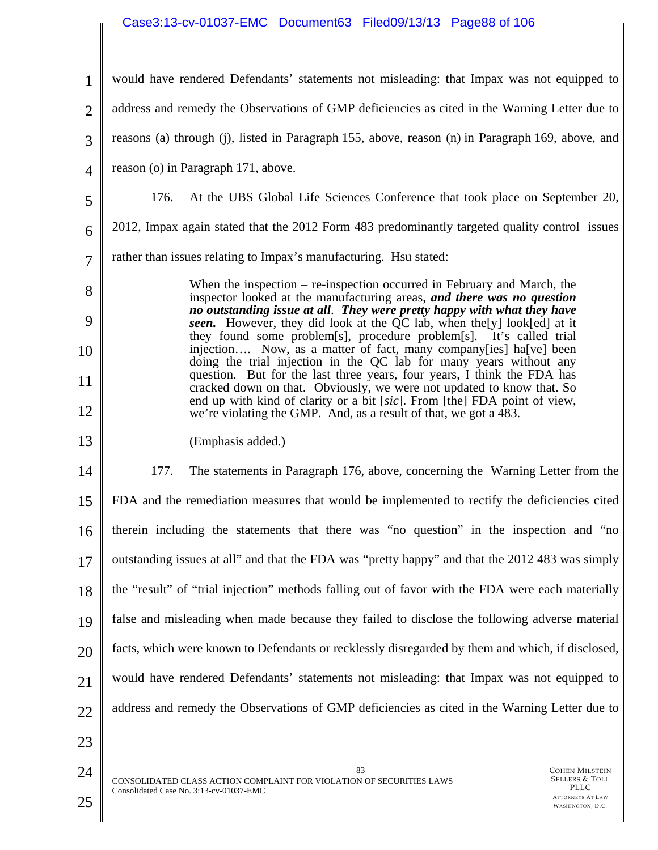# Case3:13-cv-01037-EMC Document63 Filed09/13/13 Page88 of 106

| $\mathbf{1}$   | would have rendered Defendants' statements not misleading: that Impax was not equipped to                                                                                                                                      |
|----------------|--------------------------------------------------------------------------------------------------------------------------------------------------------------------------------------------------------------------------------|
| $\overline{2}$ | address and remedy the Observations of GMP deficiencies as cited in the Warning Letter due to                                                                                                                                  |
| 3              | reasons (a) through (j), listed in Paragraph 155, above, reason (n) in Paragraph 169, above, and                                                                                                                               |
| $\overline{4}$ | reason (o) in Paragraph 171, above.                                                                                                                                                                                            |
| 5              | At the UBS Global Life Sciences Conference that took place on September 20,<br>176.                                                                                                                                            |
| 6              | 2012, Impax again stated that the 2012 Form 483 predominantly targeted quality control issues                                                                                                                                  |
| $\overline{7}$ | rather than issues relating to Impax's manufacturing. Hsu stated:                                                                                                                                                              |
| 8              | When the inspection $-$ re-inspection occurred in February and March, the<br>inspector looked at the manufacturing areas, and there was no question<br>no outstanding issue at all. They were pretty happy with what they have |
| 9              | seen. However, they did look at the QC lab, when the [y] look [ed] at it<br>they found some problem[s], procedure problem[s]. It's called trial                                                                                |
| 10             | injection Now, as a matter of fact, many company[ies] ha[ve] been<br>doing the trial injection in the QC lab for many years without any                                                                                        |
| 11             | question. But for the last three years, four years, I think the FDA has<br>cracked down on that. Obviously, we were not updated to know that. So                                                                               |
| 12             | end up with kind of clarity or a bit [sic]. From [the] FDA point of view,<br>we're violating the GMP. And, as a result of that, we got a 483.                                                                                  |
| 13             | (Emphasis added.)                                                                                                                                                                                                              |
| 14             | 177.<br>The statements in Paragraph 176, above, concerning the Warning Letter from the                                                                                                                                         |
| 15             | FDA and the remediation measures that would be implemented to rectify the deficiencies cited                                                                                                                                   |
| 16             | therein including the statements that there was "no question" in the inspection and "no                                                                                                                                        |
| 17             | outstanding issues at all" and that the FDA was "pretty happy" and that the 2012 483 was simply                                                                                                                                |
| 18             | the "result" of "trial injection" methods falling out of favor with the FDA were each materially                                                                                                                               |
| 19             | false and misleading when made because they failed to disclose the following adverse material                                                                                                                                  |
| 20             | facts, which were known to Defendants or recklessly disregarded by them and which, if disclosed,                                                                                                                               |
| 21             | would have rendered Defendants' statements not misleading: that Impax was not equipped to                                                                                                                                      |
| 22             | address and remedy the Observations of GMP deficiencies as cited in the Warning Letter due to                                                                                                                                  |
| 23             |                                                                                                                                                                                                                                |
| 24             | 83<br><b>COHEN MILSTEIN</b><br><b>SELLERS &amp; TOLI</b><br>A TED CLASS A CTION COMPLAINT FOR VIOLATION OF SECURITIES LAWS                                                                                                     |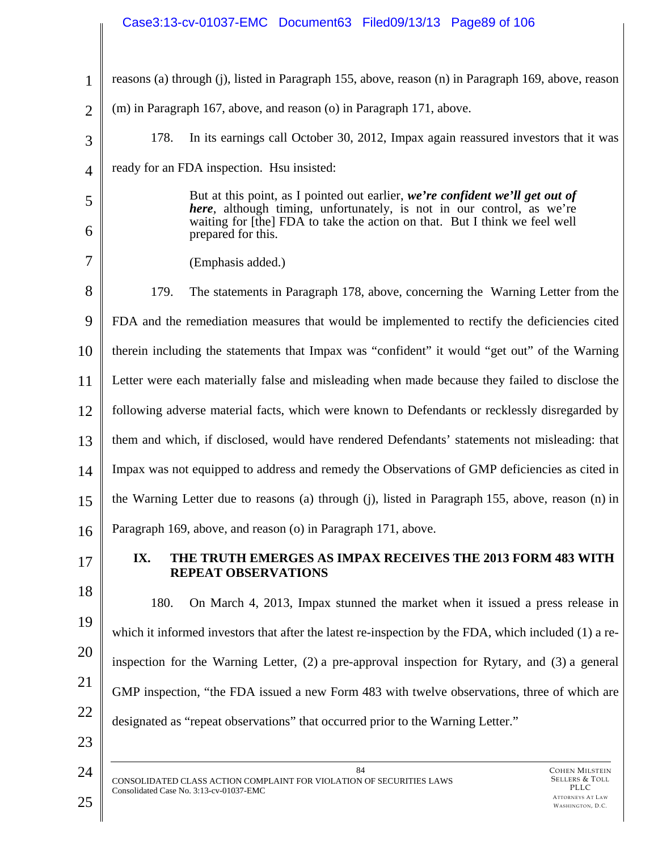# Case3:13-cv-01037-EMC Document63 Filed09/13/13 Page89 of 106

| 1              | reasons (a) through (j), listed in Paragraph 155, above, reason (n) in Paragraph 169, above, reason                                                                                                                                                                |  |
|----------------|--------------------------------------------------------------------------------------------------------------------------------------------------------------------------------------------------------------------------------------------------------------------|--|
| $\overline{2}$ | (m) in Paragraph 167, above, and reason (o) in Paragraph 171, above.                                                                                                                                                                                               |  |
| 3              | 178.<br>In its earnings call October 30, 2012, Impax again reassured investors that it was                                                                                                                                                                         |  |
| $\overline{4}$ | ready for an FDA inspection. Hsu insisted:                                                                                                                                                                                                                         |  |
| 5<br>6         | But at this point, as I pointed out earlier, we're confident we'll get out of<br><i>here</i> , although timing, unfortunately, is not in our control, as we're<br>waiting for [the] FDA to take the action on that. But I think we feel well<br>prepared for this. |  |
| 7              | (Emphasis added.)                                                                                                                                                                                                                                                  |  |
| 8              | 179.<br>The statements in Paragraph 178, above, concerning the Warning Letter from the                                                                                                                                                                             |  |
| 9              | FDA and the remediation measures that would be implemented to rectify the deficiencies cited                                                                                                                                                                       |  |
| 10             | therein including the statements that Impax was "confident" it would "get out" of the Warning                                                                                                                                                                      |  |
| 11             | Letter were each materially false and misleading when made because they failed to disclose the                                                                                                                                                                     |  |
| 12             | following adverse material facts, which were known to Defendants or recklessly disregarded by                                                                                                                                                                      |  |
| 13             | them and which, if disclosed, would have rendered Defendants' statements not misleading: that                                                                                                                                                                      |  |
| 14             | Impax was not equipped to address and remedy the Observations of GMP deficiencies as cited in                                                                                                                                                                      |  |
| 15             | the Warning Letter due to reasons (a) through (j), listed in Paragraph 155, above, reason (n) in                                                                                                                                                                   |  |
| 16             | Paragraph 169, above, and reason (o) in Paragraph 171, above.                                                                                                                                                                                                      |  |
| 17             | IX.<br>THE TRUTH EMERGES AS IMPAX RECEIVES THE 2013 FORM 483 WITH<br><b>REPEAT OBSERVATIONS</b>                                                                                                                                                                    |  |
| 18             | 180.<br>On March 4, 2013, Impax stunned the market when it issued a press release in                                                                                                                                                                               |  |
| 19             | which it informed investors that after the latest re-inspection by the FDA, which included (1) a re-                                                                                                                                                               |  |
| 20             | inspection for the Warning Letter, $(2)$ a pre-approval inspection for Rytary, and $(3)$ a general                                                                                                                                                                 |  |
| 21             | GMP inspection, "the FDA issued a new Form 483 with twelve observations, three of which are                                                                                                                                                                        |  |
| 22             | designated as "repeat observations" that occurred prior to the Warning Letter."                                                                                                                                                                                    |  |
| 23             |                                                                                                                                                                                                                                                                    |  |
| 24<br>25       | 84<br><b>COHEN MILSTEIN</b><br><b>SELLERS &amp; TOLL</b><br>CONSOLIDATED CLASS ACTION COMPLAINT FOR VIOLATION OF SECURITIES LAWS<br>PLLC<br>Consolidated Case No. 3:13-cv-01037-EMC<br><b>ATTORNEYS AT LAW</b><br>WASHINGTON, D.C.                                 |  |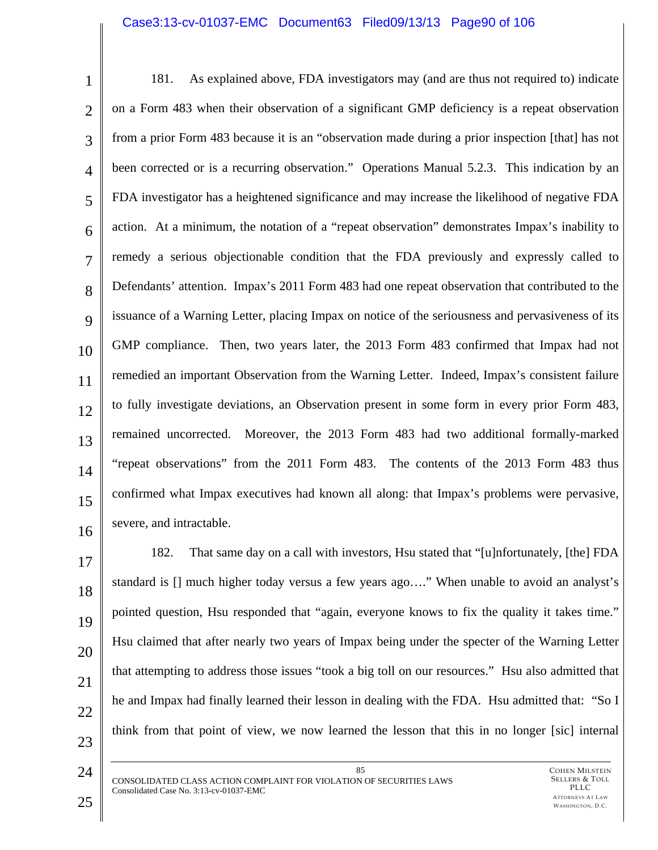#### Case3:13-cv-01037-EMC Document63 Filed09/13/13 Page90 of 106

1 2 3 4 5 6 7 8 9 10 11 12 13 14 15 16 181. As explained above, FDA investigators may (and are thus not required to) indicate on a Form 483 when their observation of a significant GMP deficiency is a repeat observation from a prior Form 483 because it is an "observation made during a prior inspection [that] has not been corrected or is a recurring observation." Operations Manual 5.2.3. This indication by an FDA investigator has a heightened significance and may increase the likelihood of negative FDA action. At a minimum, the notation of a "repeat observation" demonstrates Impax's inability to remedy a serious objectionable condition that the FDA previously and expressly called to Defendants' attention. Impax's 2011 Form 483 had one repeat observation that contributed to the issuance of a Warning Letter, placing Impax on notice of the seriousness and pervasiveness of its GMP compliance. Then, two years later, the 2013 Form 483 confirmed that Impax had not remedied an important Observation from the Warning Letter. Indeed, Impax's consistent failure to fully investigate deviations, an Observation present in some form in every prior Form 483, remained uncorrected. Moreover, the 2013 Form 483 had two additional formally-marked "repeat observations" from the 2011 Form 483. The contents of the 2013 Form 483 thus confirmed what Impax executives had known all along: that Impax's problems were pervasive, severe, and intractable.

17 18 19 20 21 22 23 182. That same day on a call with investors, Hsu stated that "[u]nfortunately, [the] FDA standard is [] much higher today versus a few years ago…." When unable to avoid an analyst's pointed question, Hsu responded that "again, everyone knows to fix the quality it takes time." Hsu claimed that after nearly two years of Impax being under the specter of the Warning Letter that attempting to address those issues "took a big toll on our resources." Hsu also admitted that he and Impax had finally learned their lesson in dealing with the FDA. Hsu admitted that: "So I think from that point of view, we now learned the lesson that this in no longer [sic] internal

24

85 CONSOLIDATED CLASS ACTION COMPLAINT FOR VIOLATION OF SECURITIES LAWS Consolidated Case No. 3:13-cv-01037-EMC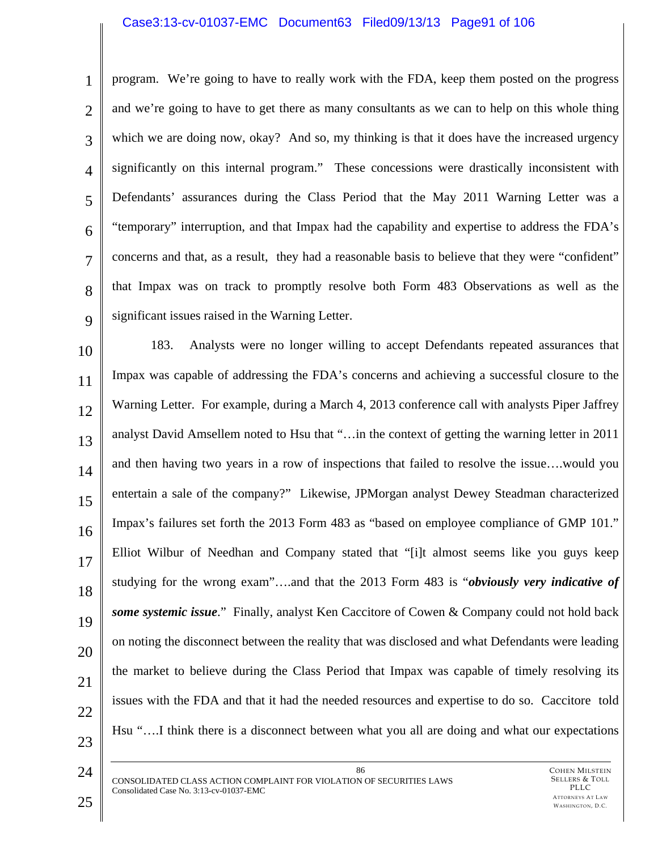#### Case3:13-cv-01037-EMC Document63 Filed09/13/13 Page91 of 106

1 2 3 4 5 6 7 8  $\mathbf Q$ program. We're going to have to really work with the FDA, keep them posted on the progress and we're going to have to get there as many consultants as we can to help on this whole thing which we are doing now, okay? And so, my thinking is that it does have the increased urgency significantly on this internal program." These concessions were drastically inconsistent with Defendants' assurances during the Class Period that the May 2011 Warning Letter was a "temporary" interruption, and that Impax had the capability and expertise to address the FDA's concerns and that, as a result, they had a reasonable basis to believe that they were "confident" that Impax was on track to promptly resolve both Form 483 Observations as well as the significant issues raised in the Warning Letter.

10 11 12 13 14 15 16 17 18 19 20 21 22 23 183. Analysts were no longer willing to accept Defendants repeated assurances that Impax was capable of addressing the FDA's concerns and achieving a successful closure to the Warning Letter. For example, during a March 4, 2013 conference call with analysts Piper Jaffrey analyst David Amsellem noted to Hsu that "…in the context of getting the warning letter in 2011 and then having two years in a row of inspections that failed to resolve the issue….would you entertain a sale of the company?" Likewise, JPMorgan analyst Dewey Steadman characterized Impax's failures set forth the 2013 Form 483 as "based on employee compliance of GMP 101." Elliot Wilbur of Needhan and Company stated that "[i]t almost seems like you guys keep studying for the wrong exam"….and that the 2013 Form 483 is "*obviously very indicative of some systemic issue*." Finally, analyst Ken Caccitore of Cowen & Company could not hold back on noting the disconnect between the reality that was disclosed and what Defendants were leading the market to believe during the Class Period that Impax was capable of timely resolving its issues with the FDA and that it had the needed resources and expertise to do so. Caccitore told Hsu "….I think there is a disconnect between what you all are doing and what our expectations

86 CONSOLIDATED CLASS ACTION COMPLAINT FOR VIOLATION OF SECURITIES LAWS Consolidated Case No. 3:13-cv-01037-EMC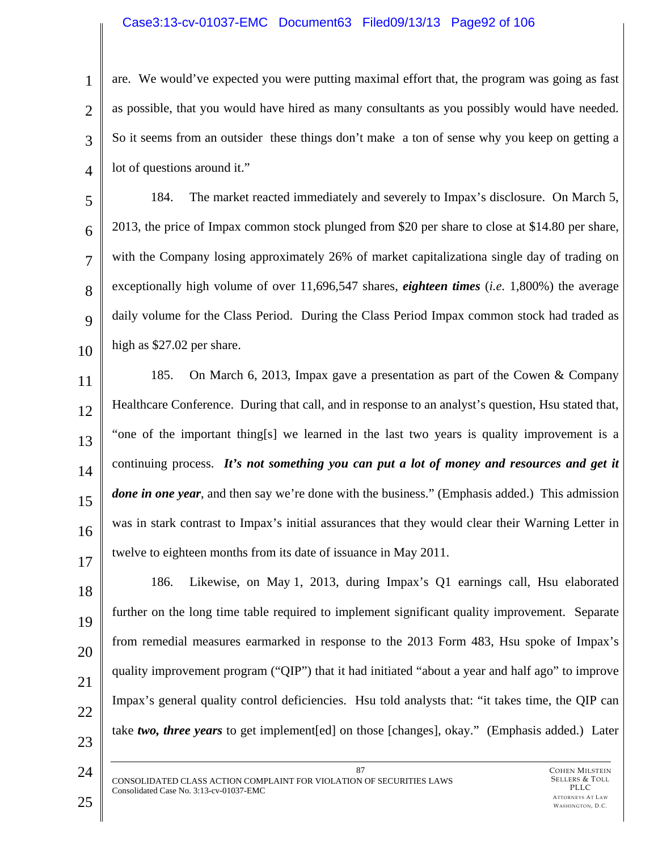#### Case3:13-cv-01037-EMC Document63 Filed09/13/13 Page92 of 106

1 2 3 4 are. We would've expected you were putting maximal effort that, the program was going as fast as possible, that you would have hired as many consultants as you possibly would have needed. So it seems from an outsider these things don't make a ton of sense why you keep on getting a lot of questions around it."

5 6 7 8  $\mathbf Q$ 10 184. The market reacted immediately and severely to Impax's disclosure. On March 5, 2013, the price of Impax common stock plunged from \$20 per share to close at \$14.80 per share, with the Company losing approximately 26% of market capitalizationa single day of trading on exceptionally high volume of over 11,696,547 shares, *eighteen times* (*i.e.* 1,800%) the average daily volume for the Class Period. During the Class Period Impax common stock had traded as high as \$27.02 per share.

11 12 13 14 15 16 17 185. On March 6, 2013, Impax gave a presentation as part of the Cowen & Company Healthcare Conference. During that call, and in response to an analyst's question, Hsu stated that, "one of the important thing[s] we learned in the last two years is quality improvement is a continuing process. *It's not something you can put a lot of money and resources and get it done in one year*, and then say we're done with the business." (Emphasis added.) This admission was in stark contrast to Impax's initial assurances that they would clear their Warning Letter in twelve to eighteen months from its date of issuance in May 2011.

18 19 20 21 22 23 186. Likewise, on May 1, 2013, during Impax's Q1 earnings call, Hsu elaborated further on the long time table required to implement significant quality improvement. Separate from remedial measures earmarked in response to the 2013 Form 483, Hsu spoke of Impax's quality improvement program ("QIP") that it had initiated "about a year and half ago" to improve Impax's general quality control deficiencies. Hsu told analysts that: "it takes time, the QIP can take *two, three years* to get implement[ed] on those [changes], okay." (Emphasis added.) Later

24

87 CONSOLIDATED CLASS ACTION COMPLAINT FOR VIOLATION OF SECURITIES LAWS Consolidated Case No. 3:13-cv-01037-EMC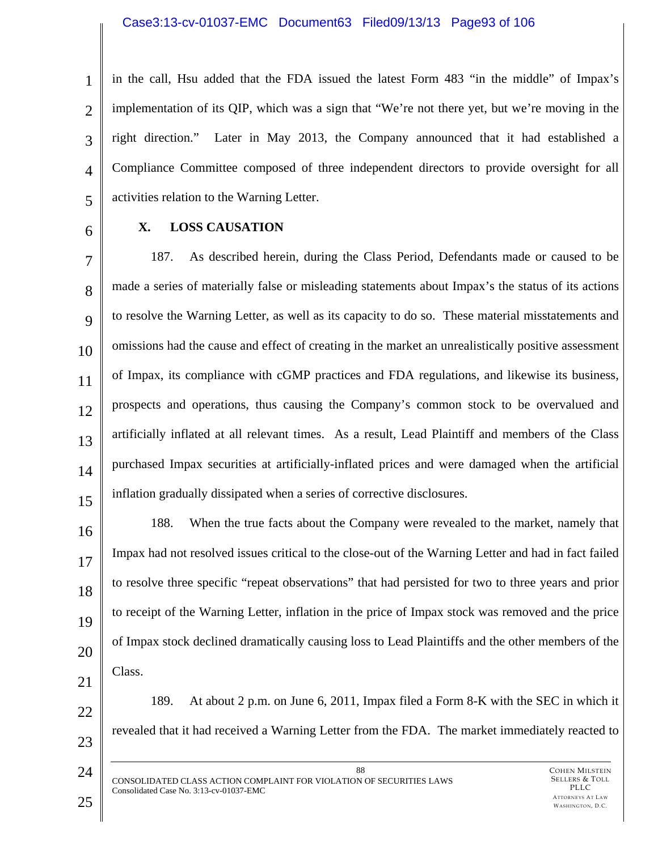1 2 3 4 5 in the call, Hsu added that the FDA issued the latest Form 483 "in the middle" of Impax's implementation of its QIP, which was a sign that "We're not there yet, but we're moving in the right direction." Later in May 2013, the Company announced that it had established a Compliance Committee composed of three independent directors to provide oversight for all activities relation to the Warning Letter.

6

### **X. LOSS CAUSATION**

7 8  $\mathbf Q$ 10 11 12 13 14 15 187. As described herein, during the Class Period, Defendants made or caused to be made a series of materially false or misleading statements about Impax's the status of its actions to resolve the Warning Letter, as well as its capacity to do so. These material misstatements and omissions had the cause and effect of creating in the market an unrealistically positive assessment of Impax, its compliance with cGMP practices and FDA regulations, and likewise its business, prospects and operations, thus causing the Company's common stock to be overvalued and artificially inflated at all relevant times. As a result, Lead Plaintiff and members of the Class purchased Impax securities at artificially-inflated prices and were damaged when the artificial inflation gradually dissipated when a series of corrective disclosures.

16 17 18 19 20 21 188. When the true facts about the Company were revealed to the market, namely that Impax had not resolved issues critical to the close-out of the Warning Letter and had in fact failed to resolve three specific "repeat observations" that had persisted for two to three years and prior to receipt of the Warning Letter, inflation in the price of Impax stock was removed and the price of Impax stock declined dramatically causing loss to Lead Plaintiffs and the other members of the Class.

22

23

24

189. At about 2 p.m. on June 6, 2011, Impax filed a Form 8-K with the SEC in which it revealed that it had received a Warning Letter from the FDA. The market immediately reacted to

88 CONSOLIDATED CLASS ACTION COMPLAINT FOR VIOLATION OF SECURITIES LAWS Consolidated Case No. 3:13-cv-01037-EMC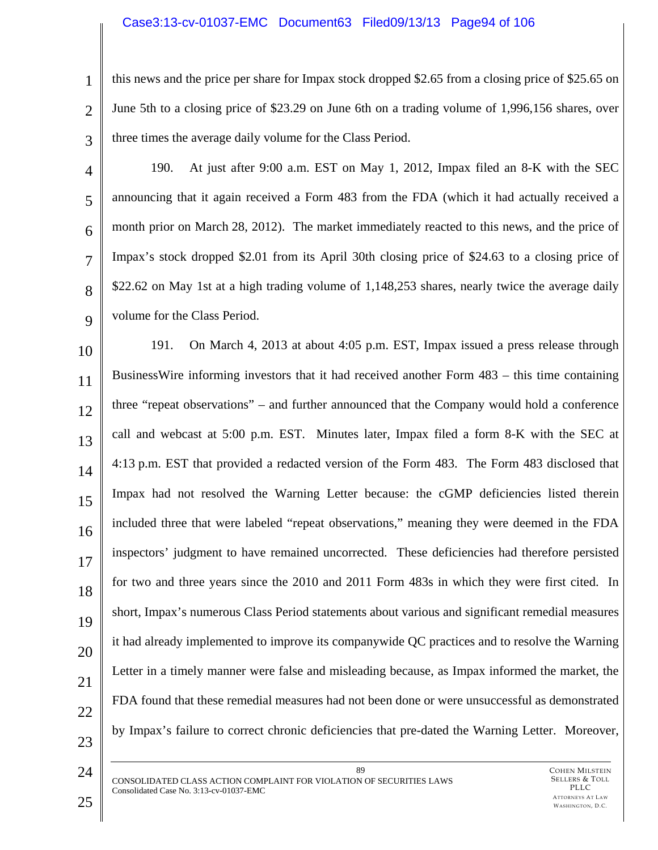#### Case3:13-cv-01037-EMC Document63 Filed09/13/13 Page94 of 106

2

3

1

this news and the price per share for Impax stock dropped \$2.65 from a closing price of \$25.65 on June 5th to a closing price of \$23.29 on June 6th on a trading volume of 1,996,156 shares, over three times the average daily volume for the Class Period.

5 6 7

8

9

4 190. At just after 9:00 a.m. EST on May 1, 2012, Impax filed an 8-K with the SEC announcing that it again received a Form 483 from the FDA (which it had actually received a month prior on March 28, 2012). The market immediately reacted to this news, and the price of Impax's stock dropped \$2.01 from its April 30th closing price of \$24.63 to a closing price of \$22.62 on May 1st at a high trading volume of 1,148,253 shares, nearly twice the average daily volume for the Class Period.

10 11 12 13 14 15 16 17 18 19 20 21 22 23 191. On March 4, 2013 at about 4:05 p.m. EST, Impax issued a press release through BusinessWire informing investors that it had received another Form 483 – this time containing three "repeat observations" – and further announced that the Company would hold a conference call and webcast at 5:00 p.m. EST. Minutes later, Impax filed a form 8-K with the SEC at 4:13 p.m. EST that provided a redacted version of the Form 483. The Form 483 disclosed that Impax had not resolved the Warning Letter because: the cGMP deficiencies listed therein included three that were labeled "repeat observations," meaning they were deemed in the FDA inspectors' judgment to have remained uncorrected. These deficiencies had therefore persisted for two and three years since the 2010 and 2011 Form 483s in which they were first cited. In short, Impax's numerous Class Period statements about various and significant remedial measures it had already implemented to improve its companywide QC practices and to resolve the Warning Letter in a timely manner were false and misleading because, as Impax informed the market, the FDA found that these remedial measures had not been done or were unsuccessful as demonstrated by Impax's failure to correct chronic deficiencies that pre-dated the Warning Letter. Moreover,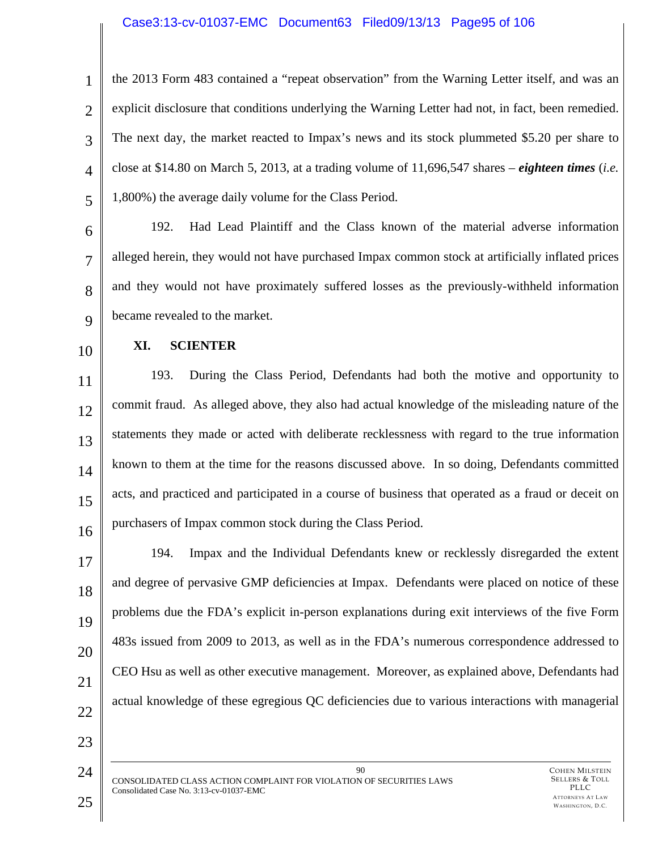#### Case3:13-cv-01037-EMC Document63 Filed09/13/13 Page95 of 106

1 2 3 4 5 the 2013 Form 483 contained a "repeat observation" from the Warning Letter itself, and was an explicit disclosure that conditions underlying the Warning Letter had not, in fact, been remedied. The next day, the market reacted to Impax's news and its stock plummeted \$5.20 per share to close at \$14.80 on March 5, 2013, at a trading volume of 11,696,547 shares – *eighteen times* (*i.e.* 1,800%) the average daily volume for the Class Period.

192. Had Lead Plaintiff and the Class known of the material adverse information alleged herein, they would not have purchased Impax common stock at artificially inflated prices and they would not have proximately suffered losses as the previously-withheld information became revealed to the market.

10

6

7

8

9

#### **XI. SCIENTER**

11 12 13 14 15 16 193. During the Class Period, Defendants had both the motive and opportunity to commit fraud. As alleged above, they also had actual knowledge of the misleading nature of the statements they made or acted with deliberate recklessness with regard to the true information known to them at the time for the reasons discussed above. In so doing, Defendants committed acts, and practiced and participated in a course of business that operated as a fraud or deceit on purchasers of Impax common stock during the Class Period.

17 18 19 20 21 22 194. Impax and the Individual Defendants knew or recklessly disregarded the extent and degree of pervasive GMP deficiencies at Impax. Defendants were placed on notice of these problems due the FDA's explicit in-person explanations during exit interviews of the five Form 483s issued from 2009 to 2013, as well as in the FDA's numerous correspondence addressed to CEO Hsu as well as other executive management. Moreover, as explained above, Defendants had actual knowledge of these egregious QC deficiencies due to various interactions with managerial

23

90 CONSOLIDATED CLASS ACTION COMPLAINT FOR VIOLATION OF SECURITIES LAWS Consolidated Case No. 3:13-cv-01037-EMC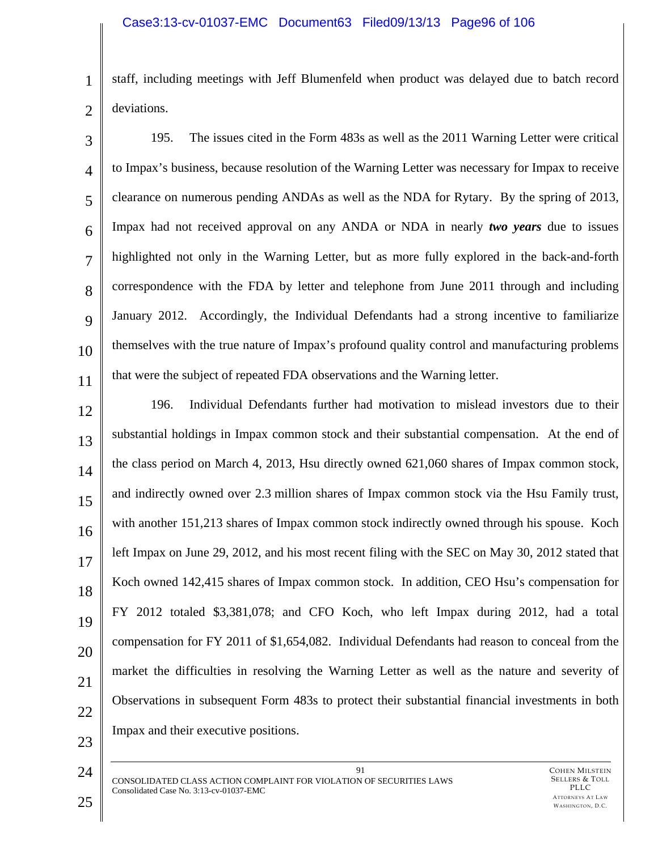1 2 staff, including meetings with Jeff Blumenfeld when product was delayed due to batch record deviations.

3 4 5 6 7 8 9 10 11 195. The issues cited in the Form 483s as well as the 2011 Warning Letter were critical to Impax's business, because resolution of the Warning Letter was necessary for Impax to receive clearance on numerous pending ANDAs as well as the NDA for Rytary. By the spring of 2013, Impax had not received approval on any ANDA or NDA in nearly *two years* due to issues highlighted not only in the Warning Letter, but as more fully explored in the back-and-forth correspondence with the FDA by letter and telephone from June 2011 through and including January 2012. Accordingly, the Individual Defendants had a strong incentive to familiarize themselves with the true nature of Impax's profound quality control and manufacturing problems that were the subject of repeated FDA observations and the Warning letter.

12 13 14 15 16 17 18 19 20 21 22 196. Individual Defendants further had motivation to mislead investors due to their substantial holdings in Impax common stock and their substantial compensation. At the end of the class period on March 4, 2013, Hsu directly owned 621,060 shares of Impax common stock, and indirectly owned over 2.3 million shares of Impax common stock via the Hsu Family trust, with another 151,213 shares of Impax common stock indirectly owned through his spouse. Koch left Impax on June 29, 2012, and his most recent filing with the SEC on May 30, 2012 stated that Koch owned 142,415 shares of Impax common stock. In addition, CEO Hsu's compensation for FY 2012 totaled \$3,381,078; and CFO Koch, who left Impax during 2012, had a total compensation for FY 2011 of \$1,654,082. Individual Defendants had reason to conceal from the market the difficulties in resolving the Warning Letter as well as the nature and severity of Observations in subsequent Form 483s to protect their substantial financial investments in both Impax and their executive positions.

24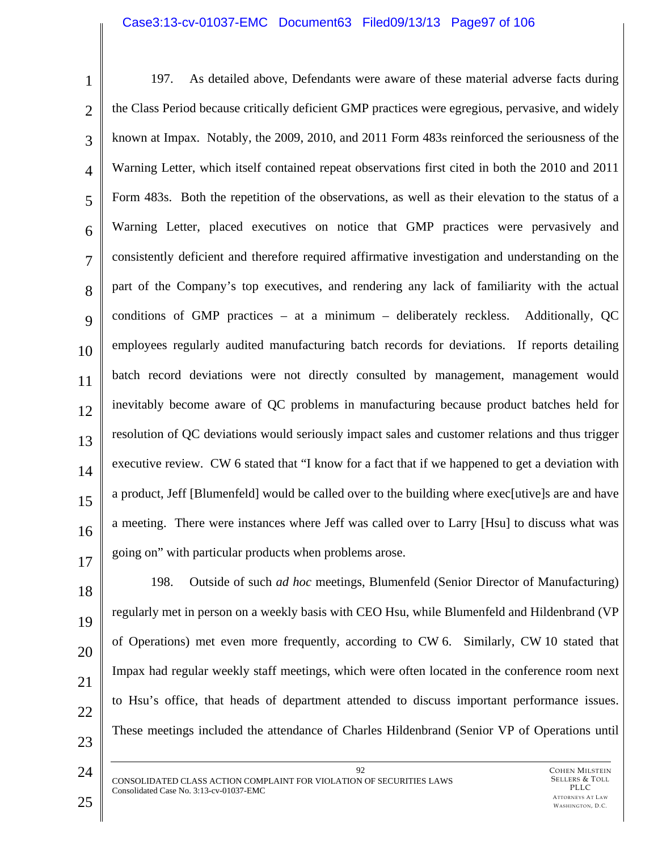#### Case3:13-cv-01037-EMC Document63 Filed09/13/13 Page97 of 106

1 2 3 4 5 6 7 8  $\mathbf Q$ 10 11 12 13 14 15 16 17 197. As detailed above, Defendants were aware of these material adverse facts during the Class Period because critically deficient GMP practices were egregious, pervasive, and widely known at Impax. Notably, the 2009, 2010, and 2011 Form 483s reinforced the seriousness of the Warning Letter, which itself contained repeat observations first cited in both the 2010 and 2011 Form 483s. Both the repetition of the observations, as well as their elevation to the status of a Warning Letter, placed executives on notice that GMP practices were pervasively and consistently deficient and therefore required affirmative investigation and understanding on the part of the Company's top executives, and rendering any lack of familiarity with the actual conditions of GMP practices – at a minimum – deliberately reckless. Additionally, QC employees regularly audited manufacturing batch records for deviations. If reports detailing batch record deviations were not directly consulted by management, management would inevitably become aware of QC problems in manufacturing because product batches held for resolution of QC deviations would seriously impact sales and customer relations and thus trigger executive review. CW 6 stated that "I know for a fact that if we happened to get a deviation with a product, Jeff [Blumenfeld] would be called over to the building where exec[utive]s are and have a meeting. There were instances where Jeff was called over to Larry [Hsu] to discuss what was going on" with particular products when problems arose.

198. Outside of such *ad hoc* meetings, Blumenfeld (Senior Director of Manufacturing) regularly met in person on a weekly basis with CEO Hsu, while Blumenfeld and Hildenbrand (VP of Operations) met even more frequently, according to CW 6. Similarly, CW 10 stated that Impax had regular weekly staff meetings, which were often located in the conference room next to Hsu's office, that heads of department attended to discuss important performance issues. These meetings included the attendance of Charles Hildenbrand (Senior VP of Operations until

92 CONSOLIDATED CLASS ACTION COMPLAINT FOR VIOLATION OF SECURITIES LAWS Consolidated Case No. 3:13-cv-01037-EMC

23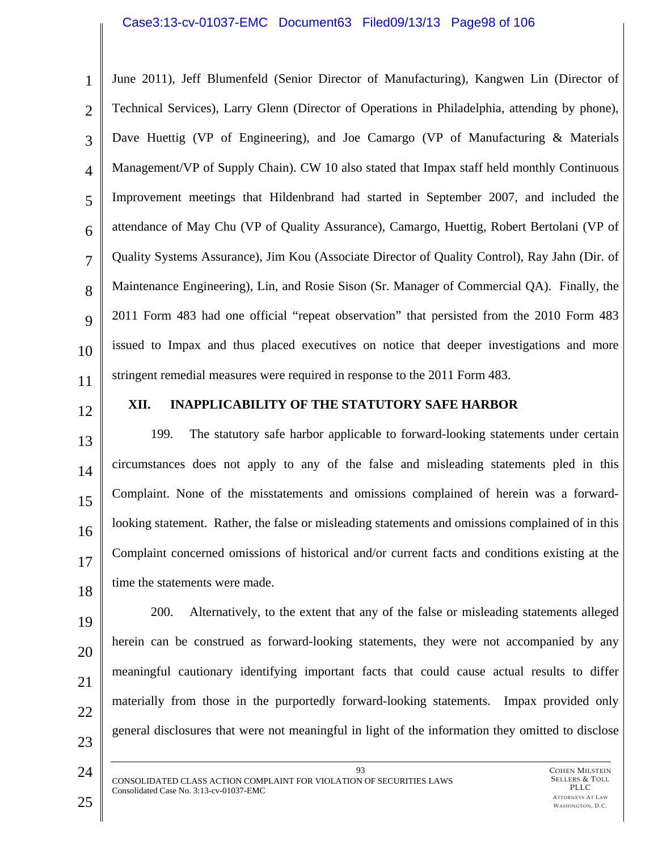#### Case3:13-cv-01037-EMC Document63 Filed09/13/13 Page98 of 106

1 2 3 4 5 6 7 8  $\mathbf Q$ 10 11 June 2011), Jeff Blumenfeld (Senior Director of Manufacturing), Kangwen Lin (Director of Technical Services), Larry Glenn (Director of Operations in Philadelphia, attending by phone), Dave Huettig (VP of Engineering), and Joe Camargo (VP of Manufacturing & Materials Management/VP of Supply Chain). CW 10 also stated that Impax staff held monthly Continuous Improvement meetings that Hildenbrand had started in September 2007, and included the attendance of May Chu (VP of Quality Assurance), Camargo, Huettig, Robert Bertolani (VP of Quality Systems Assurance), Jim Kou (Associate Director of Quality Control), Ray Jahn (Dir. of Maintenance Engineering), Lin, and Rosie Sison (Sr. Manager of Commercial QA). Finally, the 2011 Form 483 had one official "repeat observation" that persisted from the 2010 Form 483 issued to Impax and thus placed executives on notice that deeper investigations and more stringent remedial measures were required in response to the 2011 Form 483.

12

### **XII. INAPPLICABILITY OF THE STATUTORY SAFE HARBOR**

13 14 15 16 17 18 199. The statutory safe harbor applicable to forward-looking statements under certain circumstances does not apply to any of the false and misleading statements pled in this Complaint. None of the misstatements and omissions complained of herein was a forwardlooking statement. Rather, the false or misleading statements and omissions complained of in this Complaint concerned omissions of historical and/or current facts and conditions existing at the time the statements were made.

19 20 21 22 23 200. Alternatively, to the extent that any of the false or misleading statements alleged herein can be construed as forward-looking statements, they were not accompanied by any meaningful cautionary identifying important facts that could cause actual results to differ materially from those in the purportedly forward-looking statements. Impax provided only general disclosures that were not meaningful in light of the information they omitted to disclose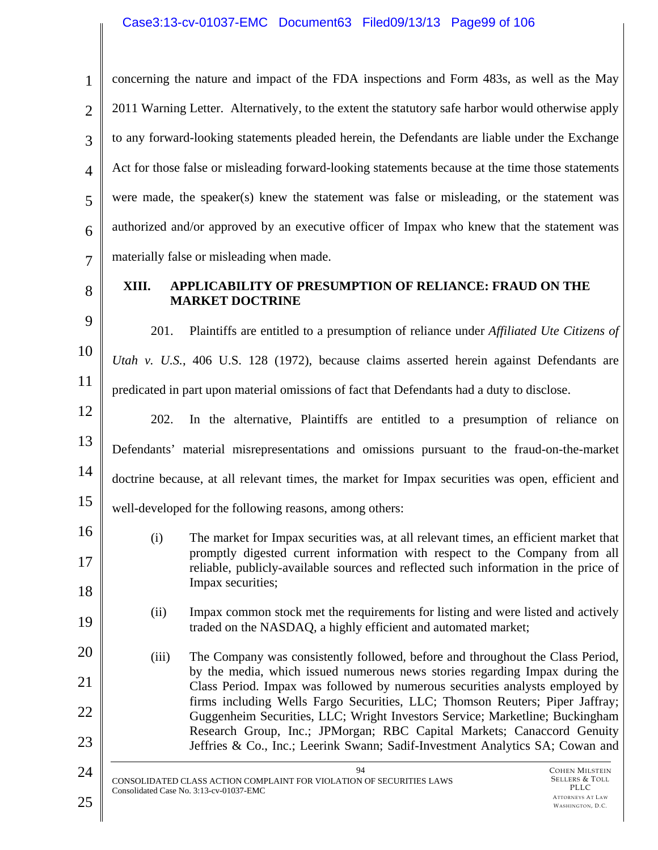# Case3:13-cv-01037-EMC Document63 Filed09/13/13 Page99 of 106

| $\mathbf{1}$   | concerning the nature and impact of the FDA inspections and Form 483s, as well as the May                                                                                                                                               |
|----------------|-----------------------------------------------------------------------------------------------------------------------------------------------------------------------------------------------------------------------------------------|
| $\overline{2}$ | 2011 Warning Letter. Alternatively, to the extent the statutory safe harbor would otherwise apply                                                                                                                                       |
| 3              | to any forward-looking statements pleaded herein, the Defendants are liable under the Exchange                                                                                                                                          |
| $\overline{4}$ | Act for those false or misleading forward-looking statements because at the time those statements                                                                                                                                       |
| 5              | were made, the speaker(s) knew the statement was false or misleading, or the statement was                                                                                                                                              |
| 6              | authorized and/or approved by an executive officer of Impax who knew that the statement was                                                                                                                                             |
| $\overline{7}$ | materially false or misleading when made.                                                                                                                                                                                               |
| 8              | XIII.<br>APPLICABILITY OF PRESUMPTION OF RELIANCE: FRAUD ON THE<br><b>MARKET DOCTRINE</b>                                                                                                                                               |
| 9              | 201.<br>Plaintiffs are entitled to a presumption of reliance under <i>Affiliated Ute Citizens of</i>                                                                                                                                    |
| 10             | Utah v. U.S., 406 U.S. 128 (1972), because claims asserted herein against Defendants are                                                                                                                                                |
| 11             | predicated in part upon material omissions of fact that Defendants had a duty to disclose.                                                                                                                                              |
| 12             | In the alternative, Plaintiffs are entitled to a presumption of reliance on<br>202.                                                                                                                                                     |
| 13             | Defendants' material misrepresentations and omissions pursuant to the fraud-on-the-market                                                                                                                                               |
| 14             | doctrine because, at all relevant times, the market for Impax securities was open, efficient and                                                                                                                                        |
| 15             | well-developed for the following reasons, among others:                                                                                                                                                                                 |
| 16             | The market for Impax securities was, at all relevant times, an efficient market that<br>(i)<br>promptly digested current information with respect to the Company from all                                                               |
| 17             | reliable, publicly-available sources and reflected such information in the price of<br>Impax securities;                                                                                                                                |
| 18<br>19       | Impax common stock met the requirements for listing and were listed and actively<br>(ii)                                                                                                                                                |
| 20             | traded on the NASDAQ, a highly efficient and automated market;                                                                                                                                                                          |
| 21             | The Company was consistently followed, before and throughout the Class Period,<br>(iii)<br>by the media, which issued numerous news stories regarding Impax during the                                                                  |
| 22             | Class Period. Impax was followed by numerous securities analysts employed by<br>firms including Wells Fargo Securities, LLC; Thomson Reuters; Piper Jaffray;                                                                            |
| 23             | Guggenheim Securities, LLC; Wright Investors Service; Marketline; Buckingham<br>Research Group, Inc.; JPMorgan; RBC Capital Markets; Canaccord Genuity<br>Jeffries & Co., Inc.; Leerink Swann; Sadif-Investment Analytics SA; Cowan and |
| 24             | 94<br><b>COHEN MILSTEIN</b>                                                                                                                                                                                                             |
| 25             | Sellers & Toll<br>CONSOLIDATED CLASS ACTION COMPLAINT FOR VIOLATION OF SECURITIES LAWS<br>PLLC<br>Consolidated Case No. 3:13-cv-01037-EMC<br><b>ATTORNEYS AT LAW</b><br>WASHINGTON, D.C.                                                |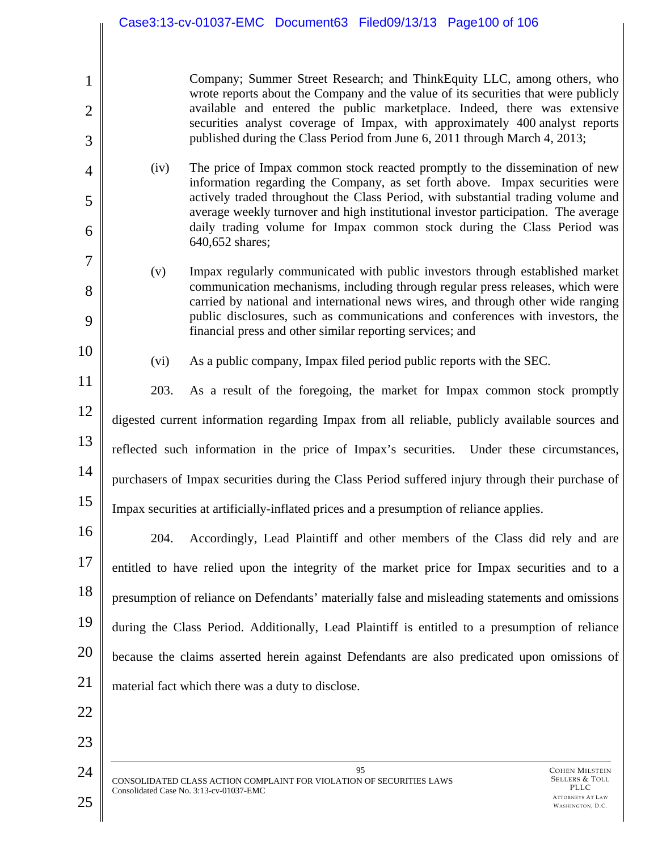Company; Summer Street Research; and ThinkEquity LLC, among others, who wrote reports about the Company and the value of its securities that were publicly available and entered the public marketplace. Indeed, there was extensive securities analyst coverage of Impax, with approximately 400 analyst reports published during the Class Period from June 6, 2011 through March 4, 2013;

(iv) The price of Impax common stock reacted promptly to the dissemination of new information regarding the Company, as set forth above. Impax securities were actively traded throughout the Class Period, with substantial trading volume and average weekly turnover and high institutional investor participation. The average daily trading volume for Impax common stock during the Class Period was 640,652 shares;

- (v) Impax regularly communicated with public investors through established market communication mechanisms, including through regular press releases, which were carried by national and international news wires, and through other wide ranging public disclosures, such as communications and conferences with investors, the financial press and other similar reporting services; and
- 10

1

2

3

4

5

6

7

8

9

(vi) As a public company, Impax filed period public reports with the SEC.

11 12 13 14 15 203. As a result of the foregoing, the market for Impax common stock promptly digested current information regarding Impax from all reliable, publicly available sources and reflected such information in the price of Impax's securities. Under these circumstances, purchasers of Impax securities during the Class Period suffered injury through their purchase of Impax securities at artificially-inflated prices and a presumption of reliance applies.

16 17 18 19 20 21 204. Accordingly, Lead Plaintiff and other members of the Class did rely and are entitled to have relied upon the integrity of the market price for Impax securities and to a presumption of reliance on Defendants' materially false and misleading statements and omissions during the Class Period. Additionally, Lead Plaintiff is entitled to a presumption of reliance because the claims asserted herein against Defendants are also predicated upon omissions of material fact which there was a duty to disclose.

22 23

> 95 CONSOLIDATED CLASS ACTION COMPLAINT FOR VIOLATION OF SECURITIES LAWS Consolidated Case No. 3:13-cv-01037-EMC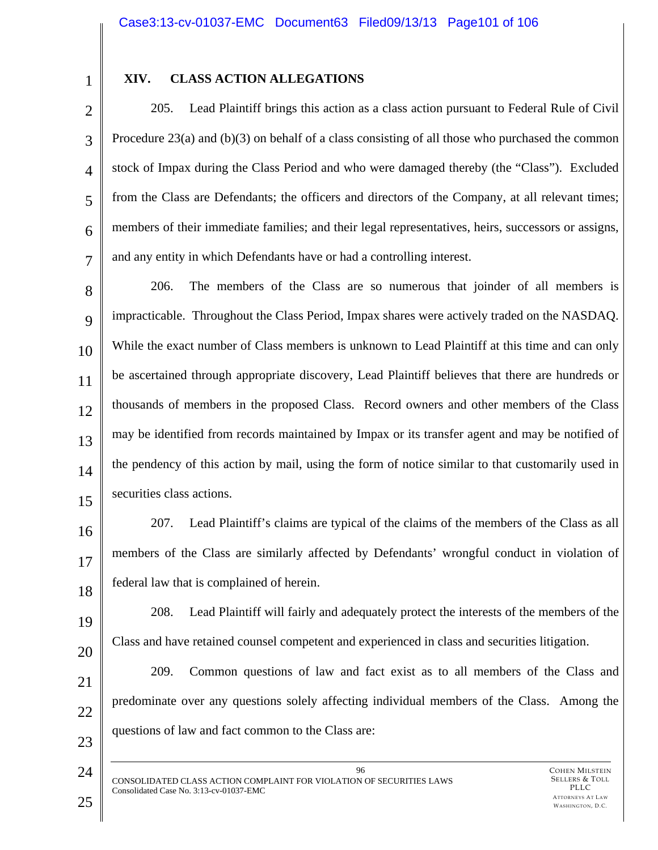1 2

### **XIV. CLASS ACTION ALLEGATIONS**

3 4 5 6 7 205. Lead Plaintiff brings this action as a class action pursuant to Federal Rule of Civil Procedure  $23(a)$  and (b)(3) on behalf of a class consisting of all those who purchased the common stock of Impax during the Class Period and who were damaged thereby (the "Class"). Excluded from the Class are Defendants; the officers and directors of the Company, at all relevant times; members of their immediate families; and their legal representatives, heirs, successors or assigns, and any entity in which Defendants have or had a controlling interest.

8 9 10 11 12 13 14 15 206. The members of the Class are so numerous that joinder of all members is impracticable. Throughout the Class Period, Impax shares were actively traded on the NASDAQ. While the exact number of Class members is unknown to Lead Plaintiff at this time and can only be ascertained through appropriate discovery, Lead Plaintiff believes that there are hundreds or thousands of members in the proposed Class. Record owners and other members of the Class may be identified from records maintained by Impax or its transfer agent and may be notified of the pendency of this action by mail, using the form of notice similar to that customarily used in securities class actions.

16 17 18 207. Lead Plaintiff's claims are typical of the claims of the members of the Class as all members of the Class are similarly affected by Defendants' wrongful conduct in violation of federal law that is complained of herein.

19 20 208. Lead Plaintiff will fairly and adequately protect the interests of the members of the Class and have retained counsel competent and experienced in class and securities litigation.

21 22 23 209. Common questions of law and fact exist as to all members of the Class and predominate over any questions solely affecting individual members of the Class. Among the questions of law and fact common to the Class are:

96 CONSOLIDATED CLASS ACTION COMPLAINT FOR VIOLATION OF SECURITIES LAWS Consolidated Case No. 3:13-cv-01037-EMC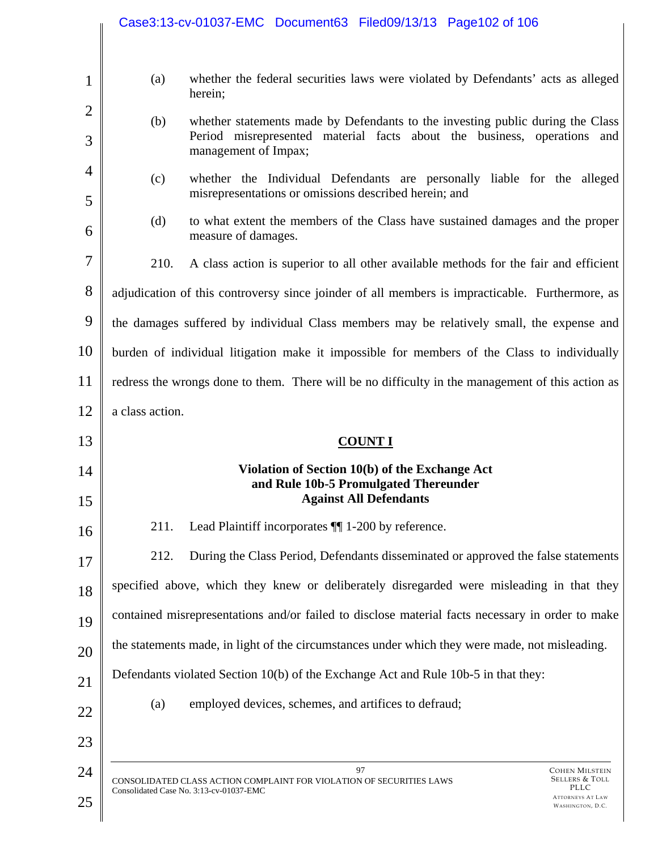|                     |                                                                                                  | Case3:13-cv-01037-EMC Document63 Filed09/13/13 Page102 of 106                                                                                                                     |
|---------------------|--------------------------------------------------------------------------------------------------|-----------------------------------------------------------------------------------------------------------------------------------------------------------------------------------|
| $\mathbf{1}$        | (a)                                                                                              | whether the federal securities laws were violated by Defendants' acts as alleged                                                                                                  |
| $\overline{2}$      |                                                                                                  | herein;                                                                                                                                                                           |
| 3                   | (b)                                                                                              | whether statements made by Defendants to the investing public during the Class<br>Period misrepresented material facts about the business, operations and<br>management of Impax; |
| $\overline{4}$<br>5 | (c)                                                                                              | whether the Individual Defendants are personally liable for the alleged<br>misrepresentations or omissions described herein; and                                                  |
| 6                   | (d)                                                                                              | to what extent the members of the Class have sustained damages and the proper<br>measure of damages.                                                                              |
| $\overline{7}$      | 210.                                                                                             | A class action is superior to all other available methods for the fair and efficient                                                                                              |
| 8                   |                                                                                                  | adjudication of this controversy since joinder of all members is impracticable. Furthermore, as                                                                                   |
| 9                   | the damages suffered by individual Class members may be relatively small, the expense and        |                                                                                                                                                                                   |
| 10                  | burden of individual litigation make it impossible for members of the Class to individually      |                                                                                                                                                                                   |
| 11                  | redress the wrongs done to them. There will be no difficulty in the management of this action as |                                                                                                                                                                                   |
| 12                  | a class action.                                                                                  |                                                                                                                                                                                   |
|                     |                                                                                                  |                                                                                                                                                                                   |
| 13                  |                                                                                                  | <b>COUNT I</b>                                                                                                                                                                    |
| 14                  |                                                                                                  | Violation of Section 10(b) of the Exchange Act<br>and Rule 10b-5 Promulgated Thereunder<br><b>Against All Defendants</b>                                                          |
| 15<br>16            | 211.                                                                                             | Lead Plaintiff incorporates ¶ 1-200 by reference.                                                                                                                                 |
| 17                  | 212.                                                                                             | During the Class Period, Defendants disseminated or approved the false statements                                                                                                 |
| 18                  |                                                                                                  | specified above, which they knew or deliberately disregarded were misleading in that they                                                                                         |
| 19                  |                                                                                                  | contained misrepresentations and/or failed to disclose material facts necessary in order to make                                                                                  |
| 20                  |                                                                                                  | the statements made, in light of the circumstances under which they were made, not misleading.                                                                                    |
| 21                  |                                                                                                  | Defendants violated Section 10(b) of the Exchange Act and Rule 10b-5 in that they:                                                                                                |
| 22                  | (a)                                                                                              | employed devices, schemes, and artifices to defraud;                                                                                                                              |
| 23                  |                                                                                                  |                                                                                                                                                                                   |
| 24                  |                                                                                                  | 97<br><b>COHEN MILSTEIN</b><br><b>SELLERS &amp; TOLL</b><br>CONSOLIDATED CLASS ACTION COMPLAINT FOR VIOLATION OF SECURITIES LAWS                                                  |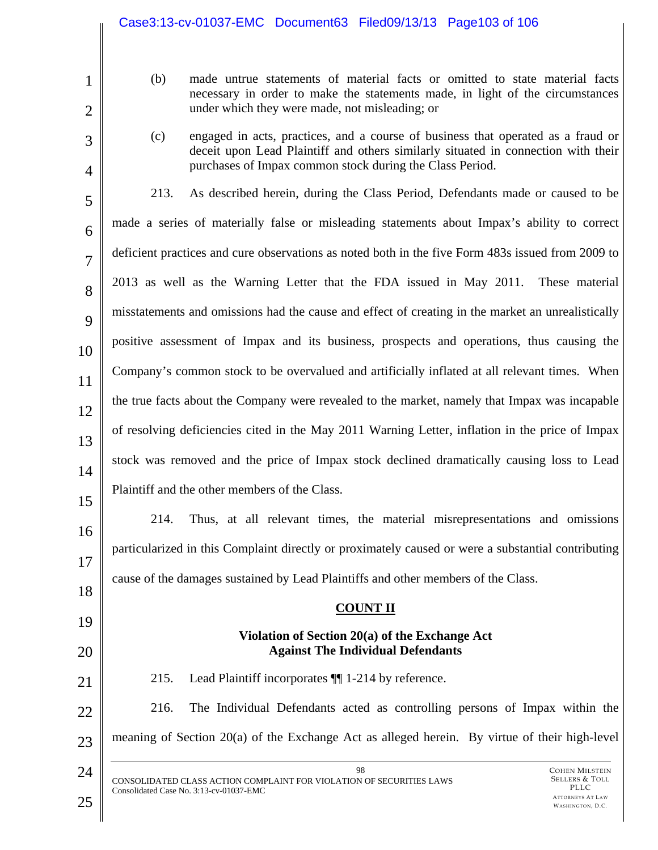|                | Case3:13-cv-01037-EMC Document63 Filed09/13/13 Page103 of 106                                                                                                                |
|----------------|------------------------------------------------------------------------------------------------------------------------------------------------------------------------------|
|                |                                                                                                                                                                              |
| $\mathbf{1}$   | (b)<br>made untrue statements of material facts or omitted to state material facts<br>necessary in order to make the statements made, in light of the circumstances          |
| $\overline{2}$ | under which they were made, not misleading; or                                                                                                                               |
| 3              | engaged in acts, practices, and a course of business that operated as a fraud or<br>(c)<br>deceit upon Lead Plaintiff and others similarly situated in connection with their |
| $\overline{4}$ | purchases of Impax common stock during the Class Period.                                                                                                                     |
| 5              | 213.<br>As described herein, during the Class Period, Defendants made or caused to be                                                                                        |
| 6              | made a series of materially false or misleading statements about Impax's ability to correct                                                                                  |
| $\overline{7}$ | deficient practices and cure observations as noted both in the five Form 483s issued from 2009 to                                                                            |
| 8              | 2013 as well as the Warning Letter that the FDA issued in May 2011.<br>These material                                                                                        |
| 9              | misstatements and omissions had the cause and effect of creating in the market an unrealistically                                                                            |
| 10             | positive assessment of Impax and its business, prospects and operations, thus causing the                                                                                    |
| 11             | Company's common stock to be overvalued and artificially inflated at all relevant times. When                                                                                |
| 12             | the true facts about the Company were revealed to the market, namely that Impax was incapable                                                                                |
| 13             | of resolving deficiencies cited in the May 2011 Warning Letter, inflation in the price of Impax                                                                              |
| 14             | stock was removed and the price of Impax stock declined dramatically causing loss to Lead                                                                                    |
| 15             | Plaintiff and the other members of the Class.                                                                                                                                |
| 16             | Thus, at all relevant times, the material misrepresentations and omissions<br>214.                                                                                           |
| 17             | particularized in this Complaint directly or proximately caused or were a substantial contributing                                                                           |
| 18             | cause of the damages sustained by Lead Plaintiffs and other members of the Class.                                                                                            |
| 19             | <b>COUNT II</b>                                                                                                                                                              |
| 20             | Violation of Section 20(a) of the Exchange Act<br><b>Against The Individual Defendants</b>                                                                                   |
| 21             | 215.<br>Lead Plaintiff incorporates $\P$ 1-214 by reference.                                                                                                                 |
| 22             | 216.<br>The Individual Defendants acted as controlling persons of Impax within the                                                                                           |
| 23             | meaning of Section 20(a) of the Exchange Act as alleged herein. By virtue of their high-level                                                                                |
| 24             | 98<br><b>COHEN MILSTEIN</b><br><b>SELLERS &amp; TOLL</b>                                                                                                                     |
| 25             | CONSOLIDATED CLASS ACTION COMPLAINT FOR VIOLATION OF SECURITIES LAWS<br>PLLC<br>Consolidated Case No. 3:13-cv-01037-EMC<br><b>ATTORNEYS AT LAW</b><br>WASHINGTON, D.C.       |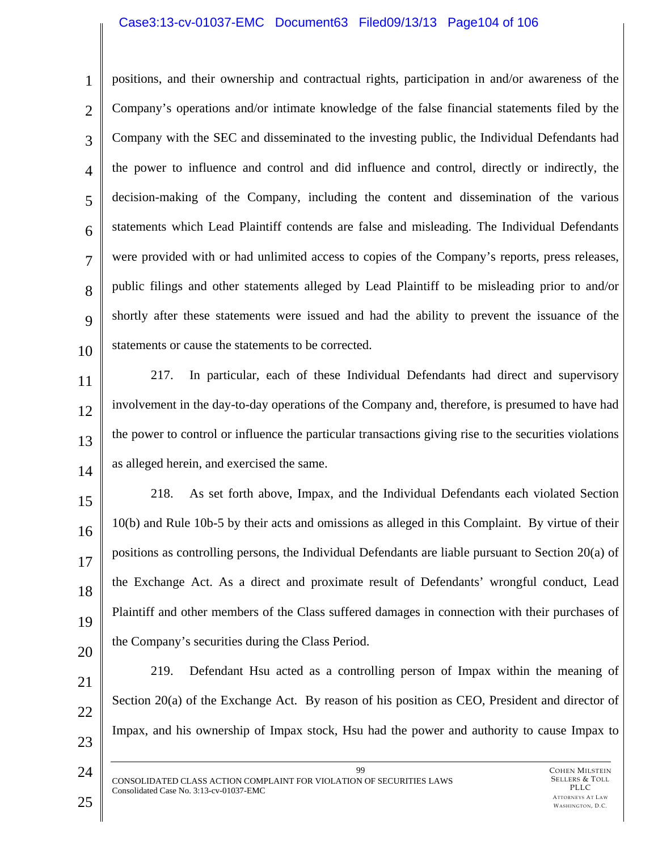#### Case3:13-cv-01037-EMC Document63 Filed09/13/13 Page104 of 106

1 2 3 4 5 6 7 8  $\mathbf Q$ 10 positions, and their ownership and contractual rights, participation in and/or awareness of the Company's operations and/or intimate knowledge of the false financial statements filed by the Company with the SEC and disseminated to the investing public, the Individual Defendants had the power to influence and control and did influence and control, directly or indirectly, the decision-making of the Company, including the content and dissemination of the various statements which Lead Plaintiff contends are false and misleading. The Individual Defendants were provided with or had unlimited access to copies of the Company's reports, press releases, public filings and other statements alleged by Lead Plaintiff to be misleading prior to and/or shortly after these statements were issued and had the ability to prevent the issuance of the statements or cause the statements to be corrected.

11 12 13 14 217. In particular, each of these Individual Defendants had direct and supervisory involvement in the day-to-day operations of the Company and, therefore, is presumed to have had the power to control or influence the particular transactions giving rise to the securities violations as alleged herein, and exercised the same.

15 16 17 18 19 20 218. As set forth above, Impax, and the Individual Defendants each violated Section 10(b) and Rule 10b-5 by their acts and omissions as alleged in this Complaint. By virtue of their positions as controlling persons, the Individual Defendants are liable pursuant to Section 20(a) of the Exchange Act. As a direct and proximate result of Defendants' wrongful conduct, Lead Plaintiff and other members of the Class suffered damages in connection with their purchases of the Company's securities during the Class Period.

- 21 22 23 219. Defendant Hsu acted as a controlling person of Impax within the meaning of Section 20(a) of the Exchange Act. By reason of his position as CEO, President and director of Impax, and his ownership of Impax stock, Hsu had the power and authority to cause Impax to
	- 99 CONSOLIDATED CLASS ACTION COMPLAINT FOR VIOLATION OF SECURITIES LAWS Consolidated Case No. 3:13-cv-01037-EMC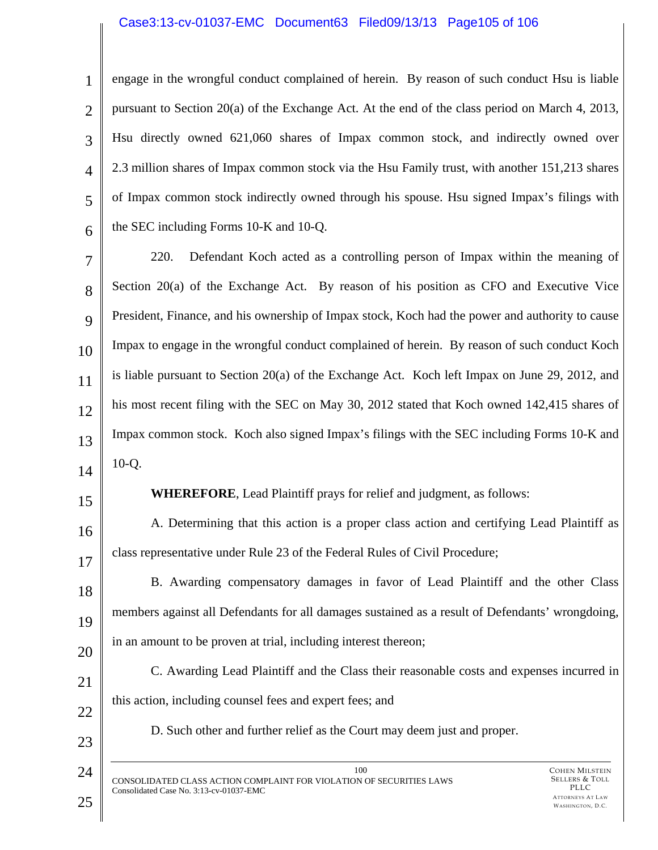#### Case3:13-cv-01037-EMC Document63 Filed09/13/13 Page105 of 106

1 2 3 4 5 6 engage in the wrongful conduct complained of herein. By reason of such conduct Hsu is liable pursuant to Section 20(a) of the Exchange Act. At the end of the class period on March 4, 2013, Hsu directly owned 621,060 shares of Impax common stock, and indirectly owned over 2.3 million shares of Impax common stock via the Hsu Family trust, with another 151,213 shares of Impax common stock indirectly owned through his spouse. Hsu signed Impax's filings with the SEC including Forms 10-K and 10-Q.

7 8  $\mathbf Q$ 10 11 12 13 14 220. Defendant Koch acted as a controlling person of Impax within the meaning of Section 20(a) of the Exchange Act. By reason of his position as CFO and Executive Vice President, Finance, and his ownership of Impax stock, Koch had the power and authority to cause Impax to engage in the wrongful conduct complained of herein. By reason of such conduct Koch is liable pursuant to Section 20(a) of the Exchange Act. Koch left Impax on June 29, 2012, and his most recent filing with the SEC on May 30, 2012 stated that Koch owned 142,415 shares of Impax common stock. Koch also signed Impax's filings with the SEC including Forms 10-K and 10-Q.

15

**WHEREFORE**, Lead Plaintiff prays for relief and judgment, as follows:

16 17 A. Determining that this action is a proper class action and certifying Lead Plaintiff as class representative under Rule 23 of the Federal Rules of Civil Procedure;

18 19 20 B. Awarding compensatory damages in favor of Lead Plaintiff and the other Class members against all Defendants for all damages sustained as a result of Defendants' wrongdoing, in an amount to be proven at trial, including interest thereon;

21 22 C. Awarding Lead Plaintiff and the Class their reasonable costs and expenses incurred in this action, including counsel fees and expert fees; and

D. Such other and further relief as the Court may deem just and proper.

23